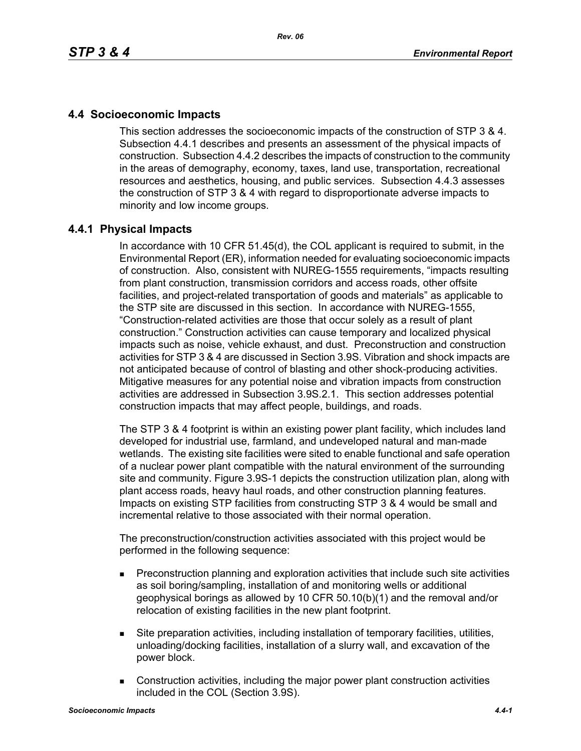# **4.4 Socioeconomic Impacts**

This section addresses the socioeconomic impacts of the construction of STP 3 & 4. Subsection 4.4.1 describes and presents an assessment of the physical impacts of construction. Subsection 4.4.2 describes the impacts of construction to the community in the areas of demography, economy, taxes, land use, transportation, recreational resources and aesthetics, housing, and public services. Subsection 4.4.3 assesses the construction of STP 3 & 4 with regard to disproportionate adverse impacts to minority and low income groups.

# **4.4.1 Physical Impacts**

In accordance with 10 CFR 51.45(d), the COL applicant is required to submit, in the Environmental Report (ER), information needed for evaluating socioeconomic impacts of construction. Also, consistent with NUREG-1555 requirements, "impacts resulting from plant construction, transmission corridors and access roads, other offsite facilities, and project-related transportation of goods and materials" as applicable to the STP site are discussed in this section. In accordance with NUREG-1555, "Construction-related activities are those that occur solely as a result of plant construction." Construction activities can cause temporary and localized physical impacts such as noise, vehicle exhaust, and dust. Preconstruction and construction activities for STP 3 & 4 are discussed in Section 3.9S. Vibration and shock impacts are not anticipated because of control of blasting and other shock-producing activities. Mitigative measures for any potential noise and vibration impacts from construction activities are addressed in Subsection 3.9S.2.1. This section addresses potential construction impacts that may affect people, buildings, and roads.

The STP 3 & 4 footprint is within an existing power plant facility, which includes land developed for industrial use, farmland, and undeveloped natural and man-made wetlands. The existing site facilities were sited to enable functional and safe operation of a nuclear power plant compatible with the natural environment of the surrounding site and community. Figure 3.9S-1 depicts the construction utilization plan, along with plant access roads, heavy haul roads, and other construction planning features. Impacts on existing STP facilities from constructing STP 3 & 4 would be small and incremental relative to those associated with their normal operation.

The preconstruction/construction activities associated with this project would be performed in the following sequence:

- **Preconstruction planning and exploration activities that include such site activities** as soil boring/sampling, installation of and monitoring wells or additional geophysical borings as allowed by 10 CFR 50.10(b)(1) and the removal and/or relocation of existing facilities in the new plant footprint.
- Site preparation activities, including installation of temporary facilities, utilities, unloading/docking facilities, installation of a slurry wall, and excavation of the power block.
- Construction activities, including the major power plant construction activities included in the COL (Section 3.9S).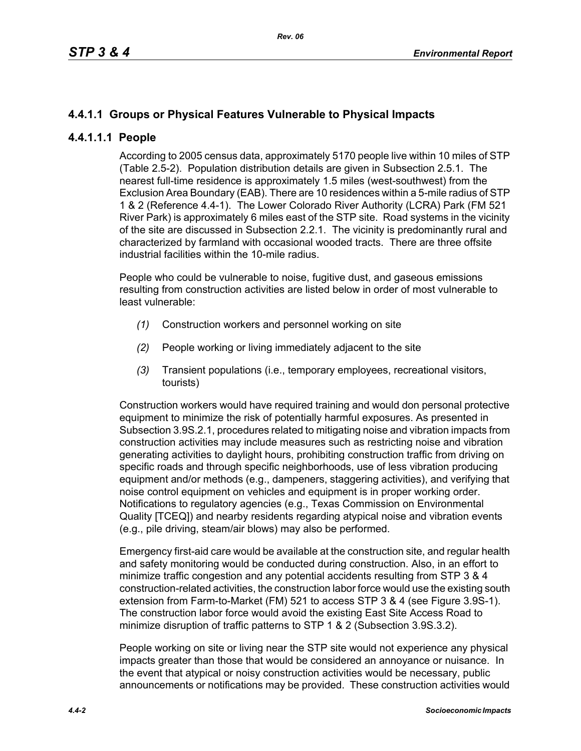# **4.4.1.1 Groups or Physical Features Vulnerable to Physical Impacts**

# **4.4.1.1.1 People**

According to 2005 census data, approximately 5170 people live within 10 miles of STP (Table 2.5-2). Population distribution details are given in Subsection 2.5.1. The nearest full-time residence is approximately 1.5 miles (west-southwest) from the Exclusion Area Boundary (EAB). There are 10 residences within a 5-mile radius of STP 1 & 2 (Reference 4.4-1). The Lower Colorado River Authority (LCRA) Park (FM 521 River Park) is approximately 6 miles east of the STP site. Road systems in the vicinity of the site are discussed in Subsection 2.2.1. The vicinity is predominantly rural and characterized by farmland with occasional wooded tracts. There are three offsite industrial facilities within the 10-mile radius.

People who could be vulnerable to noise, fugitive dust, and gaseous emissions resulting from construction activities are listed below in order of most vulnerable to least vulnerable:

- *(1)* Construction workers and personnel working on site
- *(2)* People working or living immediately adjacent to the site
- *(3)* Transient populations (i.e., temporary employees, recreational visitors, tourists)

Construction workers would have required training and would don personal protective equipment to minimize the risk of potentially harmful exposures. As presented in Subsection 3.9S.2.1, procedures related to mitigating noise and vibration impacts from construction activities may include measures such as restricting noise and vibration generating activities to daylight hours, prohibiting construction traffic from driving on specific roads and through specific neighborhoods, use of less vibration producing equipment and/or methods (e.g., dampeners, staggering activities), and verifying that noise control equipment on vehicles and equipment is in proper working order. Notifications to regulatory agencies (e.g., Texas Commission on Environmental Quality [TCEQ]) and nearby residents regarding atypical noise and vibration events (e.g., pile driving, steam/air blows) may also be performed.

Emergency first-aid care would be available at the construction site, and regular health and safety monitoring would be conducted during construction. Also, in an effort to minimize traffic congestion and any potential accidents resulting from STP 3 & 4 construction-related activities, the construction labor force would use the existing south extension from Farm-to-Market (FM) 521 to access STP 3 & 4 (see Figure 3.9S-1). The construction labor force would avoid the existing East Site Access Road to minimize disruption of traffic patterns to STP 1 & 2 (Subsection 3.9S.3.2).

People working on site or living near the STP site would not experience any physical impacts greater than those that would be considered an annoyance or nuisance. In the event that atypical or noisy construction activities would be necessary, public announcements or notifications may be provided. These construction activities would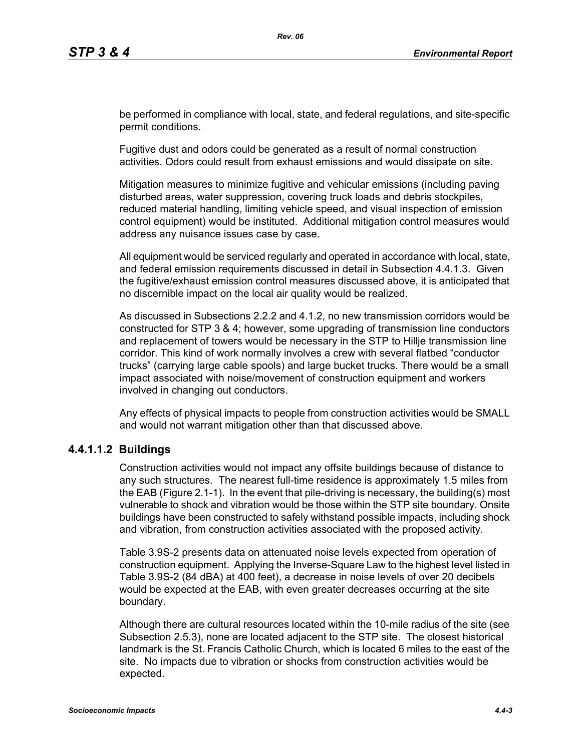be performed in compliance with local, state, and federal regulations, and site-specific permit conditions.

Fugitive dust and odors could be generated as a result of normal construction activities. Odors could result from exhaust emissions and would dissipate on site.

Mitigation measures to minimize fugitive and vehicular emissions (including paving disturbed areas, water suppression, covering truck loads and debris stockpiles, reduced material handling, limiting vehicle speed, and visual inspection of emission control equipment) would be instituted. Additional mitigation control measures would address any nuisance issues case by case.

All equipment would be serviced regularly and operated in accordance with local, state, and federal emission requirements discussed in detail in Subsection 4.4.1.3. Given the fugitive/exhaust emission control measures discussed above, it is anticipated that no discernible impact on the local air quality would be realized.

As discussed in Subsections 2.2.2 and 4.1.2, no new transmission corridors would be constructed for STP 3 & 4; however, some upgrading of transmission line conductors and replacement of towers would be necessary in the STP to Hillje transmission line corridor. This kind of work normally involves a crew with several flatbed "conductor trucks" (carrying large cable spools) and large bucket trucks. There would be a small impact associated with noise/movement of construction equipment and workers involved in changing out conductors.

Any effects of physical impacts to people from construction activities would be SMALL and would not warrant mitigation other than that discussed above.

## **4.4.1.1.2 Buildings**

Construction activities would not impact any offsite buildings because of distance to any such structures. The nearest full-time residence is approximately 1.5 miles from the EAB (Figure 2.1-1). In the event that pile-driving is necessary, the building(s) most vulnerable to shock and vibration would be those within the STP site boundary. Onsite buildings have been constructed to safely withstand possible impacts, including shock and vibration, from construction activities associated with the proposed activity.

Table 3.9S-2 presents data on attenuated noise levels expected from operation of construction equipment. Applying the Inverse-Square Law to the highest level listed in Table 3.9S-2 (84 dBA) at 400 feet), a decrease in noise levels of over 20 decibels would be expected at the EAB, with even greater decreases occurring at the site boundary.

Although there are cultural resources located within the 10-mile radius of the site (see Subsection 2.5.3), none are located adjacent to the STP site. The closest historical landmark is the St. Francis Catholic Church, which is located 6 miles to the east of the site. No impacts due to vibration or shocks from construction activities would be expected.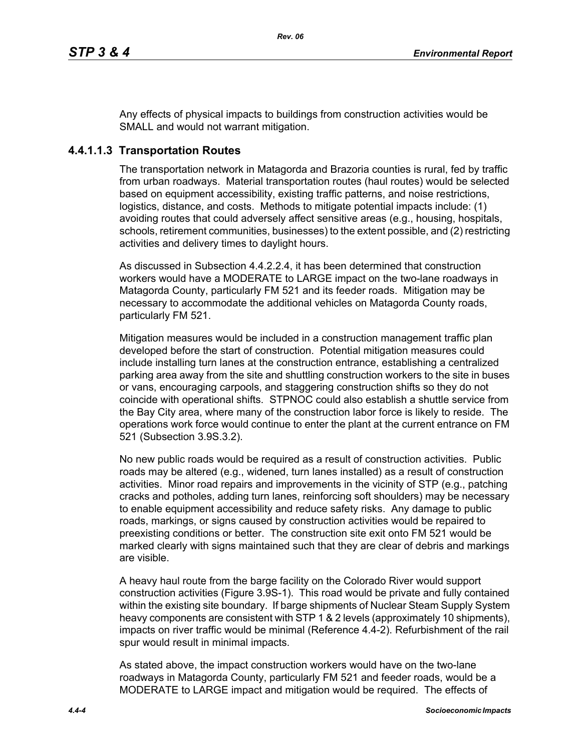Any effects of physical impacts to buildings from construction activities would be SMALL and would not warrant mitigation.

# **4.4.1.1.3 Transportation Routes**

The transportation network in Matagorda and Brazoria counties is rural, fed by traffic from urban roadways. Material transportation routes (haul routes) would be selected based on equipment accessibility, existing traffic patterns, and noise restrictions, logistics, distance, and costs. Methods to mitigate potential impacts include: (1) avoiding routes that could adversely affect sensitive areas (e.g., housing, hospitals, schools, retirement communities, businesses) to the extent possible, and (2) restricting activities and delivery times to daylight hours.

As discussed in Subsection 4.4.2.2.4, it has been determined that construction workers would have a MODERATE to LARGE impact on the two-lane roadways in Matagorda County, particularly FM 521 and its feeder roads. Mitigation may be necessary to accommodate the additional vehicles on Matagorda County roads, particularly FM 521.

Mitigation measures would be included in a construction management traffic plan developed before the start of construction. Potential mitigation measures could include installing turn lanes at the construction entrance, establishing a centralized parking area away from the site and shuttling construction workers to the site in buses or vans, encouraging carpools, and staggering construction shifts so they do not coincide with operational shifts. STPNOC could also establish a shuttle service from the Bay City area, where many of the construction labor force is likely to reside. The operations work force would continue to enter the plant at the current entrance on FM 521 (Subsection 3.9S.3.2).

No new public roads would be required as a result of construction activities. Public roads may be altered (e.g., widened, turn lanes installed) as a result of construction activities. Minor road repairs and improvements in the vicinity of STP (e.g., patching cracks and potholes, adding turn lanes, reinforcing soft shoulders) may be necessary to enable equipment accessibility and reduce safety risks. Any damage to public roads, markings, or signs caused by construction activities would be repaired to preexisting conditions or better. The construction site exit onto FM 521 would be marked clearly with signs maintained such that they are clear of debris and markings are visible.

A heavy haul route from the barge facility on the Colorado River would support construction activities (Figure 3.9S-1). This road would be private and fully contained within the existing site boundary. If barge shipments of Nuclear Steam Supply System heavy components are consistent with STP 1 & 2 levels (approximately 10 shipments). impacts on river traffic would be minimal (Reference 4.4-2). Refurbishment of the rail spur would result in minimal impacts.

As stated above, the impact construction workers would have on the two-lane roadways in Matagorda County, particularly FM 521 and feeder roads, would be a MODERATE to LARGE impact and mitigation would be required. The effects of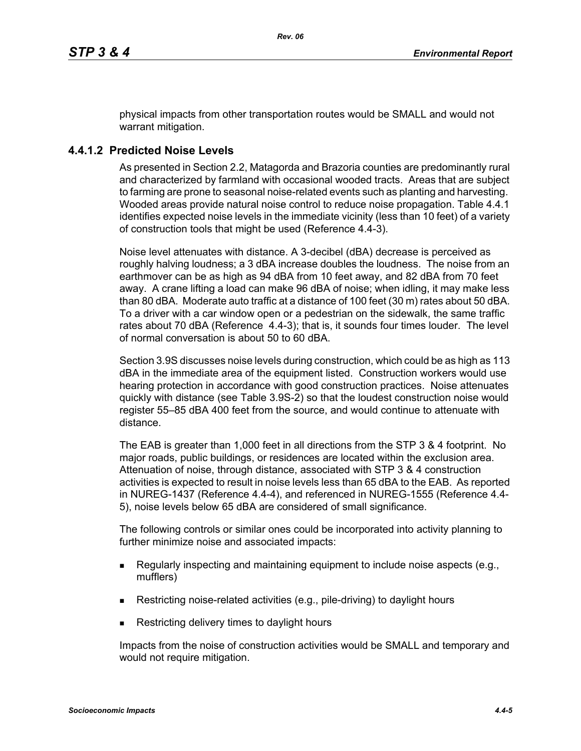physical impacts from other transportation routes would be SMALL and would not warrant mitigation.

# **4.4.1.2 Predicted Noise Levels**

As presented in Section 2.2, Matagorda and Brazoria counties are predominantly rural and characterized by farmland with occasional wooded tracts. Areas that are subject to farming are prone to seasonal noise-related events such as planting and harvesting. Wooded areas provide natural noise control to reduce noise propagation. Table 4.4.1 identifies expected noise levels in the immediate vicinity (less than 10 feet) of a variety of construction tools that might be used (Reference 4.4-3).

Noise level attenuates with distance. A 3-decibel (dBA) decrease is perceived as roughly halving loudness; a 3 dBA increase doubles the loudness. The noise from an earthmover can be as high as 94 dBA from 10 feet away, and 82 dBA from 70 feet away. A crane lifting a load can make 96 dBA of noise; when idling, it may make less than 80 dBA. Moderate auto traffic at a distance of 100 feet (30 m) rates about 50 dBA. To a driver with a car window open or a pedestrian on the sidewalk, the same traffic rates about 70 dBA (Reference 4.4-3); that is, it sounds four times louder. The level of normal conversation is about 50 to 60 dBA.

Section 3.9S discusses noise levels during construction, which could be as high as 113 dBA in the immediate area of the equipment listed. Construction workers would use hearing protection in accordance with good construction practices. Noise attenuates quickly with distance (see Table 3.9S-2) so that the loudest construction noise would register 55–85 dBA 400 feet from the source, and would continue to attenuate with distance.

The EAB is greater than 1,000 feet in all directions from the STP 3 & 4 footprint. No major roads, public buildings, or residences are located within the exclusion area. Attenuation of noise, through distance, associated with STP 3 & 4 construction activities is expected to result in noise levels less than 65 dBA to the EAB. As reported in NUREG-1437 (Reference 4.4-4), and referenced in NUREG-1555 (Reference 4.4- 5), noise levels below 65 dBA are considered of small significance.

The following controls or similar ones could be incorporated into activity planning to further minimize noise and associated impacts:

- Regularly inspecting and maintaining equipment to include noise aspects (e.g., mufflers)
- Restricting noise-related activities (e.g., pile-driving) to daylight hours
- Restricting delivery times to daylight hours

Impacts from the noise of construction activities would be SMALL and temporary and would not require mitigation.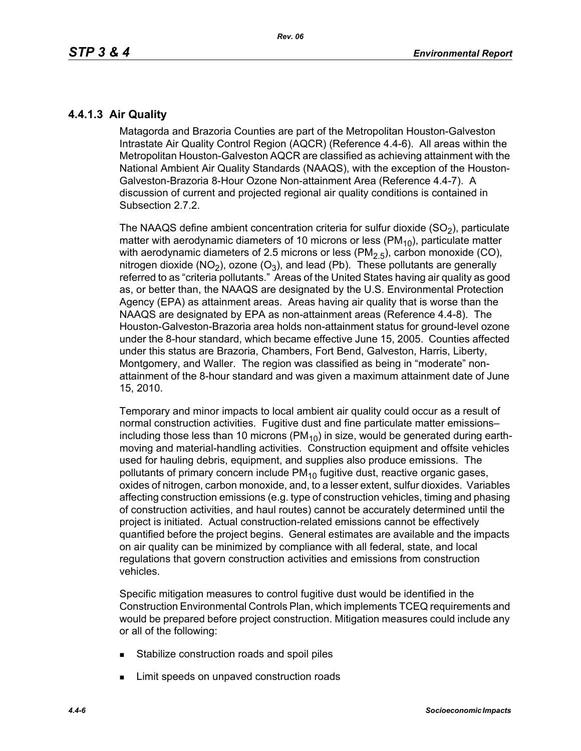# **4.4.1.3 Air Quality**

Matagorda and Brazoria Counties are part of the Metropolitan Houston-Galveston Intrastate Air Quality Control Region (AQCR) (Reference 4.4-6). All areas within the Metropolitan Houston-Galveston AQCR are classified as achieving attainment with the National Ambient Air Quality Standards (NAAQS), with the exception of the Houston-Galveston-Brazoria 8-Hour Ozone Non-attainment Area (Reference 4.4-7). A discussion of current and projected regional air quality conditions is contained in Subsection 2.7.2.

The NAAQS define ambient concentration criteria for sulfur dioxide  $(SO<sub>2</sub>)$ , particulate matter with aerodynamic diameters of 10 microns or less ( $PM_{10}$ ), particulate matter with aerodynamic diameters of 2.5 microns or less ( $PM<sub>2.5</sub>$ ), carbon monoxide (CO), nitrogen dioxide (NO<sub>2</sub>), ozone (O<sub>3</sub>), and lead (Pb). These pollutants are generally referred to as "criteria pollutants." Areas of the United States having air quality as good as, or better than, the NAAQS are designated by the U.S. Environmental Protection Agency (EPA) as attainment areas. Areas having air quality that is worse than the NAAQS are designated by EPA as non-attainment areas (Reference 4.4-8). The Houston-Galveston-Brazoria area holds non-attainment status for ground-level ozone under the 8-hour standard, which became effective June 15, 2005. Counties affected under this status are Brazoria, Chambers, Fort Bend, Galveston, Harris, Liberty, Montgomery, and Waller. The region was classified as being in "moderate" nonattainment of the 8-hour standard and was given a maximum attainment date of June 15, 2010.

Temporary and minor impacts to local ambient air quality could occur as a result of normal construction activities. Fugitive dust and fine particulate matter emissions– including those less than 10 microns ( $PM_{10}$ ) in size, would be generated during earthmoving and material-handling activities. Construction equipment and offsite vehicles used for hauling debris, equipment, and supplies also produce emissions. The pollutants of primary concern include  $PM_{10}$  fugitive dust, reactive organic gases, oxides of nitrogen, carbon monoxide, and, to a lesser extent, sulfur dioxides. Variables affecting construction emissions (e.g. type of construction vehicles, timing and phasing of construction activities, and haul routes) cannot be accurately determined until the project is initiated. Actual construction-related emissions cannot be effectively quantified before the project begins. General estimates are available and the impacts on air quality can be minimized by compliance with all federal, state, and local regulations that govern construction activities and emissions from construction vehicles.

Specific mitigation measures to control fugitive dust would be identified in the Construction Environmental Controls Plan, which implements TCEQ requirements and would be prepared before project construction. Mitigation measures could include any or all of the following:

- **Stabilize construction roads and spoil piles**
- **EXECUTE:** Limit speeds on unpaved construction roads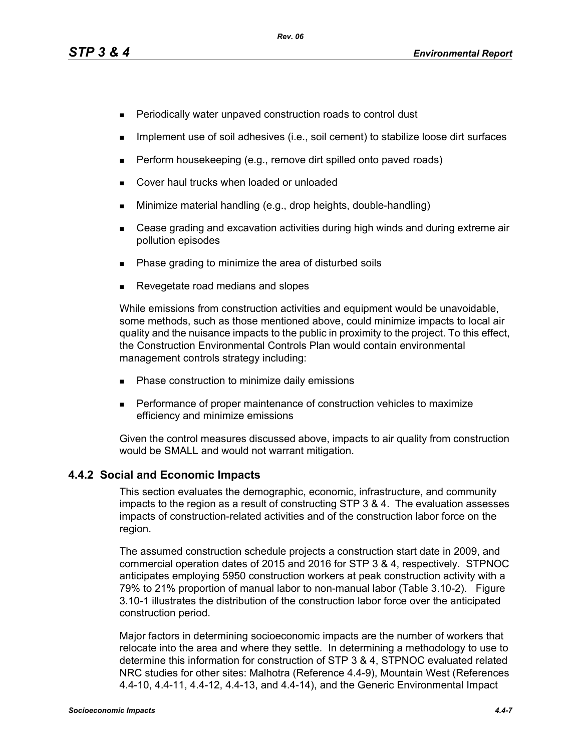- **Periodically water unpaved construction roads to control dust**
- **IMPLEMENT USE OF SOIL ADDES** (i.e., soil cement) to stabilize loose dirt surfaces
- $\blacksquare$  Perform housekeeping (e.g., remove dirt spilled onto paved roads)
- **Cover haul trucks when loaded or unloaded**
- **Minimize material handling (e.g., drop heights, double-handling)**
- Cease grading and excavation activities during high winds and during extreme air pollution episodes
- Phase grading to minimize the area of disturbed soils
- Revegetate road medians and slopes

While emissions from construction activities and equipment would be unavoidable, some methods, such as those mentioned above, could minimize impacts to local air quality and the nuisance impacts to the public in proximity to the project. To this effect, the Construction Environmental Controls Plan would contain environmental management controls strategy including:

- **Phase construction to minimize daily emissions**
- **Performance of proper maintenance of construction vehicles to maximize** efficiency and minimize emissions

[Given the control measures discussed above, impacts to air quality from construction](http://factfinder.census.gov/)  would be SMALL and would not warrant mitigation.

# **4.4.2 Social and Economic Impacts**

This section evaluates the demographic, economic, infrastructure, and community impacts to the region as a result of constructing STP 3 & 4. The evaluation assesses impacts of construction-related activities and of the construction labor force on the region.

The assumed construction schedule projects a construction start date in 2009, and commercial operation dates of 2015 and 2016 for STP 3 & 4, respectively. STPNOC anticipates employing 5950 construction workers at peak construction activity with a 79% to 21% proportion of manual labor to non-manual labor (Table 3.10-2). Figure 3.10-1 illustrates the distribution of the construction labor force over the anticipated construction period.

[Major factors in determining socioeconomic impacts are the number of workers that](http://factfinder.census.gov/)  relocate into the area and where they settle. In determining a methodology to use to determine this information for construction of STP 3 & 4, STPNOC evaluated related [NRC studies for other sites: Malhotra \(Reference 4.4-9\), Mountain West \(References](http://factfinder.census.gov/)  [4.4-10, 4.4-11, 4.4-12, 4.4-13, and 4.4-14\), and the Generic Environmental Impact](http://factfinder.census.gov/)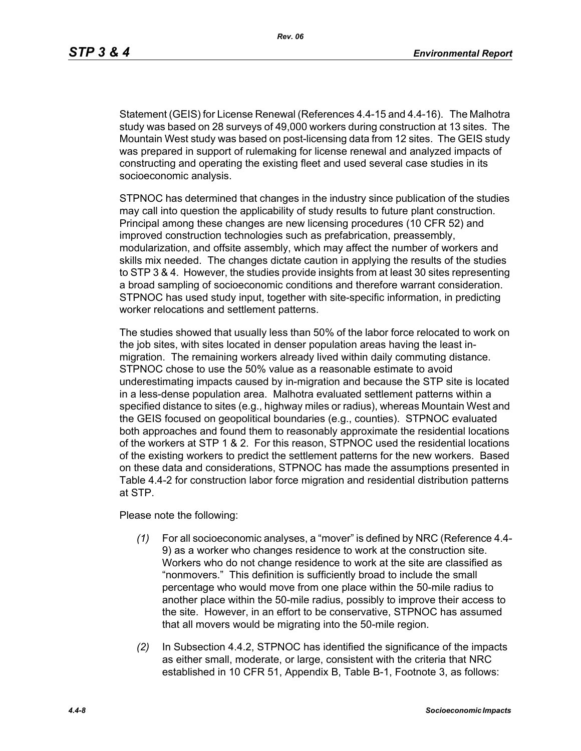[Statement \(GEIS\) for License Renewal \(References 4.4-15 and 4.4-16\). The Malhotra](http://factfinder.census.gov/)  study was based on 28 surveys of 49,000 workers during construction at 13 sites. The Mountain West study was based on post-licensing data from 12 sites. The GEIS study was prepared in support of rulemaking for license renewal and analyzed impacts of constructing and operating the existing fleet and used several case studies in its socioeconomic analysis.

STPNOC has determined that changes in the industry since publication of the studies may call into question the applicability of study results to future plant construction. Principal among these changes are new licensing procedures (10 CFR 52) and improved construction technologies such as prefabrication, preassembly, modularization, and offsite assembly, which may affect the number of workers and skills mix needed. The changes dictate caution in applying the results of the studies to STP 3 & 4. However, the studies provide insights from at least 30 sites representing a broad sampling of socioeconomic conditions and therefore warrant consideration. STPNOC has used study input, together with site-specific information, in predicting worker relocations and settlement patterns.

The studies showed that usually less than 50% of the labor force relocated to work on the job sites, with sites located in denser population areas having the least inmigration. The remaining workers already lived within daily commuting distance. STPNOC chose to use the 50% value as a reasonable estimate to avoid underestimating impacts caused by in-migration and because the STP site is located in a less-dense population area. Malhotra evaluated settlement patterns within a specified distance to sites (e.g., highway miles or radius), whereas Mountain West and the GEIS focused on geopolitical boundaries (e.g., counties). STPNOC evaluated both approaches and found them to reasonably approximate the residential locations of the workers at STP 1 & 2. For this reason, STPNOC used the residential locations of the existing workers to predict the settlement patterns for the new workers. Based on these data and considerations, STPNOC has made the assumptions presented in Table 4.4-2 for construction labor force migration and residential distribution patterns at STP.

Please note the following:

- *(1)* For all socioeconomic analyses, a "mover" is defined by NRC (Reference 4.4- 9) as a worker who changes residence to work at the construction site. Workers who do not change residence to work at the site are classified as "nonmovers." This definition is sufficiently broad to include the small percentage who would move from one place within the 50-mile radius to another place within the 50-mile radius, possibly to improve their access to the site. However, in an effort to be conservative, STPNOC has assumed that all movers would be migrating into the 50-mile region.
- *(2)* In Subsection 4.4.2, STPNOC has identified the significance of the impacts as either small, moderate, or large, consistent with the criteria that NRC established in 10 CFR 51, Appendix B, Table B-1, Footnote 3, as follows: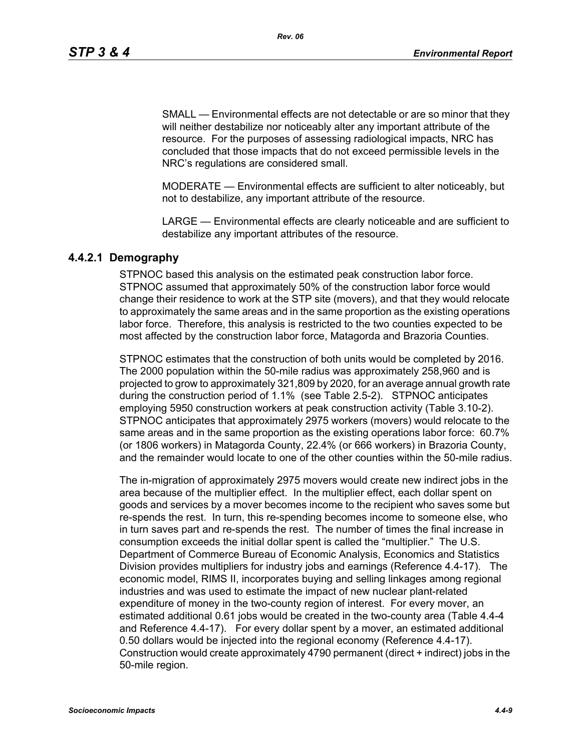SMALL — Environmental effects are not detectable or are so minor that they will neither destabilize nor noticeably alter any important attribute of the resource. For the purposes of assessing radiological impacts, NRC has concluded that those impacts that do not exceed permissible levels in the NRC's regulations are considered small.

MODERATE — Environmental effects are sufficient to alter noticeably, but not to destabilize, any important attribute of the resource.

LARGE — Environmental effects are clearly noticeable and are sufficient to destabilize any important attributes of the resource.

# **4.4.2.1 Demography**

STPNOC based this analysis on the estimated peak construction labor force. STPNOC assumed that approximately 50% of the construction labor force would change their residence to work at the STP site (movers), and that they would relocate to approximately the same areas and in the same proportion as the existing operations labor force. Therefore, this analysis is restricted to the two counties expected to be most affected by the construction labor force, Matagorda and Brazoria Counties.

STPNOC estimates that the construction of both units would be completed by 2016. The 2000 population within the 50-mile radius was approximately 258,960 and is projected to grow to approximately 321,809 by 2020, for an average annual growth rate during the construction period of 1.1% (see Table 2.5-2). STPNOC anticipates employing 5950 construction workers at peak construction activity (Table 3.10-2). STPNOC anticipates that approximately 2975 workers (movers) would relocate to the same areas and in the same proportion as the existing operations labor force: 60.7% (or 1806 workers) in Matagorda County, 22.4% (or 666 workers) in Brazoria County, and the remainder would locate to one of the other counties within the 50-mile radius.

The in-migration of approximately 2975 movers would create new indirect jobs in the area because of the multiplier effect. In the multiplier effect, each dollar spent on goods and services by a mover becomes income to the recipient who saves some but re-spends the rest. In turn, this re-spending becomes income to someone else, who in turn saves part and re-spends the rest. The number of times the final increase in consumption exceeds the initial dollar spent is called the "multiplier." The U.S. Department of Commerce Bureau of Economic Analysis, Economics and Statistics Division provides multipliers for industry jobs and earnings (Reference 4.4-17). The economic model, RIMS II, incorporates buying and selling linkages among regional industries and was used to estimate the impact of new nuclear plant-related expenditure of money in the two-county region of interest. For every mover, an estimated additional 0.61 jobs would be created in the two-county area (Table 4.4-4 and Reference 4.4-17). For every dollar spent by a mover, an estimated additional 0.50 dollars would be injected into the regional economy (Reference 4.4-17). Construction would create approximately 4790 permanent (direct + indirect) jobs in the 50-mile region.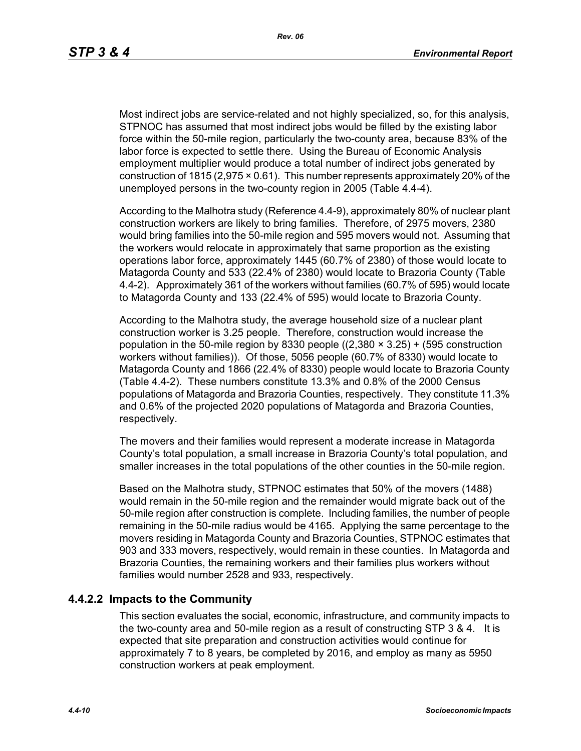Most indirect jobs are service-related and not highly specialized, so, for this analysis, STPNOC has assumed that most indirect jobs would be filled by the existing labor force within the 50-mile region, particularly the two-county area, because 83% of the labor force is expected to settle there. Using the Bureau of Economic Analysis employment multiplier would produce a total number of indirect jobs generated by construction of 1815 (2,975 × 0.61). This number represents approximately 20% of the unemployed persons in the two-county region in 2005 (Table 4.4-4).

According to the Malhotra study (Reference 4.4-9), approximately 80% of nuclear plant construction workers are likely to bring families. Therefore, of 2975 movers, 2380 would bring families into the 50-mile region and 595 movers would not. Assuming that the workers would relocate in approximately that same proportion as the existing operations labor force, approximately 1445 (60.7% of 2380) of those would locate to Matagorda County and 533 (22.4% of 2380) would locate to Brazoria County (Table 4.4-2). Approximately 361 of the workers without families (60.7% of 595) would locate to Matagorda County and 133 (22.4% of 595) would locate to Brazoria County.

According to the Malhotra study, the average household size of a nuclear plant construction worker is 3.25 people. Therefore, construction would increase the population in the 50-mile region by 8330 people  $((2,380 \times 3.25) + (595$  construction workers without families)). Of those, 5056 people (60.7% of 8330) would locate to Matagorda County and 1866 (22.4% of 8330) people would locate to Brazoria County (Table 4.4-2). These numbers constitute 13.3% and 0.8% of the 2000 Census populations of Matagorda and Brazoria Counties, respectively. They constitute 11.3% and 0.6% of the projected 2020 populations of Matagorda and Brazoria Counties, respectively.

The movers and their families would represent a moderate increase in Matagorda County's total population, a small increase in Brazoria County's total population, and smaller increases in the total populations of the other counties in the 50-mile region.

Based on the Malhotra study, STPNOC estimates that 50% of the movers (1488) would remain in the 50-mile region and the remainder would migrate back out of the 50-mile region after construction is complete. Including families, the number of people remaining in the 50-mile radius would be 4165. Applying the same percentage to the movers residing in Matagorda County and Brazoria Counties, STPNOC estimates that 903 and 333 movers, respectively, would remain in these counties. In Matagorda and Brazoria Counties, the remaining workers and their families plus workers without families would number 2528 and 933, respectively.

## **4.4.2.2 Impacts to the Community**

This section evaluates the social, economic, infrastructure, and community impacts to the two-county area and 50-mile region as a result of constructing STP 3 & 4. It is expected that site preparation and construction activities would continue for approximately 7 to 8 years, be completed by 2016, and employ as many as 5950 construction workers at peak employment.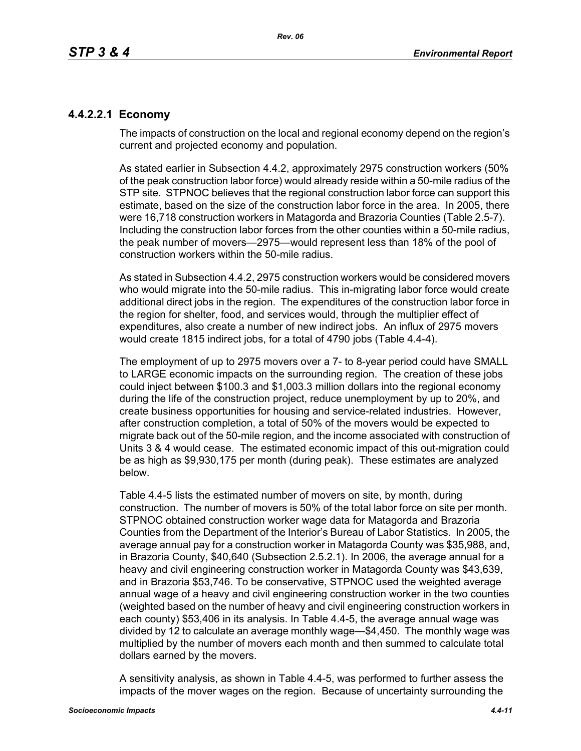# **4.4.2.2.1 Economy**

The impacts of construction on the local and regional economy depend on the region's current and projected economy and population.

As stated earlier in Subsection 4.4.2, approximately 2975 construction workers (50% of the peak construction labor force) would already reside within a 50-mile radius of the STP site. STPNOC believes that the regional construction labor force can support this estimate, based on the size of the construction labor force in the area. In 2005, there were 16,718 construction workers in Matagorda and Brazoria Counties (Table 2.5-7). Including the construction labor forces from the other counties within a 50-mile radius, the peak number of movers—2975—would represent less than 18% of the pool of construction workers within the 50-mile radius.

As stated in Subsection 4.4.2, 2975 construction workers would be considered movers who would migrate into the 50-mile radius. This in-migrating labor force would create additional direct jobs in the region. The expenditures of the construction labor force in the region for shelter, food, and services would, through the multiplier effect of expenditures, also create a number of new indirect jobs. An influx of 2975 movers would create 1815 indirect jobs, for a total of 4790 jobs (Table 4.4-4).

The employment of up to 2975 movers over a 7- to 8-year period could have SMALL to LARGE economic impacts on the surrounding region. The creation of these jobs could inject between \$100.3 and \$1,003.3 million dollars into the regional economy during the life of the construction project, reduce unemployment by up to 20%, and create business opportunities for housing and service-related industries. However, after construction completion, a total of 50% of the movers would be expected to migrate back out of the 50-mile region, and the income associated with construction of Units 3 & 4 would cease. The estimated economic impact of this out-migration could be as high as \$9,930,175 per month (during peak). These estimates are analyzed below.

Table 4.4-5 lists the estimated number of movers on site, by month, during construction. The number of movers is 50% of the total labor force on site per month. STPNOC obtained construction worker wage data for Matagorda and Brazoria Counties from the Department of the Interior's Bureau of Labor Statistics. In 2005, the average annual pay for a construction worker in Matagorda County was \$35,988, and, in Brazoria County, \$40,640 (Subsection 2.5.2.1). In 2006, the average annual for a heavy and civil engineering construction worker in Matagorda County was \$43,639, and in Brazoria \$53,746. To be conservative, STPNOC used the weighted average annual wage of a heavy and civil engineering construction worker in the two counties (weighted based on the number of heavy and civil engineering construction workers in each county) \$53,406 in its analysis. In Table 4.4-5, the average annual wage was divided by 12 to calculate an average monthly wage—\$4,450. The monthly wage was multiplied by the number of movers each month and then summed to calculate total dollars earned by the movers.

A sensitivity analysis, as shown in Table 4.4-5, was performed to further assess the impacts of the mover wages on the region. Because of uncertainty surrounding the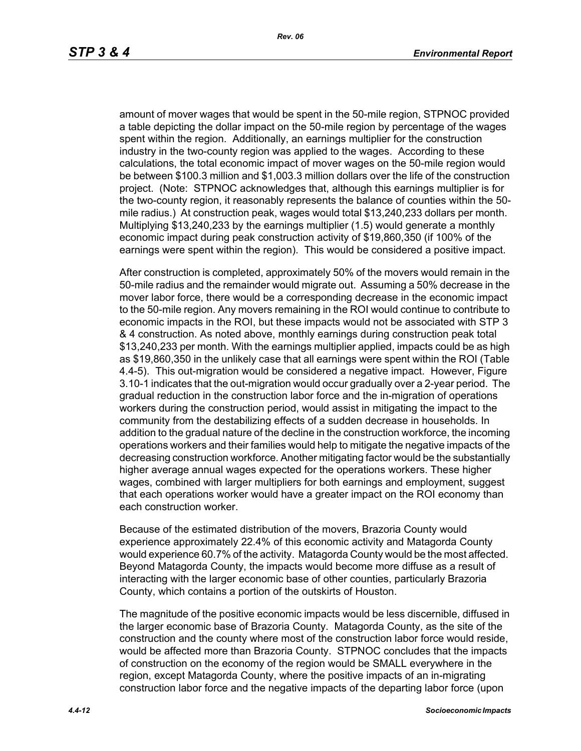amount of mover wages that would be spent in the 50-mile region, STPNOC provided a table depicting the dollar impact on the 50-mile region by percentage of the wages spent within the region. Additionally, an earnings multiplier for the construction industry in the two-county region was applied to the wages. According to these calculations, the total economic impact of mover wages on the 50-mile region would be between \$100.3 million and \$1,003.3 million dollars over the life of the construction project. (Note: STPNOC acknowledges that, although this earnings multiplier is for the two-county region, it reasonably represents the balance of counties within the 50 mile radius.) At construction peak, wages would total \$13,240,233 dollars per month. Multiplying \$13,240,233 by the earnings multiplier (1.5) would generate a monthly economic impact during peak construction activity of \$19,860,350 (if 100% of the earnings were spent within the region). This would be considered a positive impact.

After construction is completed, approximately 50% of the movers would remain in the 50-mile radius and the remainder would migrate out. Assuming a 50% decrease in the mover labor force, there would be a corresponding decrease in the economic impact to the 50-mile region. Any movers remaining in the ROI would continue to contribute to economic impacts in the ROI, but these impacts would not be associated with STP 3 & 4 construction. As noted above, monthly earnings during construction peak total \$13,240,233 per month. With the earnings multiplier applied, impacts could be as high as \$19,860,350 in the unlikely case that all earnings were spent within the ROI (Table 4.4-5). This out-migration would be considered a negative impact. However, Figure 3.10-1 indicates that the out-migration would occur gradually over a 2-year period. The gradual reduction in the construction labor force and the in-migration of operations workers during the construction period, would assist in mitigating the impact to the community from the destabilizing effects of a sudden decrease in households. In addition to the gradual nature of the decline in the construction workforce, the incoming operations workers and their families would help to mitigate the negative impacts of the decreasing construction workforce. Another mitigating factor would be the substantially higher average annual wages expected for the operations workers. These higher wages, combined with larger multipliers for both earnings and employment, suggest that each operations worker would have a greater impact on the ROI economy than each construction worker.

Because of the estimated distribution of the movers, Brazoria County would experience approximately 22.4% of this economic activity and Matagorda County would experience 60.7% of the activity. Matagorda County would be the most affected. Beyond Matagorda County, the impacts would become more diffuse as a result of interacting with the larger economic base of other counties, particularly Brazoria County, which contains a portion of the outskirts of Houston.

The magnitude of the positive economic impacts would be less discernible, diffused in the larger economic base of Brazoria County. Matagorda County, as the site of the construction and the county where most of the construction labor force would reside, would be affected more than Brazoria County. STPNOC concludes that the impacts of construction on the economy of the region would be SMALL everywhere in the region, except Matagorda County, where the positive impacts of an in-migrating construction labor force and the negative impacts of the departing labor force (upon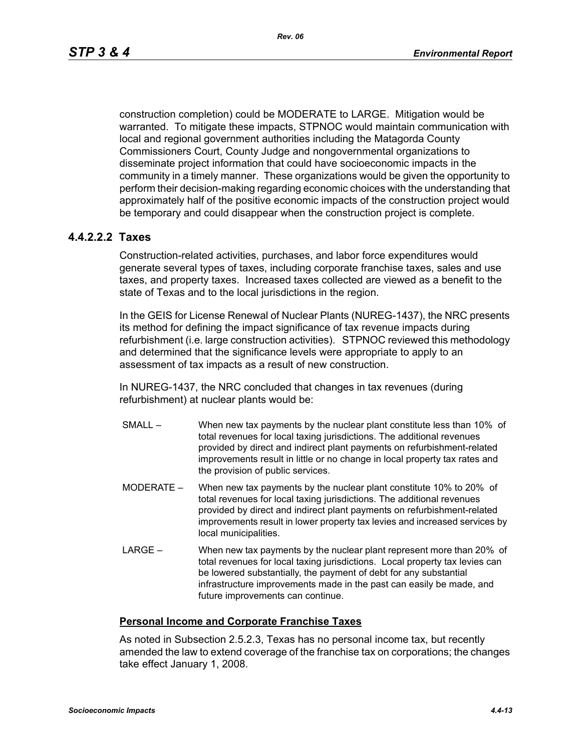construction completion) could be MODERATE to LARGE. Mitigation would be warranted. To mitigate these impacts, STPNOC would maintain communication with local and regional government authorities including the Matagorda County Commissioners Court, County Judge and nongovernmental organizations to disseminate project information that could have socioeconomic impacts in the community in a timely manner. These organizations would be given the opportunity to perform their decision-making regarding economic choices with the understanding that approximately half of the positive economic impacts of the construction project would be temporary and could disappear when the construction project is complete.

# **4.4.2.2.2 Taxes**

Construction-related activities, purchases, and labor force expenditures would generate several types of taxes, including corporate franchise taxes, sales and use taxes, and property taxes. Increased taxes collected are viewed as a benefit to the state of Texas and to the local jurisdictions in the region.

In the GEIS for License Renewal of Nuclear Plants (NUREG-1437), the NRC presents its method for defining the impact significance of tax revenue impacts during refurbishment (i.e. large construction activities). STPNOC reviewed this methodology and determined that the significance levels were appropriate to apply to an assessment of tax impacts as a result of new construction.

In NUREG-1437, the NRC concluded that changes in tax revenues (during refurbishment) at nuclear plants would be:

- SMALL When new tax payments by the nuclear plant constitute less than 10% of total revenues for local taxing jurisdictions. The additional revenues provided by direct and indirect plant payments on refurbishment-related improvements result in little or no change in local property tax rates and the provision of public services.
- MODERATE When new tax payments by the nuclear plant constitute 10% to 20% of total revenues for local taxing jurisdictions. The additional revenues provided by direct and indirect plant payments on refurbishment-related improvements result in lower property tax levies and increased services by local municipalities.
- LARGE When new tax payments by the nuclear plant represent more than 20% of total revenues for local taxing jurisdictions. Local property tax levies can be lowered substantially, the payment of debt for any substantial infrastructure improvements made in the past can easily be made, and future improvements can continue.

## **Personal Income and Corporate Franchise Taxes**

As noted in Subsection 2.5.2.3, Texas has no personal income tax, but recently amended the law to extend coverage of the franchise tax on corporations; the changes take effect January 1, 2008.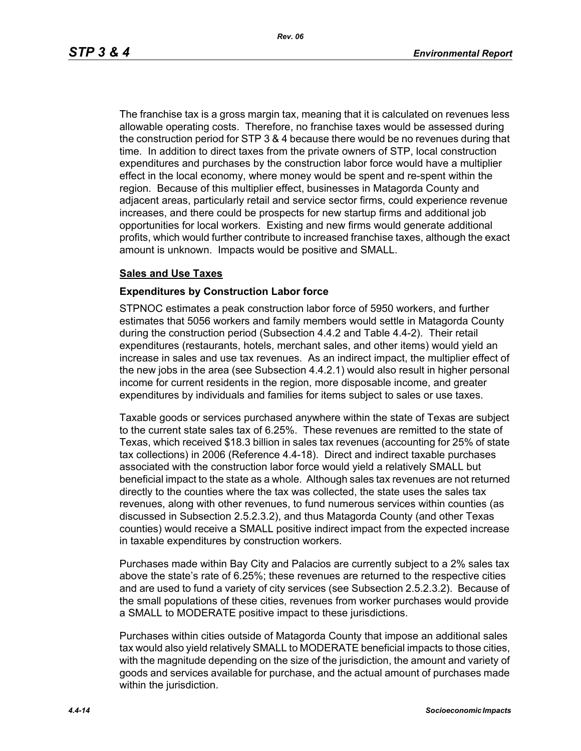The franchise tax is a gross margin tax, meaning that it is calculated on revenues less allowable operating costs. Therefore, no franchise taxes would be assessed during the construction period for STP 3 & 4 because there would be no revenues during that time. In addition to direct taxes from the private owners of STP, local construction expenditures and purchases by the construction labor force would have a multiplier effect in the local economy, where money would be spent and re-spent within the region. Because of this multiplier effect, businesses in Matagorda County and adjacent areas, particularly retail and service sector firms, could experience revenue increases, and there could be prospects for new startup firms and additional job opportunities for local workers. Existing and new firms would generate additional profits, which would further contribute to increased franchise taxes, although the exact amount is unknown. Impacts would be positive and SMALL.

#### **Sales and Use Taxes**

#### **Expenditures by Construction Labor force**

STPNOC estimates a peak construction labor force of 5950 workers, and further estimates that 5056 workers and family members would settle in Matagorda County during the construction period (Subsection 4.4.2 and Table 4.4-2). Their retail expenditures (restaurants, hotels, merchant sales, and other items) would yield an increase in sales and use tax revenues. As an indirect impact, the multiplier effect of the new jobs in the area (see Subsection 4.4.2.1) would also result in higher personal income for current residents in the region, more disposable income, and greater expenditures by individuals and families for items subject to sales or use taxes.

Taxable goods or services purchased anywhere within the state of Texas are subject to the current state sales tax of 6.25%. These revenues are remitted to the state of Texas, which received \$18.3 billion in sales tax revenues (accounting for 25% of state tax collections) in 2006 (Reference 4.4-18). Direct and indirect taxable purchases associated with the construction labor force would yield a relatively SMALL but beneficial impact to the state as a whole. Although sales tax revenues are not returned directly to the counties where the tax was collected, the state uses the sales tax revenues, along with other revenues, to fund numerous services within counties (as discussed in Subsection 2.5.2.3.2), and thus Matagorda County (and other Texas counties) would receive a SMALL positive indirect impact from the expected increase in taxable expenditures by construction workers.

Purchases made within Bay City and Palacios are currently subject to a 2% sales tax above the state's rate of 6.25%; these revenues are returned to the respective cities and are used to fund a variety of city services (see Subsection 2.5.2.3.2). Because of the small populations of these cities, revenues from worker purchases would provide a SMALL to MODERATE positive impact to these jurisdictions.

Purchases within cities outside of Matagorda County that impose an additional sales tax would also yield relatively SMALL to MODERATE beneficial impacts to those cities, with the magnitude depending on the size of the jurisdiction, the amount and variety of goods and services available for purchase, and the actual amount of purchases made within the jurisdiction.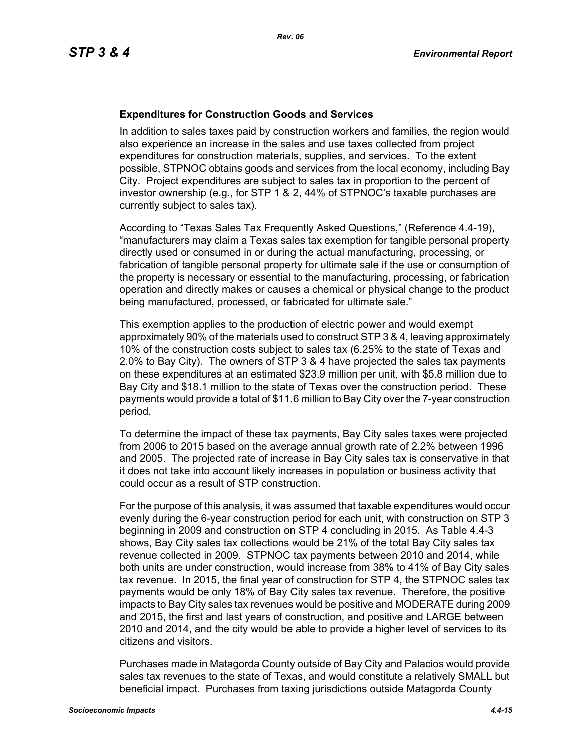#### **Expenditures for Construction Goods and Services**

In addition to sales taxes paid by construction workers and families, the region would also experience an increase in the sales and use taxes collected from project expenditures for construction materials, supplies, and services. To the extent possible, STPNOC obtains goods and services from the local economy, including Bay City. Project expenditures are subject to sales tax in proportion to the percent of investor ownership (e.g., for STP 1 & 2, 44% of STPNOC's taxable purchases are currently subject to sales tax).

According to "Texas Sales Tax Frequently Asked Questions," (Reference 4.4-19), "manufacturers may claim a Texas sales tax exemption for tangible personal property directly used or consumed in or during the actual manufacturing, processing, or fabrication of tangible personal property for ultimate sale if the use or consumption of the property is necessary or essential to the manufacturing, processing, or fabrication operation and directly makes or causes a chemical or physical change to the product being manufactured, processed, or fabricated for ultimate sale."

This exemption applies to the production of electric power and would exempt approximately 90% of the materials used to construct STP 3 & 4, leaving approximately 10% of the construction costs subject to sales tax (6.25% to the state of Texas and 2.0% to Bay City). The owners of STP 3 & 4 have projected the sales tax payments on these expenditures at an estimated \$23.9 million per unit, with \$5.8 million due to Bay City and \$18.1 million to the state of Texas over the construction period. These payments would provide a total of \$11.6 million to Bay City over the 7-year construction period.

To determine the impact of these tax payments, Bay City sales taxes were projected from 2006 to 2015 based on the average annual growth rate of 2.2% between 1996 and 2005. The projected rate of increase in Bay City sales tax is conservative in that it does not take into account likely increases in population or business activity that could occur as a result of STP construction.

For the purpose of this analysis, it was assumed that taxable expenditures would occur evenly during the 6-year construction period for each unit, with construction on STP 3 beginning in 2009 and construction on STP 4 concluding in 2015. As Table 4.4-3 shows, Bay City sales tax collections would be 21% of the total Bay City sales tax revenue collected in 2009. STPNOC tax payments between 2010 and 2014, while both units are under construction, would increase from 38% to 41% of Bay City sales tax revenue. In 2015, the final year of construction for STP 4, the STPNOC sales tax payments would be only 18% of Bay City sales tax revenue. Therefore, the positive impacts to Bay City sales tax revenues would be positive and MODERATE during 2009 and 2015, the first and last years of construction, and positive and LARGE between 2010 and 2014, and the city would be able to provide a higher level of services to its citizens and visitors.

Purchases made in Matagorda County outside of Bay City and Palacios would provide sales tax revenues to the state of Texas, and would constitute a relatively SMALL but beneficial impact. Purchases from taxing jurisdictions outside Matagorda County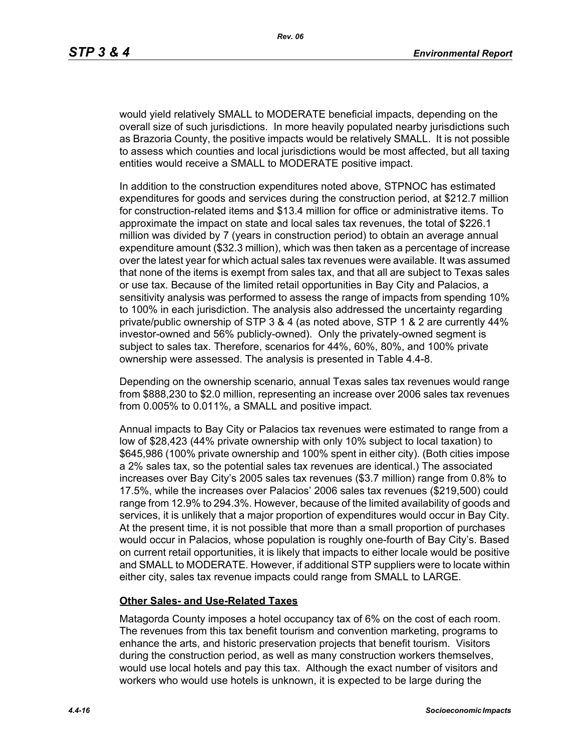would yield relatively SMALL to MODERATE beneficial impacts, depending on the overall size of such jurisdictions. In more heavily populated nearby jurisdictions such as Brazoria County, the positive impacts would be relatively SMALL. It is not possible to assess which counties and local jurisdictions would be most affected, but all taxing entities would receive a SMALL to MODERATE positive impact.

In addition to the construction expenditures noted above, STPNOC has estimated expenditures for goods and services during the construction period, at \$212.7 million for construction-related items and \$13.4 million for office or administrative items. To approximate the impact on state and local sales tax revenues, the total of \$226.1 million was divided by 7 (years in construction period) to obtain an average annual expenditure amount (\$32.3 million), which was then taken as a percentage of increase over the latest year for which actual sales tax revenues were available. It was assumed that none of the items is exempt from sales tax, and that all are subject to Texas sales or use tax. Because of the limited retail opportunities in Bay City and Palacios, a sensitivity analysis was performed to assess the range of impacts from spending 10% to 100% in each jurisdiction. The analysis also addressed the uncertainty regarding private/public ownership of STP 3 & 4 (as noted above, STP 1 & 2 are currently 44% investor-owned and 56% publicly-owned). Only the privately-owned segment is subject to sales tax. Therefore, scenarios for 44%, 60%, 80%, and 100% private ownership were assessed. The analysis is presented in Table 4.4-8.

Depending on the ownership scenario, annual Texas sales tax revenues would range from \$888,230 to \$2.0 million, representing an increase over 2006 sales tax revenues from 0.005% to 0.011%, a SMALL and positive impact.

Annual impacts to Bay City or Palacios tax revenues were estimated to range from a low of \$28,423 (44% private ownership with only 10% subject to local taxation) to \$645,986 (100% private ownership and 100% spent in either city). (Both cities impose a 2% sales tax, so the potential sales tax revenues are identical.) The associated increases over Bay City's 2005 sales tax revenues (\$3.7 million) range from 0.8% to 17.5%, while the increases over Palacios' 2006 sales tax revenues (\$219,500) could range from 12.9% to 294.3%. However, because of the limited availability of goods and services, it is unlikely that a major proportion of expenditures would occur in Bay City. At the present time, it is not possible that more than a small proportion of purchases would occur in Palacios, whose population is roughly one-fourth of Bay City's. Based on current retail opportunities, it is likely that impacts to either locale would be positive and SMALL to MODERATE. However, if additional STP suppliers were to locate within either city, sales tax revenue impacts could range from SMALL to LARGE.

#### **Other Sales- and Use-Related Taxes**

Matagorda County imposes a hotel occupancy tax of 6% on the cost of each room. The revenues from this tax benefit tourism and convention marketing, programs to enhance the arts, and historic preservation projects that benefit tourism. Visitors during the construction period, as well as many construction workers themselves, would use local hotels and pay this tax. Although the exact number of visitors and workers who would use hotels is unknown, it is expected to be large during the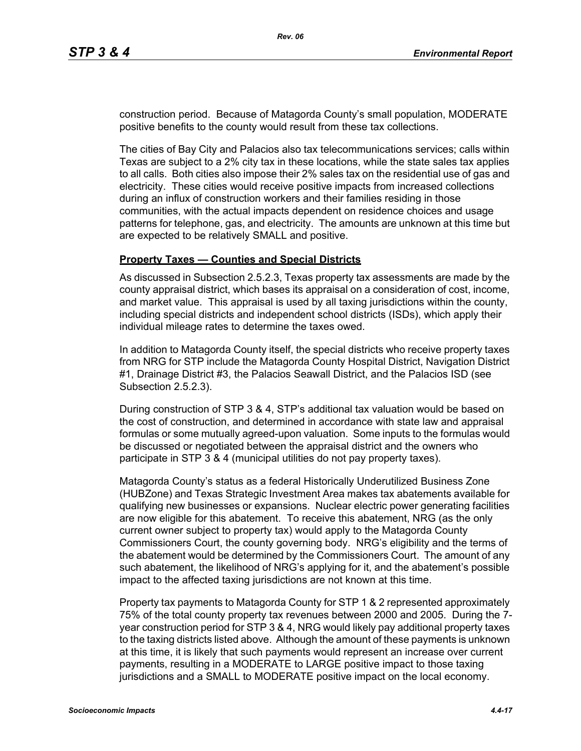construction period. Because of Matagorda County's small population, MODERATE positive benefits to the county would result from these tax collections.

The cities of Bay City and Palacios also tax telecommunications services; calls within Texas are subject to a 2% city tax in these locations, while the state sales tax applies to all calls. Both cities also impose their 2% sales tax on the residential use of gas and electricity. These cities would receive positive impacts from increased collections during an influx of construction workers and their families residing in those communities, with the actual impacts dependent on residence choices and usage patterns for telephone, gas, and electricity. The amounts are unknown at this time but are expected to be relatively SMALL and positive.

#### **Property Taxes — Counties and Special Districts**

As discussed in Subsection 2.5.2.3, Texas property tax assessments are made by the county appraisal district, which bases its appraisal on a consideration of cost, income, and market value. This appraisal is used by all taxing jurisdictions within the county, including special districts and independent school districts (ISDs), which apply their individual mileage rates to determine the taxes owed.

In addition to Matagorda County itself, the special districts who receive property taxes from NRG for STP include the Matagorda County Hospital District, Navigation District #1, Drainage District #3, the Palacios Seawall District, and the Palacios ISD (see Subsection 2.5.2.3).

During construction of STP 3 & 4, STP's additional tax valuation would be based on the cost of construction, and determined in accordance with state law and appraisal formulas or some mutually agreed-upon valuation. Some inputs to the formulas would be discussed or negotiated between the appraisal district and the owners who participate in STP 3 & 4 (municipal utilities do not pay property taxes).

Matagorda County's status as a federal Historically Underutilized Business Zone (HUBZone) and Texas Strategic Investment Area makes tax abatements available for qualifying new businesses or expansions. Nuclear electric power generating facilities are now eligible for this abatement. To receive this abatement, NRG (as the only current owner subject to property tax) would apply to the Matagorda County Commissioners Court, the county governing body. NRG's eligibility and the terms of the abatement would be determined by the Commissioners Court. The amount of any such abatement, the likelihood of NRG's applying for it, and the abatement's possible impact to the affected taxing jurisdictions are not known at this time.

Property tax payments to Matagorda County for STP 1 & 2 represented approximately 75% of the total county property tax revenues between 2000 and 2005. During the 7 year construction period for STP 3 & 4, NRG would likely pay additional property taxes to the taxing districts listed above. Although the amount of these payments is unknown at this time, it is likely that such payments would represent an increase over current payments, resulting in a MODERATE to LARGE positive impact to those taxing jurisdictions and a SMALL to MODERATE positive impact on the local economy.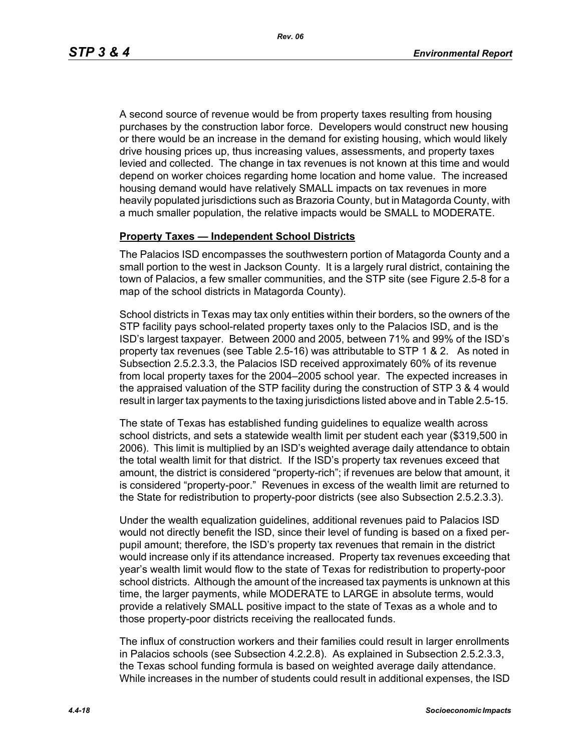A second source of revenue would be from property taxes resulting from housing purchases by the construction labor force. Developers would construct new housing or there would be an increase in the demand for existing housing, which would likely drive housing prices up, thus increasing values, assessments, and property taxes levied and collected. The change in tax revenues is not known at this time and would depend on worker choices regarding home location and home value. The increased housing demand would have relatively SMALL impacts on tax revenues in more heavily populated jurisdictions such as Brazoria County, but in Matagorda County, with a much smaller population, the relative impacts would be SMALL to MODERATE.

#### **Property Taxes — Independent School Districts**

The Palacios ISD encompasses the southwestern portion of Matagorda County and a small portion to the west in Jackson County. It is a largely rural district, containing the town of Palacios, a few smaller communities, and the STP site (see Figure 2.5-8 for a map of the school districts in Matagorda County).

School districts in Texas may tax only entities within their borders, so the owners of the STP facility pays school-related property taxes only to the Palacios ISD, and is the ISD's largest taxpayer. Between 2000 and 2005, between 71% and 99% of the ISD's property tax revenues (see Table 2.5-16) was attributable to STP 1 & 2. As noted in Subsection 2.5.2.3.3, the Palacios ISD received approximately 60% of its revenue from local property taxes for the 2004–2005 school year. The expected increases in the appraised valuation of the STP facility during the construction of STP 3 & 4 would result in larger tax payments to the taxing jurisdictions listed above and in Table 2.5-15.

The state of Texas has established funding guidelines to equalize wealth across school districts, and sets a statewide wealth limit per student each year (\$319,500 in 2006). This limit is multiplied by an ISD's weighted average daily attendance to obtain the total wealth limit for that district. If the ISD's property tax revenues exceed that amount, the district is considered "property-rich"; if revenues are below that amount, it is considered "property-poor." Revenues in excess of the wealth limit are returned to the State for redistribution to property-poor districts (see also Subsection 2.5.2.3.3).

Under the wealth equalization guidelines, additional revenues paid to Palacios ISD would not directly benefit the ISD, since their level of funding is based on a fixed perpupil amount; therefore, the ISD's property tax revenues that remain in the district would increase only if its attendance increased. Property tax revenues exceeding that year's wealth limit would flow to the state of Texas for redistribution to property-poor school districts. Although the amount of the increased tax payments is unknown at this time, the larger payments, while MODERATE to LARGE in absolute terms, would provide a relatively SMALL positive impact to the state of Texas as a whole and to those property-poor districts receiving the reallocated funds.

The influx of construction workers and their families could result in larger enrollments in Palacios schools (see Subsection 4.2.2.8). As explained in Subsection 2.5.2.3.3, the Texas school funding formula is based on weighted average daily attendance. While increases in the number of students could result in additional expenses, the ISD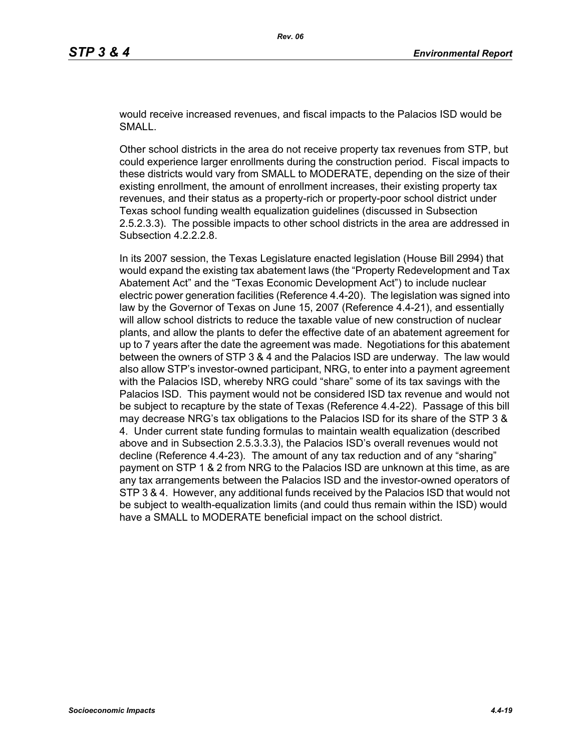would receive increased revenues, and fiscal impacts to the Palacios ISD would be SMALL.

Other school districts in the area do not receive property tax revenues from STP, but could experience larger enrollments during the construction period. Fiscal impacts to these districts would vary from SMALL to MODERATE, depending on the size of their existing enrollment, the amount of enrollment increases, their existing property tax revenues, and their status as a property-rich or property-poor school district under Texas school funding wealth equalization guidelines (discussed in Subsection 2.5.2.3.3). The possible impacts to other school districts in the area are addressed in Subsection 4.2.2.2.8.

In its 2007 session, the Texas Legislature enacted legislation (House Bill 2994) that would expand the existing tax abatement laws (the "Property Redevelopment and Tax Abatement Act" and the "Texas Economic Development Act") to include nuclear electric power generation facilities (Reference 4.4-20). The legislation was signed into law by the Governor of Texas on June 15, 2007 (Reference 4.4-21), and essentially will allow school districts to reduce the taxable value of new construction of nuclear plants, and allow the plants to defer the effective date of an abatement agreement for up to 7 years after the date the agreement was made. Negotiations for this abatement between the owners of STP 3 & 4 and the Palacios ISD are underway. The law would also allow STP's investor-owned participant, NRG, to enter into a payment agreement with the Palacios ISD, whereby NRG could "share" some of its tax savings with the Palacios ISD. This payment would not be considered ISD tax revenue and would not be subject to recapture by the state of Texas (Reference 4.4-22). Passage of this bill may decrease NRG's tax obligations to the Palacios ISD for its share of the STP 3 & 4. Under current state funding formulas to maintain wealth equalization (described above and in Subsection 2.5.3.3.3), the Palacios ISD's overall revenues would not decline (Reference 4.4-23). The amount of any tax reduction and of any "sharing" payment on STP 1 & 2 from NRG to the Palacios ISD are unknown at this time, as are any tax arrangements between the Palacios ISD and the investor-owned operators of STP 3 & 4. However, any additional funds received by the Palacios ISD that would not be subject to wealth-equalization limits (and could thus remain within the ISD) would have a SMALL to MODERATE beneficial impact on the school district.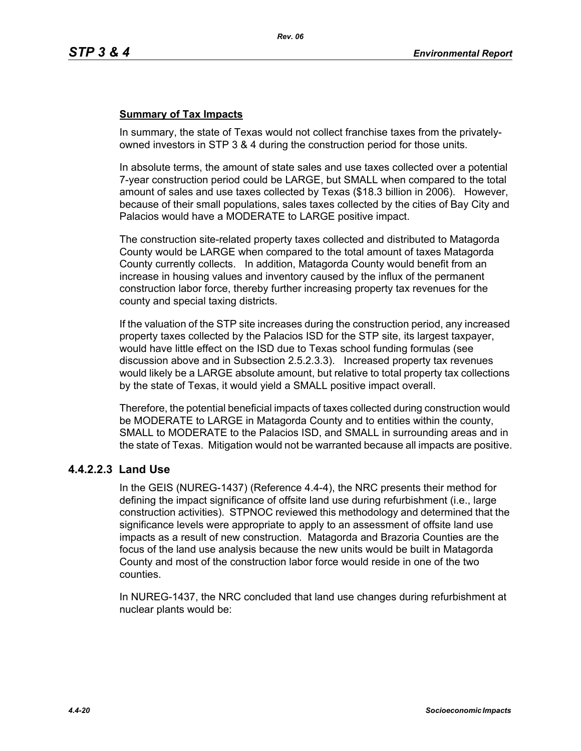# **Summary of Tax Impacts**

In summary, the state of Texas would not collect franchise taxes from the privatelyowned investors in STP 3 & 4 during the construction period for those units.

In absolute terms, the amount of state sales and use taxes collected over a potential 7-year construction period could be LARGE, but SMALL when compared to the total amount of sales and use taxes collected by Texas (\$18.3 billion in 2006). However, because of their small populations, sales taxes collected by the cities of Bay City and Palacios would have a MODERATE to LARGE positive impact.

The construction site-related property taxes collected and distributed to Matagorda County would be LARGE when compared to the total amount of taxes Matagorda County currently collects. In addition, Matagorda County would benefit from an increase in housing values and inventory caused by the influx of the permanent construction labor force, thereby further increasing property tax revenues for the county and special taxing districts.

If the valuation of the STP site increases during the construction period, any increased property taxes collected by the Palacios ISD for the STP site, its largest taxpayer, would have little effect on the ISD due to Texas school funding formulas (see discussion above and in Subsection 2.5.2.3.3). Increased property tax revenues would likely be a LARGE absolute amount, but relative to total property tax collections by the state of Texas, it would yield a SMALL positive impact overall.

Therefore, the potential beneficial impacts of taxes collected during construction would be MODERATE to LARGE in Matagorda County and to entities within the county, SMALL to MODERATE to the Palacios ISD, and SMALL in surrounding areas and in the state of Texas. Mitigation would not be warranted because all impacts are positive.

## **4.4.2.2.3 Land Use**

In the GEIS (NUREG-1437) (Reference 4.4-4), the NRC presents their method for defining the impact significance of offsite land use during refurbishment (i.e., large construction activities). STPNOC reviewed this methodology and determined that the significance levels were appropriate to apply to an assessment of offsite land use impacts as a result of new construction. Matagorda and Brazoria Counties are the focus of the land use analysis because the new units would be built in Matagorda County and most of the construction labor force would reside in one of the two counties.

In NUREG-1437, the NRC concluded that land use changes during refurbishment at nuclear plants would be: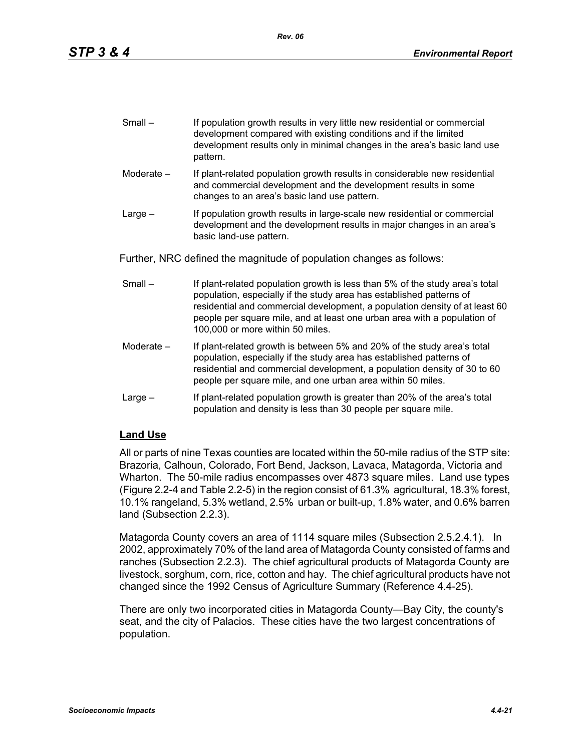| $Small -$ | If population growth results in very little new residential or commercial |
|-----------|---------------------------------------------------------------------------|
|           | development compared with existing conditions and if the limited          |
|           | development results only in minimal changes in the area's basic land use  |
|           | pattern.                                                                  |

- Moderate If plant-related population growth results in considerable new residential and commercial development and the development results in some changes to an area's basic land use pattern.
- Large If population growth results in large-scale new residential or commercial development and the development results in major changes in an area's basic land-use pattern.

Further, NRC defined the magnitude of population changes as follows:

- Small If plant-related population growth is less than 5% of the study area's total population, especially if the study area has established patterns of residential and commercial development, a population density of at least 60 people per square mile, and at least one urban area with a population of 100,000 or more within 50 miles.
- Moderate If plant-related growth is between 5% and 20% of the study area's total population, especially if the study area has established patterns of residential and commercial development, a population density of 30 to 60 people per square mile, and one urban area within 50 miles.
- Large If plant-related population growth is greater than 20% of the area's total population and density is less than 30 people per square mile.

# **Land Use**

All or parts of nine Texas counties are located within the 50-mile radius of the STP site: Brazoria, Calhoun, Colorado, Fort Bend, Jackson, Lavaca, Matagorda, Victoria and Wharton. The 50-mile radius encompasses over 4873 square miles. Land use types (Figure 2.2-4 and Table 2.2-5) in the region consist of 61.3% agricultural, 18.3% forest, 10.1% rangeland, 5.3% wetland, 2.5% urban or built-up, 1.8% water, and 0.6% barren land (Subsection 2.2.3).

Matagorda County covers an area of 1114 square miles (Subsection 2.5.2.4.1). In 2002, approximately 70% of the land area of Matagorda County consisted of farms and ranches (Subsection 2.2.3). The chief agricultural products of Matagorda County are livestock, sorghum, corn, rice, cotton and hay. The chief agricultural products have not changed since the 1992 Census of Agriculture Summary (Reference 4.4-25).

There are only two incorporated cities in Matagorda County—Bay City, the county's seat, and the city of Palacios. These cities have the two largest concentrations of population.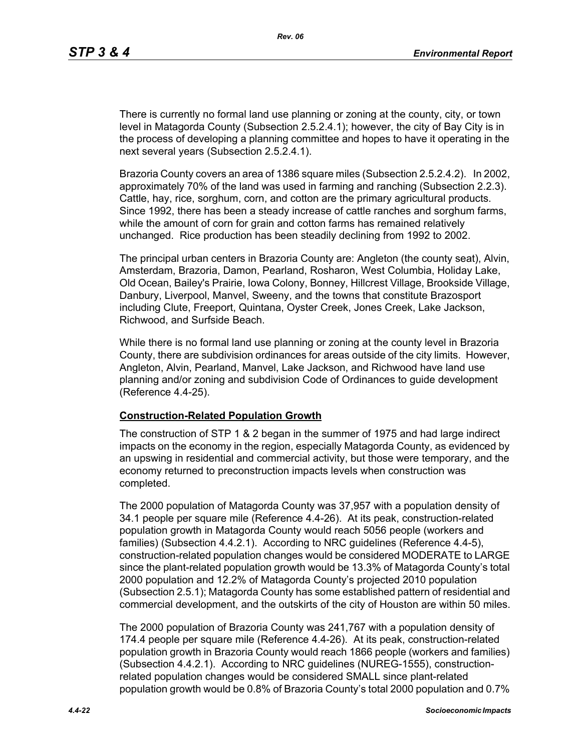There is currently no formal land use planning or zoning at the county, city, or town level in Matagorda County (Subsection 2.5.2.4.1); however, the city of Bay City is in the process of developing a planning committee and hopes to have it operating in the next several years (Subsection 2.5.2.4.1).

Brazoria County covers an area of 1386 square miles (Subsection 2.5.2.4.2). In 2002, approximately 70% of the land was used in farming and ranching (Subsection 2.2.3). Cattle, hay, rice, sorghum, corn, and cotton are the primary agricultural products. Since 1992, there has been a steady increase of cattle ranches and sorghum farms, while the amount of corn for grain and cotton farms has remained relatively unchanged. Rice production has been steadily declining from 1992 to 2002.

The principal urban centers in Brazoria County are: Angleton (the county seat), Alvin, Amsterdam, Brazoria, Damon, Pearland, Rosharon, West Columbia, Holiday Lake, Old Ocean, Bailey's Prairie, Iowa Colony, Bonney, Hillcrest Village, Brookside Village, Danbury, Liverpool, Manvel, Sweeny, and the towns that constitute Brazosport including Clute, Freeport, Quintana, Oyster Creek, Jones Creek, Lake Jackson, Richwood, and Surfside Beach.

While there is no formal land use planning or zoning at the county level in Brazoria County, there are subdivision ordinances for areas outside of the city limits. However, Angleton, Alvin, Pearland, Manvel, Lake Jackson, and Richwood have land use planning and/or zoning and subdivision Code of Ordinances to guide development (Reference 4.4-25).

#### **Construction-Related Population Growth**

The construction of STP 1 & 2 began in the summer of 1975 and had large indirect impacts on the economy in the region, especially Matagorda County, as evidenced by an upswing in residential and commercial activity, but those were temporary, and the economy returned to preconstruction impacts levels when construction was completed.

The 2000 population of Matagorda County was 37,957 with a population density of 34.1 people per square mile (Reference 4.4-26). At its peak, construction-related population growth in Matagorda County would reach 5056 people (workers and families) (Subsection 4.4.2.1). According to NRC guidelines (Reference 4.4-5), construction-related population changes would be considered MODERATE to LARGE since the plant-related population growth would be 13.3% of Matagorda County's total 2000 population and 12.2% of Matagorda County's projected 2010 population (Subsection 2.5.1); Matagorda County has some established pattern of residential and commercial development, and the outskirts of the city of Houston are within 50 miles.

The 2000 population of Brazoria County was 241,767 with a population density of 174.4 people per square mile (Reference 4.4-26). At its peak, construction-related population growth in Brazoria County would reach 1866 people (workers and families) (Subsection 4.4.2.1). According to NRC guidelines (NUREG-1555), constructionrelated population changes would be considered SMALL since plant-related population growth would be 0.8% of Brazoria County's total 2000 population and 0.7%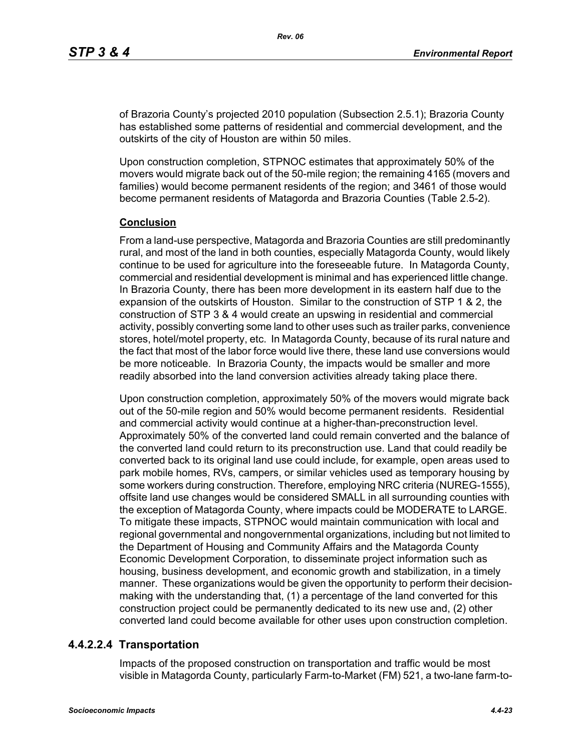of Brazoria County's projected 2010 population (Subsection 2.5.1); Brazoria County has established some patterns of residential and commercial development, and the outskirts of the city of Houston are within 50 miles.

Upon construction completion, STPNOC estimates that approximately 50% of the movers would migrate back out of the 50-mile region; the remaining 4165 (movers and families) would become permanent residents of the region; and 3461 of those would become permanent residents of Matagorda and Brazoria Counties (Table 2.5-2).

#### **Conclusion**

From a land-use perspective, Matagorda and Brazoria Counties are still predominantly rural, and most of the land in both counties, especially Matagorda County, would likely continue to be used for agriculture into the foreseeable future. In Matagorda County, commercial and residential development is minimal and has experienced little change. In Brazoria County, there has been more development in its eastern half due to the expansion of the outskirts of Houston. Similar to the construction of STP 1 & 2, the construction of STP 3 & 4 would create an upswing in residential and commercial activity, possibly converting some land to other uses such as trailer parks, convenience stores, hotel/motel property, etc. In Matagorda County, because of its rural nature and the fact that most of the labor force would live there, these land use conversions would be more noticeable. In Brazoria County, the impacts would be smaller and more readily absorbed into the land conversion activities already taking place there.

Upon construction completion, approximately 50% of the movers would migrate back out of the 50-mile region and 50% would become permanent residents. Residential and commercial activity would continue at a higher-than-preconstruction level. Approximately 50% of the converted land could remain converted and the balance of the converted land could return to its preconstruction use. Land that could readily be converted back to its original land use could include, for example, open areas used to park mobile homes, RVs, campers, or similar vehicles used as temporary housing by some workers during construction. Therefore, employing NRC criteria (NUREG-1555), offsite land use changes would be considered SMALL in all surrounding counties with the exception of Matagorda County, where impacts could be MODERATE to LARGE. To mitigate these impacts, STPNOC would maintain communication with local and regional governmental and nongovernmental organizations, including but not limited to the Department of Housing and Community Affairs and the Matagorda County Economic Development Corporation, to disseminate project information such as housing, business development, and economic growth and stabilization, in a timely manner. These organizations would be given the opportunity to perform their decisionmaking with the understanding that, (1) a percentage of the land converted for this construction project could be permanently dedicated to its new use and, (2) other converted land could become available for other uses upon construction completion.

## **4.4.2.2.4 Transportation**

Impacts of the proposed construction on transportation and traffic would be most visible in Matagorda County, particularly Farm-to-Market (FM) 521, a two-lane farm-to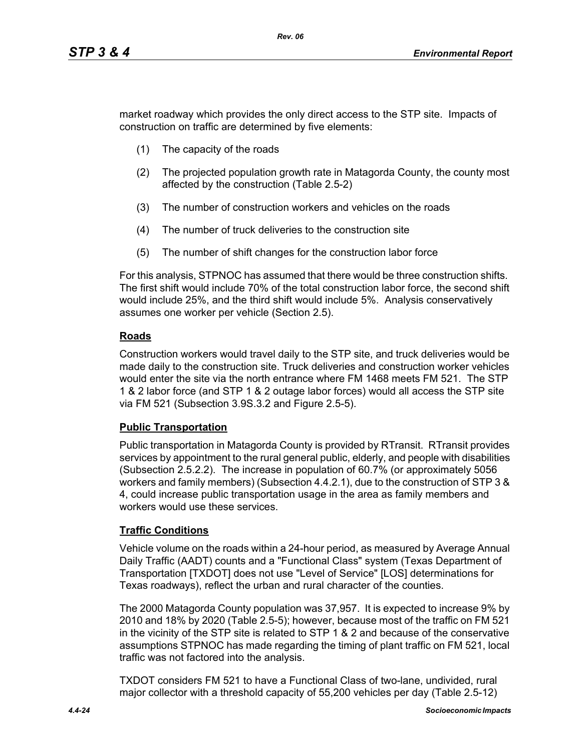market roadway which provides the only direct access to the STP site. Impacts of construction on traffic are determined by five elements:

- (1) The capacity of the roads
- (2) The projected population growth rate in Matagorda County, the county most affected by the construction (Table 2.5-2)
- (3) The number of construction workers and vehicles on the roads
- (4) The number of truck deliveries to the construction site
- (5) The number of shift changes for the construction labor force

For this analysis, STPNOC has assumed that there would be three construction shifts. The first shift would include 70% of the total construction labor force, the second shift would include 25%, and the third shift would include 5%. Analysis conservatively assumes one worker per vehicle (Section 2.5).

# **Roads**

Construction workers would travel daily to the STP site, and truck deliveries would be made daily to the construction site. Truck deliveries and construction worker vehicles would enter the site via the north entrance where FM 1468 meets FM 521. The STP 1 & 2 labor force (and STP 1 & 2 outage labor forces) would all access the STP site via FM 521 (Subsection 3.9S.3.2 and Figure 2.5-5).

## **Public Transportation**

Public transportation in Matagorda County is provided by RTransit. RTransit provides services by appointment to the rural general public, elderly, and people with disabilities (Subsection 2.5.2.2). The increase in population of 60.7% (or approximately 5056 workers and family members) (Subsection 4.4.2.1), due to the construction of STP 3 & 4, could increase public transportation usage in the area as family members and workers would use these services.

# **Traffic Conditions**

Vehicle volume on the roads within a 24-hour period, as measured by Average Annual Daily Traffic (AADT) counts and a "Functional Class" system (Texas Department of Transportation [TXDOT] does not use "Level of Service" [LOS] determinations for Texas roadways), reflect the urban and rural character of the counties.

The 2000 Matagorda County population was 37,957. It is expected to increase 9% by 2010 and 18% by 2020 (Table 2.5-5); however, because most of the traffic on FM 521 in the vicinity of the STP site is related to STP 1 & 2 and because of the conservative assumptions STPNOC has made regarding the timing of plant traffic on FM 521, local traffic was not factored into the analysis.

TXDOT considers FM 521 to have a Functional Class of two-lane, undivided, rural major collector with a threshold capacity of 55,200 vehicles per day (Table 2.5-12)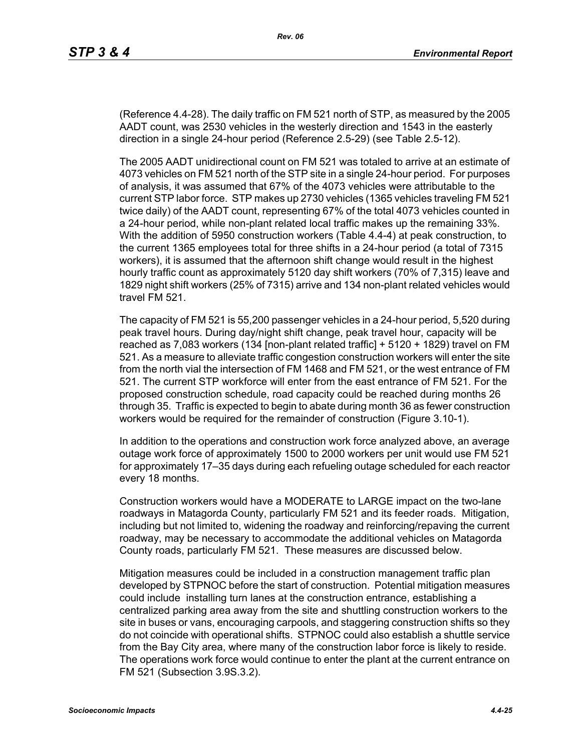(Reference 4.4-28). The daily traffic on FM 521 north of STP, as measured by the 2005 AADT count, was 2530 vehicles in the westerly direction and 1543 in the easterly direction in a single 24-hour period (Reference 2.5-29) (see Table 2.5-12).

The 2005 AADT unidirectional count on FM 521 was totaled to arrive at an estimate of 4073 vehicles on FM 521 north of the STP site in a single 24-hour period. For purposes of analysis, it was assumed that 67% of the 4073 vehicles were attributable to the current STP labor force. STP makes up 2730 vehicles (1365 vehicles traveling FM 521 twice daily) of the AADT count, representing 67% of the total 4073 vehicles counted in a 24-hour period, while non-plant related local traffic makes up the remaining 33%. With the addition of 5950 construction workers (Table 4.4-4) at peak construction, to the current 1365 employees total for three shifts in a 24-hour period (a total of 7315 workers), it is assumed that the afternoon shift change would result in the highest hourly traffic count as approximately 5120 day shift workers (70% of 7,315) leave and 1829 night shift workers (25% of 7315) arrive and 134 non-plant related vehicles would travel FM 521.

The capacity of FM 521 is 55,200 passenger vehicles in a 24-hour period, 5,520 during peak travel hours. During day/night shift change, peak travel hour, capacity will be reached as 7,083 workers (134 [non-plant related traffic] + 5120 + 1829) travel on FM 521. As a measure to alleviate traffic congestion construction workers will enter the site from the north vial the intersection of FM 1468 and FM 521, or the west entrance of FM 521. The current STP workforce will enter from the east entrance of FM 521. For the proposed construction schedule, road capacity could be reached during months 26 through 35. Traffic is expected to begin to abate during month 36 as fewer construction workers would be required for the remainder of construction (Figure 3.10-1).

In addition to the operations and construction work force analyzed above, an average outage work force of approximately 1500 to 2000 workers per unit would use FM 521 for approximately 17–35 days during each refueling outage scheduled for each reactor every 18 months.

Construction workers would have a MODERATE to LARGE impact on the two-lane roadways in Matagorda County, particularly FM 521 and its feeder roads. Mitigation, including but not limited to, widening the roadway and reinforcing/repaving the current roadway, may be necessary to accommodate the additional vehicles on Matagorda County roads, particularly FM 521. These measures are discussed below.

Mitigation measures could be included in a construction management traffic plan developed by STPNOC before the start of construction. Potential mitigation measures could include installing turn lanes at the construction entrance, establishing a centralized parking area away from the site and shuttling construction workers to the site in buses or vans, encouraging carpools, and staggering construction shifts so they do not coincide with operational shifts. STPNOC could also establish a shuttle service from the Bay City area, where many of the construction labor force is likely to reside. The operations work force would continue to enter the plant at the current entrance on FM 521 (Subsection 3.9S.3.2).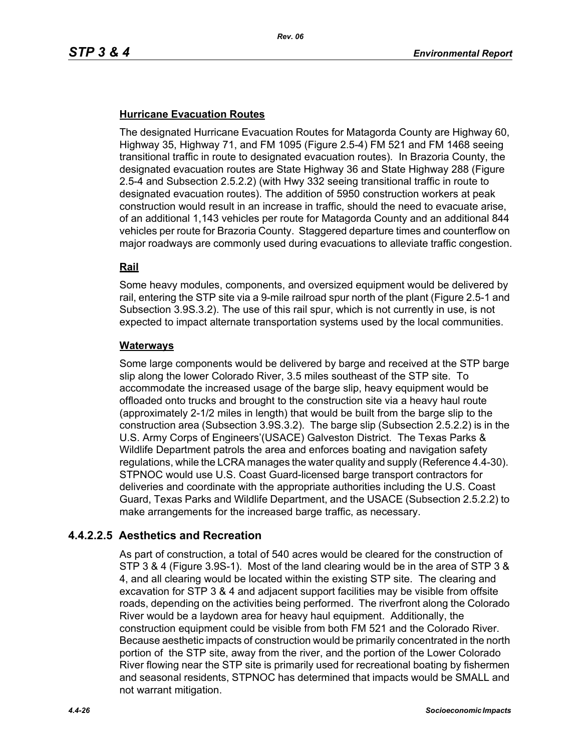# **Hurricane Evacuation Routes**

The designated Hurricane Evacuation Routes for Matagorda County are Highway 60, Highway 35, Highway 71, and FM 1095 (Figure 2.5-4) FM 521 and FM 1468 seeing transitional traffic in route to designated evacuation routes). In Brazoria County, the designated evacuation routes are State Highway 36 and State Highway 288 (Figure 2.5-4 and Subsection 2.5.2.2) (with Hwy 332 seeing transitional traffic in route to designated evacuation routes). The addition of 5950 construction workers at peak construction would result in an increase in traffic, should the need to evacuate arise, of an additional 1,143 vehicles per route for Matagorda County and an additional 844 vehicles per route for Brazoria County. Staggered departure times and counterflow on major roadways are commonly used during evacuations to alleviate traffic congestion.

## **Rail**

Some heavy modules, components, and oversized equipment would be delivered by rail, entering the STP site via a 9-mile railroad spur north of the plant (Figure 2.5-1 and Subsection 3.9S.3.2). The use of this rail spur, which is not currently in use, is not expected to impact alternate transportation systems used by the local communities.

#### **Waterways**

Some large components would be delivered by barge and received at the STP barge slip along the lower Colorado River, 3.5 miles southeast of the STP site. To accommodate the increased usage of the barge slip, heavy equipment would be offloaded onto trucks and brought to the construction site via a heavy haul route (approximately 2-1/2 miles in length) that would be built from the barge slip to the construction area (Subsection 3.9S.3.2). The barge slip (Subsection 2.5.2.2) is in the U.S. Army Corps of Engineers'(USACE) Galveston District. The Texas Parks & Wildlife Department patrols the area and enforces boating and navigation safety regulations, while the LCRA manages the water quality and supply (Reference 4.4-30). STPNOC would use U.S. Coast Guard-licensed barge transport contractors for deliveries and coordinate with the appropriate authorities including the U.S. Coast Guard, Texas Parks and Wildlife Department, and the USACE (Subsection 2.5.2.2) to make arrangements for the increased barge traffic, as necessary.

# **4.4.2.2.5 Aesthetics and Recreation**

As part of construction, a total of 540 acres would be cleared for the construction of STP 3 & 4 (Figure 3.9S-1). Most of the land clearing would be in the area of STP 3 & 4, and all clearing would be located within the existing STP site. The clearing and excavation for STP 3 & 4 and adjacent support facilities may be visible from offsite roads, depending on the activities being performed. The riverfront along the Colorado River would be a laydown area for heavy haul equipment. Additionally, the construction equipment could be visible from both FM 521 and the Colorado River. Because aesthetic impacts of construction would be primarily concentrated in the north portion of the STP site, away from the river, and the portion of the Lower Colorado River flowing near the STP site is primarily used for recreational boating by fishermen and seasonal residents, STPNOC has determined that impacts would be SMALL and not warrant mitigation.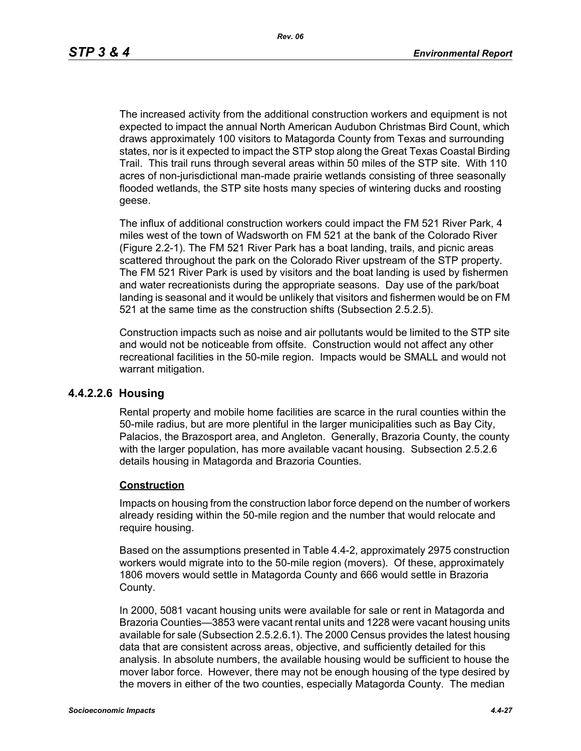The increased activity from the additional construction workers and equipment is not expected to impact the annual North American Audubon Christmas Bird Count, which draws approximately 100 visitors to Matagorda County from Texas and surrounding states, nor is it expected to impact the STP stop along the Great Texas Coastal Birding Trail. This trail runs through several areas within 50 miles of the STP site. With 110 acres of non-jurisdictional man-made prairie wetlands consisting of three seasonally flooded wetlands, the STP site hosts many species of wintering ducks and roosting geese.

The influx of additional construction workers could impact the FM 521 River Park, 4 miles west of the town of Wadsworth on FM 521 at the bank of the Colorado River (Figure 2.2-1). The FM 521 River Park has a boat landing, trails, and picnic areas scattered throughout the park on the Colorado River upstream of the STP property. The FM 521 River Park is used by visitors and the boat landing is used by fishermen and water recreationists during the appropriate seasons. Day use of the park/boat landing is seasonal and it would be unlikely that visitors and fishermen would be on FM 521 at the same time as the construction shifts (Subsection 2.5.2.5).

Construction impacts such as noise and air pollutants would be limited to the STP site and would not be noticeable from offsite. Construction would not affect any other recreational facilities in the 50-mile region. Impacts would be SMALL and would not warrant mitigation.

#### **4.4.2.2.6 Housing**

Rental property and mobile home facilities are scarce in the rural counties within the 50-mile radius, but are more plentiful in the larger municipalities such as Bay City, Palacios, the Brazosport area, and Angleton. Generally, Brazoria County, the county with the larger population, has more available vacant housing. Subsection 2.5.2.6 details housing in Matagorda and Brazoria Counties.

#### **Construction**

Impacts on housing from the construction labor force depend on the number of workers already residing within the 50-mile region and the number that would relocate and require housing.

Based on the assumptions presented in Table 4.4-2, approximately 2975 construction workers would migrate into to the 50-mile region (movers). Of these, approximately 1806 movers would settle in Matagorda County and 666 would settle in Brazoria County.

In 2000, 5081 vacant housing units were available for sale or rent in Matagorda and Brazoria Counties—3853 were vacant rental units and 1228 were vacant housing units available for sale (Subsection 2.5.2.6.1). The 2000 Census provides the latest housing data that are consistent across areas, objective, and sufficiently detailed for this analysis. In absolute numbers, the available housing would be sufficient to house the mover labor force. However, there may not be enough housing of the type desired by the movers in either of the two counties, especially Matagorda County. The median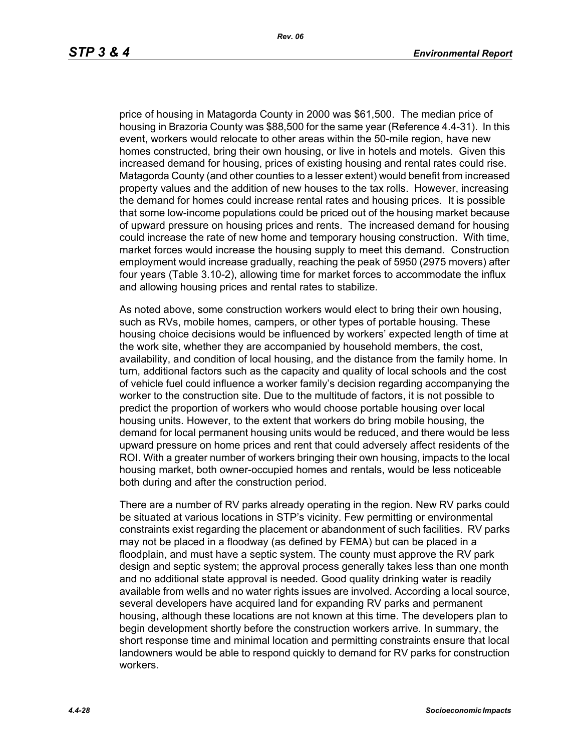price of housing in Matagorda County in 2000 was \$61,500. The median price of housing in Brazoria County was \$88,500 for the same year (Reference 4.4-31). In this event, workers would relocate to other areas within the 50-mile region, have new homes constructed, bring their own housing, or live in hotels and motels. Given this increased demand for housing, prices of existing housing and rental rates could rise. Matagorda County (and other counties to a lesser extent) would benefit from increased property values and the addition of new houses to the tax rolls. However, increasing the demand for homes could increase rental rates and housing prices. It is possible that some low-income populations could be priced out of the housing market because of upward pressure on housing prices and rents. The increased demand for housing could increase the rate of new home and temporary housing construction. With time, market forces would increase the housing supply to meet this demand. Construction employment would increase gradually, reaching the peak of 5950 (2975 movers) after four years (Table 3.10-2), allowing time for market forces to accommodate the influx and allowing housing prices and rental rates to stabilize.

As noted above, some construction workers would elect to bring their own housing, such as RVs, mobile homes, campers, or other types of portable housing. These housing choice decisions would be influenced by workers' expected length of time at the work site, whether they are accompanied by household members, the cost, availability, and condition of local housing, and the distance from the family home. In turn, additional factors such as the capacity and quality of local schools and the cost of vehicle fuel could influence a worker family's decision regarding accompanying the worker to the construction site. Due to the multitude of factors, it is not possible to predict the proportion of workers who would choose portable housing over local housing units. However, to the extent that workers do bring mobile housing, the demand for local permanent housing units would be reduced, and there would be less upward pressure on home prices and rent that could adversely affect residents of the ROI. With a greater number of workers bringing their own housing, impacts to the local housing market, both owner-occupied homes and rentals, would be less noticeable both during and after the construction period.

There are a number of RV parks already operating in the region. New RV parks could be situated at various locations in STP's vicinity. Few permitting or environmental constraints exist regarding the placement or abandonment of such facilities. RV parks may not be placed in a floodway (as defined by FEMA) but can be placed in a floodplain, and must have a septic system. The county must approve the RV park design and septic system; the approval process generally takes less than one month and no additional state approval is needed. Good quality drinking water is readily available from wells and no water rights issues are involved. According a local source, several developers have acquired land for expanding RV parks and permanent housing, although these locations are not known at this time. The developers plan to begin development shortly before the construction workers arrive. In summary, the short response time and minimal location and permitting constraints ensure that local landowners would be able to respond quickly to demand for RV parks for construction workers.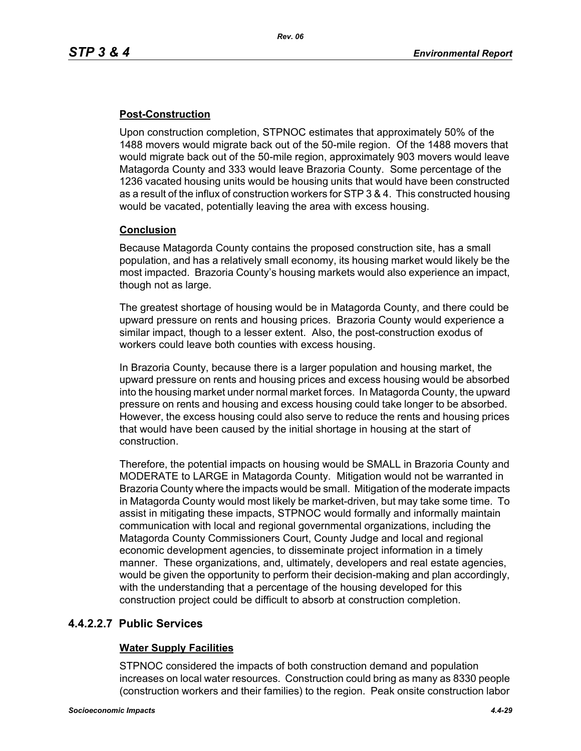# **Post-Construction**

Upon construction completion, STPNOC estimates that approximately 50% of the 1488 movers would migrate back out of the 50-mile region. Of the 1488 movers that would migrate back out of the 50-mile region, approximately 903 movers would leave Matagorda County and 333 would leave Brazoria County. Some percentage of the 1236 vacated housing units would be housing units that would have been constructed as a result of the influx of construction workers for STP 3 & 4. This constructed housing would be vacated, potentially leaving the area with excess housing.

## **Conclusion**

Because Matagorda County contains the proposed construction site, has a small population, and has a relatively small economy, its housing market would likely be the most impacted. Brazoria County's housing markets would also experience an impact, though not as large.

The greatest shortage of housing would be in Matagorda County, and there could be upward pressure on rents and housing prices. Brazoria County would experience a similar impact, though to a lesser extent. Also, the post-construction exodus of workers could leave both counties with excess housing.

In Brazoria County, because there is a larger population and housing market, the upward pressure on rents and housing prices and excess housing would be absorbed into the housing market under normal market forces. In Matagorda County, the upward pressure on rents and housing and excess housing could take longer to be absorbed. However, the excess housing could also serve to reduce the rents and housing prices that would have been caused by the initial shortage in housing at the start of construction.

Therefore, the potential impacts on housing would be SMALL in Brazoria County and MODERATE to LARGE in Matagorda County. Mitigation would not be warranted in Brazoria County where the impacts would be small. Mitigation of the moderate impacts in Matagorda County would most likely be market-driven, but may take some time. To assist in mitigating these impacts, STPNOC would formally and informally maintain communication with local and regional governmental organizations, including the Matagorda County Commissioners Court, County Judge and local and regional economic development agencies, to disseminate project information in a timely manner. These organizations, and, ultimately, developers and real estate agencies, would be given the opportunity to perform their decision-making and plan accordingly, with the understanding that a percentage of the housing developed for this construction project could be difficult to absorb at construction completion.

## **4.4.2.2.7 Public Services**

## **Water Supply Facilities**

STPNOC considered the impacts of both construction demand and population increases on local water resources. Construction could bring as many as 8330 people (construction workers and their families) to the region. Peak onsite construction labor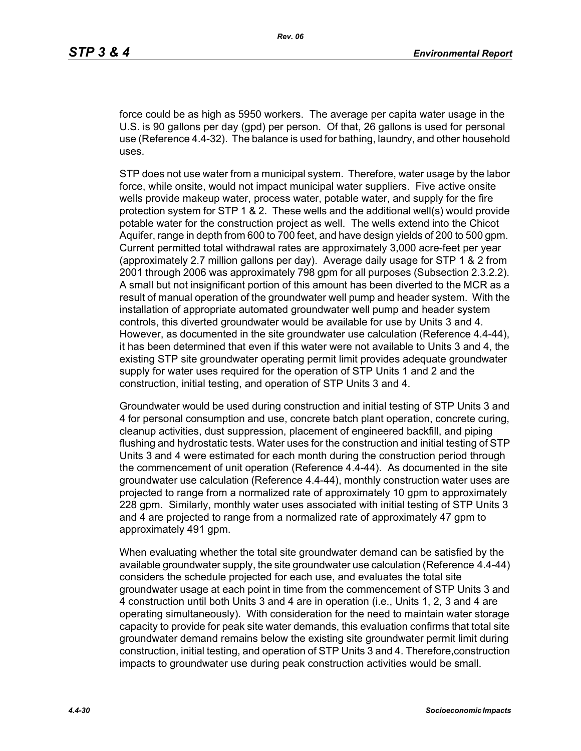force could be as high as 5950 workers. The average per capita water usage in the U.S. is 90 gallons per day (gpd) per person. Of that, 26 gallons is used for personal use (Reference 4.4-32). The balance is used for bathing, laundry, and other household uses.

STP does not use water from a municipal system. Therefore, water usage by the labor force, while onsite, would not impact municipal water suppliers. Five active onsite wells provide makeup water, process water, potable water, and supply for the fire protection system for STP 1 & 2. These wells and the additional well(s) would provide potable water for the construction project as well. The wells extend into the Chicot Aquifer, range in depth from 600 to 700 feet, and have design yields of 200 to 500 gpm. Current permitted total withdrawal rates are approximately 3,000 acre-feet per year (approximately 2.7 million gallons per day). Average daily usage for STP 1 & 2 from 2001 through 2006 was approximately 798 gpm for all purposes (Subsection 2.3.2.2). A small but not insignificant portion of this amount has been diverted to the MCR as a result of manual operation of the groundwater well pump and header system. With the installation of appropriate automated groundwater well pump and header system controls, this diverted groundwater would be available for use by Units 3 and 4. However, as documented in the site groundwater use calculation (Reference 4.4-44), it has been determined that even if this water were not available to Units 3 and 4, the existing STP site groundwater operating permit limit provides adequate groundwater supply for water uses required for the operation of STP Units 1 and 2 and the construction, initial testing, and operation of STP Units 3 and 4.

Groundwater would be used during construction and initial testing of STP Units 3 and 4 for personal consumption and use, concrete batch plant operation, concrete curing, cleanup activities, dust suppression, placement of engineered backfill, and piping flushing and hydrostatic tests. Water uses for the construction and initial testing of STP Units 3 and 4 were estimated for each month during the construction period through the commencement of unit operation (Reference 4.4-44). As documented in the site groundwater use calculation (Reference 4.4-44), monthly construction water uses are projected to range from a normalized rate of approximately 10 gpm to approximately 228 gpm. Similarly, monthly water uses associated with initial testing of STP Units 3 and 4 are projected to range from a normalized rate of approximately 47 gpm to approximately 491 gpm.

When evaluating whether the total site groundwater demand can be satisfied by the available groundwater supply, the site groundwater use calculation (Reference 4.4-44) considers the schedule projected for each use, and evaluates the total site groundwater usage at each point in time from the commencement of STP Units 3 and 4 construction until both Units 3 and 4 are in operation (i.e., Units 1, 2, 3 and 4 are operating simultaneously). With consideration for the need to maintain water storage capacity to provide for peak site water demands, this evaluation confirms that total site groundwater demand remains below the existing site groundwater permit limit during construction, initial testing, and operation of STP Units 3 and 4. Therefore,construction impacts to groundwater use during peak construction activities would be small.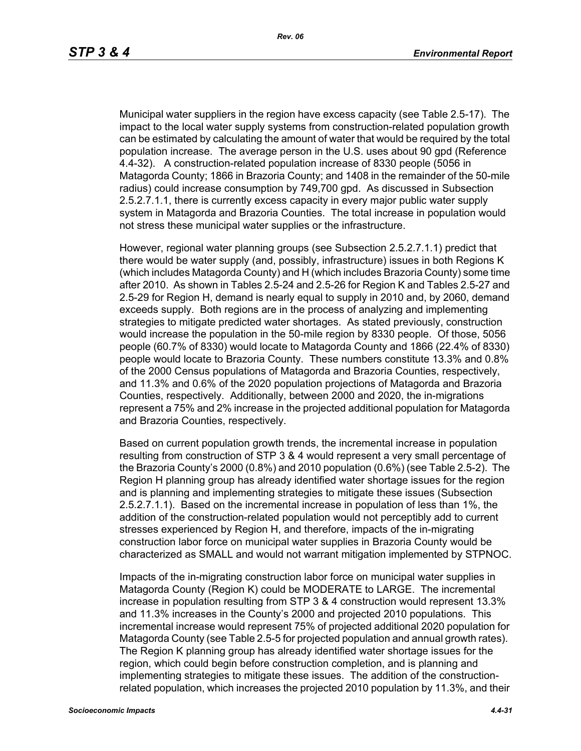Municipal water suppliers in the region have excess capacity (see Table 2.5-17). The impact to the local water supply systems from construction-related population growth can be estimated by calculating the amount of water that would be required by the total population increase. The average person in the U.S. uses about 90 gpd (Reference 4.4-32). A construction-related population increase of 8330 people (5056 in Matagorda County; 1866 in Brazoria County; and 1408 in the remainder of the 50-mile radius) could increase consumption by 749,700 gpd. As discussed in Subsection 2.5.2.7.1.1, there is currently excess capacity in every major public water supply system in Matagorda and Brazoria Counties. The total increase in population would not stress these municipal water supplies or the infrastructure.

However, regional water planning groups (see Subsection 2.5.2.7.1.1) predict that there would be water supply (and, possibly, infrastructure) issues in both Regions K (which includes Matagorda County) and H (which includes Brazoria County) some time after 2010. As shown in Tables 2.5-24 and 2.5-26 for Region K and Tables 2.5-27 and 2.5-29 for Region H, demand is nearly equal to supply in 2010 and, by 2060, demand exceeds supply. Both regions are in the process of analyzing and implementing strategies to mitigate predicted water shortages. As stated previously, construction would increase the population in the 50-mile region by 8330 people. Of those, 5056 people (60.7% of 8330) would locate to Matagorda County and 1866 (22.4% of 8330) people would locate to Brazoria County. These numbers constitute 13.3% and 0.8% of the 2000 Census populations of Matagorda and Brazoria Counties, respectively, and 11.3% and 0.6% of the 2020 population projections of Matagorda and Brazoria Counties, respectively. Additionally, between 2000 and 2020, the in-migrations represent a 75% and 2% increase in the projected additional population for Matagorda and Brazoria Counties, respectively.

Based on current population growth trends, the incremental increase in population resulting from construction of STP 3 & 4 would represent a very small percentage of the Brazoria County's 2000 (0.8%) and 2010 population (0.6%) (see Table 2.5-2). The Region H planning group has already identified water shortage issues for the region and is planning and implementing strategies to mitigate these issues (Subsection 2.5.2.7.1.1). Based on the incremental increase in population of less than 1%, the addition of the construction-related population would not perceptibly add to current stresses experienced by Region H, and therefore, impacts of the in-migrating construction labor force on municipal water supplies in Brazoria County would be characterized as SMALL and would not warrant mitigation implemented by STPNOC.

Impacts of the in-migrating construction labor force on municipal water supplies in Matagorda County (Region K) could be MODERATE to LARGE. The incremental increase in population resulting from STP 3 & 4 construction would represent 13.3% and 11.3% increases in the County's 2000 and projected 2010 populations. This incremental increase would represent 75% of projected additional 2020 population for Matagorda County (see Table 2.5-5 for projected population and annual growth rates). The Region K planning group has already identified water shortage issues for the region, which could begin before construction completion, and is planning and implementing strategies to mitigate these issues. The addition of the constructionrelated population, which increases the projected 2010 population by 11.3%, and their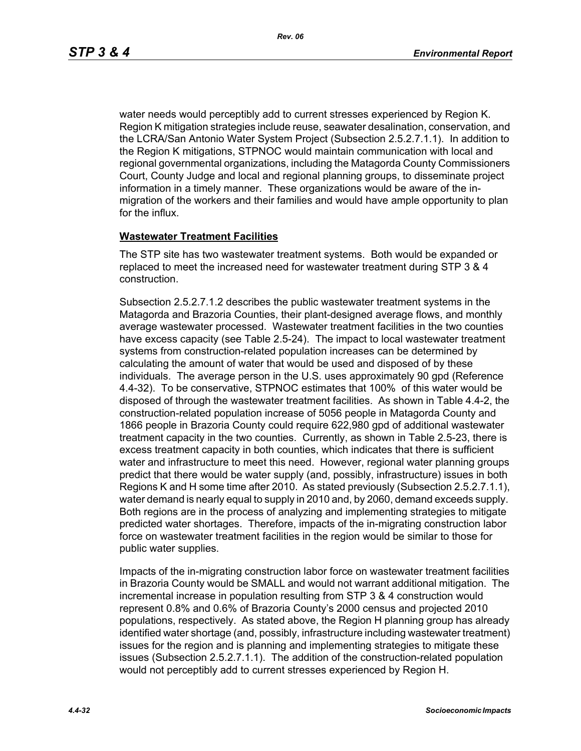water needs would perceptibly add to current stresses experienced by Region K. Region K mitigation strategies include reuse, seawater desalination, conservation, and the LCRA/San Antonio Water System Project (Subsection 2.5.2.7.1.1). In addition to the Region K mitigations, STPNOC would maintain communication with local and regional governmental organizations, including the Matagorda County Commissioners Court, County Judge and local and regional planning groups, to disseminate project information in a timely manner. These organizations would be aware of the inmigration of the workers and their families and would have ample opportunity to plan for the influx.

## **Wastewater Treatment Facilities**

The STP site has two wastewater treatment systems. Both would be expanded or replaced to meet the increased need for wastewater treatment during STP 3 & 4 construction.

Subsection 2.5.2.7.1.2 describes the public wastewater treatment systems in the Matagorda and Brazoria Counties, their plant-designed average flows, and monthly average wastewater processed. Wastewater treatment facilities in the two counties have excess capacity (see Table 2.5-24). The impact to local wastewater treatment systems from construction-related population increases can be determined by calculating the amount of water that would be used and disposed of by these individuals. The average person in the U.S. uses approximately 90 gpd (Reference 4.4-32). To be conservative, STPNOC estimates that 100% of this water would be disposed of through the wastewater treatment facilities. As shown in Table 4.4-2, the construction-related population increase of 5056 people in Matagorda County and 1866 people in Brazoria County could require 622,980 gpd of additional wastewater treatment capacity in the two counties. Currently, as shown in Table 2.5-23, there is excess treatment capacity in both counties, which indicates that there is sufficient water and infrastructure to meet this need. However, regional water planning groups predict that there would be water supply (and, possibly, infrastructure) issues in both Regions K and H some time after 2010. As stated previously (Subsection 2.5.2.7.1.1), water demand is nearly equal to supply in 2010 and, by 2060, demand exceeds supply. Both regions are in the process of analyzing and implementing strategies to mitigate predicted water shortages. Therefore, impacts of the in-migrating construction labor force on wastewater treatment facilities in the region would be similar to those for public water supplies.

Impacts of the in-migrating construction labor force on wastewater treatment facilities in Brazoria County would be SMALL and would not warrant additional mitigation. The incremental increase in population resulting from STP 3 & 4 construction would represent 0.8% and 0.6% of Brazoria County's 2000 census and projected 2010 populations, respectively. As stated above, the Region H planning group has already identified water shortage (and, possibly, infrastructure including wastewater treatment) issues for the region and is planning and implementing strategies to mitigate these issues (Subsection 2.5.2.7.1.1). The addition of the construction-related population would not perceptibly add to current stresses experienced by Region H.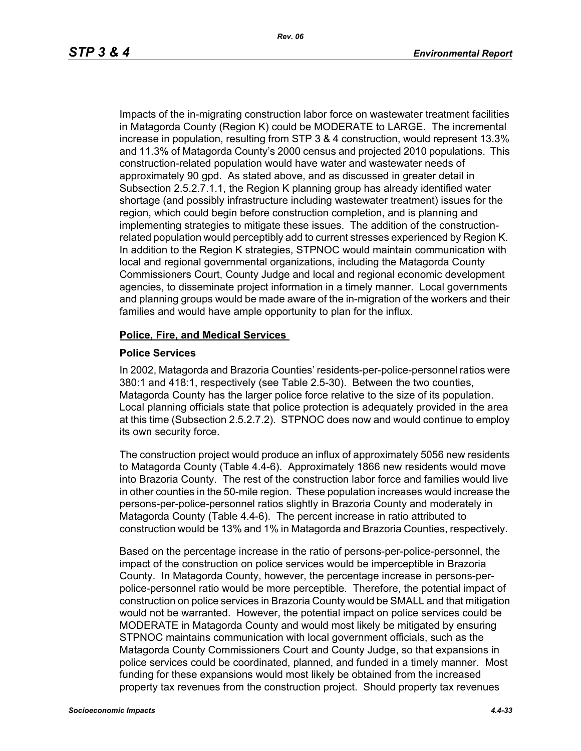Impacts of the in-migrating construction labor force on wastewater treatment facilities in Matagorda County (Region K) could be MODERATE to LARGE. The incremental increase in population, resulting from STP 3 & 4 construction, would represent 13.3% and 11.3% of Matagorda County's 2000 census and projected 2010 populations. This construction-related population would have water and wastewater needs of approximately 90 gpd. As stated above, and as discussed in greater detail in Subsection 2.5.2.7.1.1, the Region K planning group has already identified water shortage (and possibly infrastructure including wastewater treatment) issues for the region, which could begin before construction completion, and is planning and implementing strategies to mitigate these issues. The addition of the constructionrelated population would perceptibly add to current stresses experienced by Region K. In addition to the Region K strategies, STPNOC would maintain communication with local and regional governmental organizations, including the Matagorda County Commissioners Court, County Judge and local and regional economic development agencies, to disseminate project information in a timely manner. Local governments and planning groups would be made aware of the in-migration of the workers and their families and would have ample opportunity to plan for the influx.

#### **Police, Fire, and Medical Services**

#### **Police Services**

In 2002, Matagorda and Brazoria Counties' residents-per-police-personnel ratios were 380:1 and 418:1, respectively (see Table 2.5-30). Between the two counties, Matagorda County has the larger police force relative to the size of its population. Local planning officials state that police protection is adequately provided in the area at this time (Subsection 2.5.2.7.2). STPNOC does now and would continue to employ its own security force.

The construction project would produce an influx of approximately 5056 new residents to Matagorda County (Table 4.4-6). Approximately 1866 new residents would move into Brazoria County. The rest of the construction labor force and families would live in other counties in the 50-mile region. These population increases would increase the persons-per-police-personnel ratios slightly in Brazoria County and moderately in Matagorda County (Table 4.4-6). The percent increase in ratio attributed to construction would be 13% and 1% in Matagorda and Brazoria Counties, respectively.

Based on the percentage increase in the ratio of persons-per-police-personnel, the impact of the construction on police services would be imperceptible in Brazoria County. In Matagorda County, however, the percentage increase in persons-perpolice-personnel ratio would be more perceptible. Therefore, the potential impact of construction on police services in Brazoria County would be SMALL and that mitigation would not be warranted. However, the potential impact on police services could be MODERATE in Matagorda County and would most likely be mitigated by ensuring STPNOC maintains communication with local government officials, such as the Matagorda County Commissioners Court and County Judge, so that expansions in police services could be coordinated, planned, and funded in a timely manner. Most funding for these expansions would most likely be obtained from the increased property tax revenues from the construction project. Should property tax revenues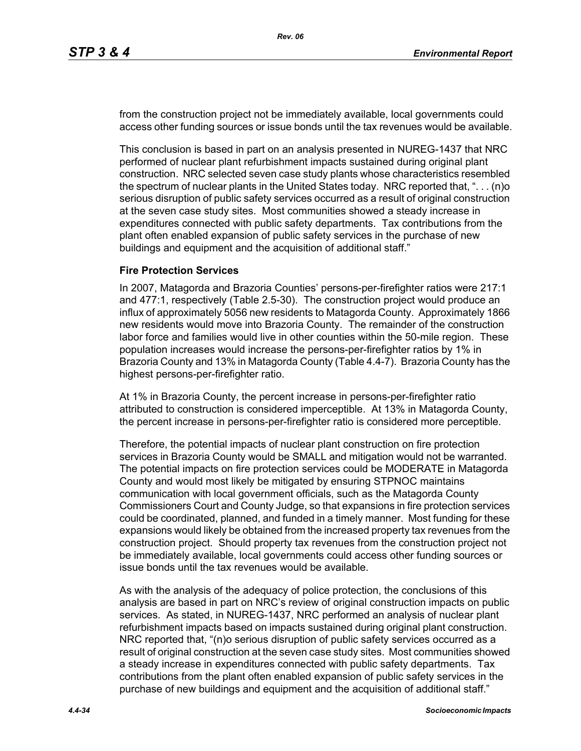from the construction project not be immediately available, local governments could access other funding sources or issue bonds until the tax revenues would be available.

This conclusion is based in part on an analysis presented in NUREG-1437 that NRC performed of nuclear plant refurbishment impacts sustained during original plant construction. NRC selected seven case study plants whose characteristics resembled the spectrum of nuclear plants in the United States today. NRC reported that, ". . . (n)o serious disruption of public safety services occurred as a result of original construction at the seven case study sites. Most communities showed a steady increase in expenditures connected with public safety departments. Tax contributions from the plant often enabled expansion of public safety services in the purchase of new buildings and equipment and the acquisition of additional staff."

#### **Fire Protection Services**

In 2007, Matagorda and Brazoria Counties' persons-per-firefighter ratios were 217:1 and 477:1, respectively (Table 2.5-30). The construction project would produce an influx of approximately 5056 new residents to Matagorda County. Approximately 1866 new residents would move into Brazoria County. The remainder of the construction labor force and families would live in other counties within the 50-mile region. These population increases would increase the persons-per-firefighter ratios by 1% in Brazoria County and 13% in Matagorda County (Table 4.4-7). Brazoria County has the highest persons-per-firefighter ratio.

At 1% in Brazoria County, the percent increase in persons-per-firefighter ratio attributed to construction is considered imperceptible. At 13% in Matagorda County, the percent increase in persons-per-firefighter ratio is considered more perceptible.

Therefore, the potential impacts of nuclear plant construction on fire protection services in Brazoria County would be SMALL and mitigation would not be warranted. The potential impacts on fire protection services could be MODERATE in Matagorda County and would most likely be mitigated by ensuring STPNOC maintains communication with local government officials, such as the Matagorda County Commissioners Court and County Judge, so that expansions in fire protection services could be coordinated, planned, and funded in a timely manner. Most funding for these expansions would likely be obtained from the increased property tax revenues from the construction project. Should property tax revenues from the construction project not be immediately available, local governments could access other funding sources or issue bonds until the tax revenues would be available.

As with the analysis of the adequacy of police protection, the conclusions of this analysis are based in part on NRC's review of original construction impacts on public services. As stated, in NUREG-1437, NRC performed an analysis of nuclear plant refurbishment impacts based on impacts sustained during original plant construction. NRC reported that, "(n)o serious disruption of public safety services occurred as a result of original construction at the seven case study sites. Most communities showed a steady increase in expenditures connected with public safety departments. Tax contributions from the plant often enabled expansion of public safety services in the purchase of new buildings and equipment and the acquisition of additional staff."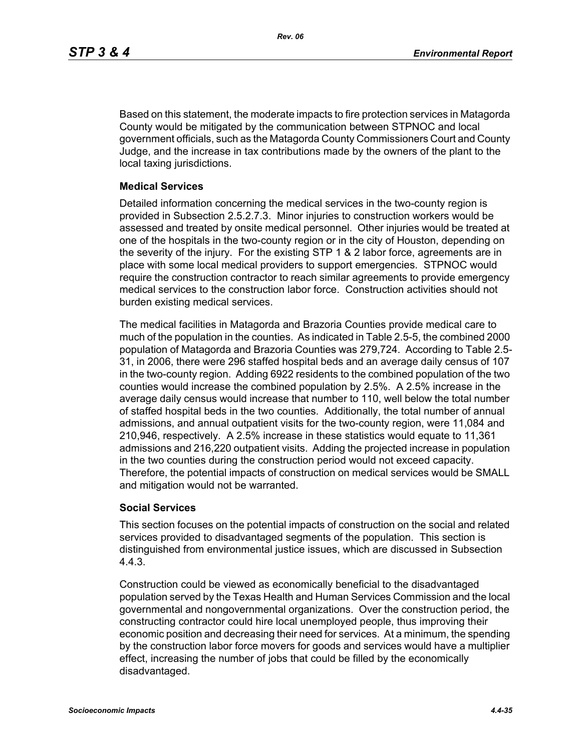Based on this statement, the moderate impacts to fire protection services in Matagorda County would be mitigated by the communication between STPNOC and local government officials, such as the Matagorda County Commissioners Court and County Judge, and the increase in tax contributions made by the owners of the plant to the local taxing jurisdictions.

#### **Medical Services**

Detailed information concerning the medical services in the two-county region is provided in Subsection 2.5.2.7.3. Minor injuries to construction workers would be assessed and treated by onsite medical personnel. Other injuries would be treated at one of the hospitals in the two-county region or in the city of Houston, depending on the severity of the injury. For the existing STP 1 & 2 labor force, agreements are in place with some local medical providers to support emergencies. STPNOC would require the construction contractor to reach similar agreements to provide emergency medical services to the construction labor force. Construction activities should not burden existing medical services.

The medical facilities in Matagorda and Brazoria Counties provide medical care to much of the population in the counties. As indicated in Table 2.5-5, the combined 2000 population of Matagorda and Brazoria Counties was 279,724. According to Table 2.5- 31, in 2006, there were 296 staffed hospital beds and an average daily census of 107 in the two-county region. Adding 6922 residents to the combined population of the two counties would increase the combined population by 2.5%. A 2.5% increase in the average daily census would increase that number to 110, well below the total number of staffed hospital beds in the two counties. Additionally, the total number of annual admissions, and annual outpatient visits for the two-county region, were 11,084 and 210,946, respectively. A 2.5% increase in these statistics would equate to 11,361 admissions and 216,220 outpatient visits. Adding the projected increase in population in the two counties during the construction period would not exceed capacity. Therefore, the potential impacts of construction on medical services would be SMALL and mitigation would not be warranted.

## **Social Services**

This section focuses on the potential impacts of construction on the social and related services provided to disadvantaged segments of the population. This section is distinguished from environmental justice issues, which are discussed in Subsection 4.4.3.

Construction could be viewed as economically beneficial to the disadvantaged population served by the Texas Health and Human Services Commission and the local governmental and nongovernmental organizations. Over the construction period, the constructing contractor could hire local unemployed people, thus improving their economic position and decreasing their need for services. At a minimum, the spending by the construction labor force movers for goods and services would have a multiplier effect, increasing the number of jobs that could be filled by the economically disadvantaged.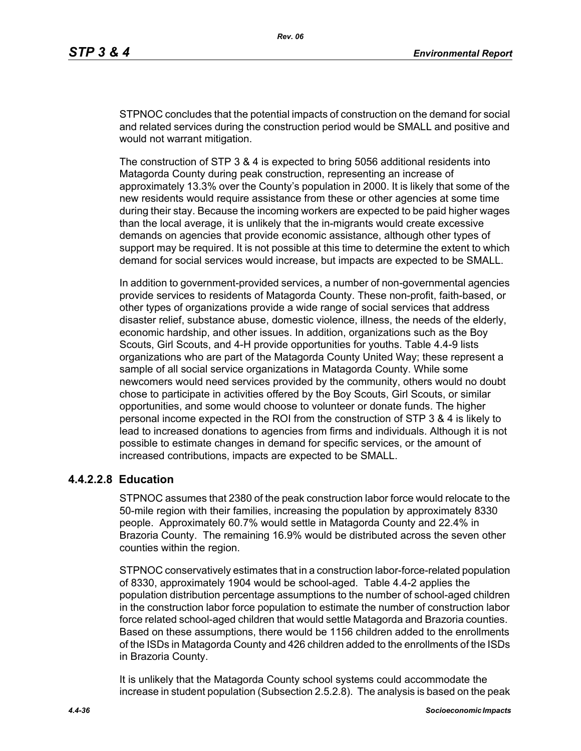STPNOC concludes that the potential impacts of construction on the demand for social and related services during the construction period would be SMALL and positive and would not warrant mitigation.

The construction of STP 3 & 4 is expected to bring 5056 additional residents into Matagorda County during peak construction, representing an increase of approximately 13.3% over the County's population in 2000. It is likely that some of the new residents would require assistance from these or other agencies at some time during their stay. Because the incoming workers are expected to be paid higher wages than the local average, it is unlikely that the in-migrants would create excessive demands on agencies that provide economic assistance, although other types of support may be required. It is not possible at this time to determine the extent to which demand for social services would increase, but impacts are expected to be SMALL.

In addition to government-provided services, a number of non-governmental agencies provide services to residents of Matagorda County. These non-profit, faith-based, or other types of organizations provide a wide range of social services that address disaster relief, substance abuse, domestic violence, illness, the needs of the elderly, economic hardship, and other issues. In addition, organizations such as the Boy Scouts, Girl Scouts, and 4-H provide opportunities for youths. Table 4.4-9 lists organizations who are part of the Matagorda County United Way; these represent a sample of all social service organizations in Matagorda County. While some newcomers would need services provided by the community, others would no doubt chose to participate in activities offered by the Boy Scouts, Girl Scouts, or similar opportunities, and some would choose to volunteer or donate funds. The higher personal income expected in the ROI from the construction of STP 3 & 4 is likely to lead to increased donations to agencies from firms and individuals. Although it is not possible to estimate changes in demand for specific services, or the amount of increased contributions, impacts are expected to be SMALL.

# **4.4.2.2.8 Education**

STPNOC assumes that 2380 of the peak construction labor force would relocate to the 50-mile region with their families, increasing the population by approximately 8330 people. Approximately 60.7% would settle in Matagorda County and 22.4% in Brazoria County. The remaining 16.9% would be distributed across the seven other counties within the region.

STPNOC conservatively estimates that in a construction labor-force-related population of 8330, approximately 1904 would be school-aged. Table 4.4-2 applies the population distribution percentage assumptions to the number of school-aged children in the construction labor force population to estimate the number of construction labor force related school-aged children that would settle Matagorda and Brazoria counties. Based on these assumptions, there would be 1156 children added to the enrollments of the ISDs in Matagorda County and 426 children added to the enrollments of the ISDs in Brazoria County.

It is unlikely that the Matagorda County school systems could accommodate the increase in student population (Subsection 2.5.2.8). The analysis is based on the peak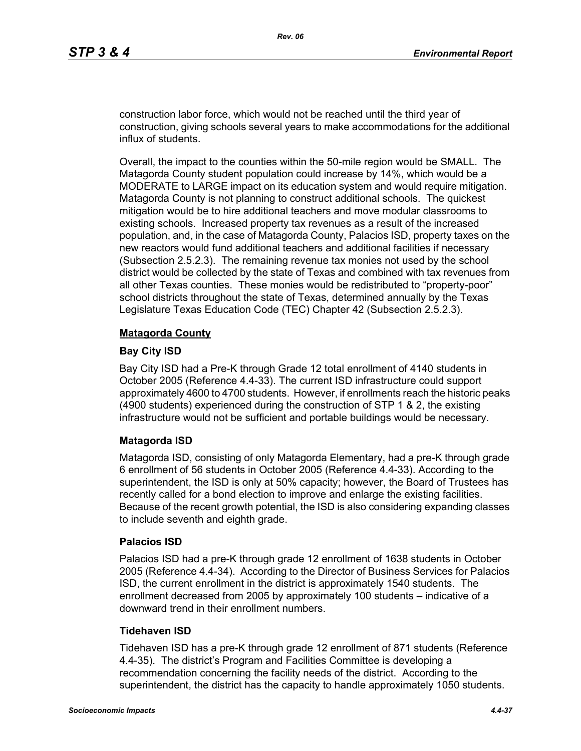construction labor force, which would not be reached until the third year of construction, giving schools several years to make accommodations for the additional influx of students.

Overall, the impact to the counties within the 50-mile region would be SMALL. The Matagorda County student population could increase by 14%, which would be a MODERATE to LARGE impact on its education system and would require mitigation. Matagorda County is not planning to construct additional schools. The quickest mitigation would be to hire additional teachers and move modular classrooms to existing schools. Increased property tax revenues as a result of the increased population, and, in the case of Matagorda County, Palacios ISD, property taxes on the new reactors would fund additional teachers and additional facilities if necessary (Subsection 2.5.2.3). The remaining revenue tax monies not used by the school district would be collected by the state of Texas and combined with tax revenues from all other Texas counties. These monies would be redistributed to "property-poor" school districts throughout the state of Texas, determined annually by the Texas Legislature Texas Education Code (TEC) Chapter 42 (Subsection 2.5.2.3).

#### **Matagorda County**

#### **Bay City ISD**

Bay City ISD had a Pre-K through Grade 12 total enrollment of 4140 students in October 2005 (Reference 4.4-33). The current ISD infrastructure could support approximately 4600 to 4700 students. However, if enrollments reach the historic peaks (4900 students) experienced during the construction of STP 1 & 2, the existing infrastructure would not be sufficient and portable buildings would be necessary.

## **Matagorda ISD**

Matagorda ISD, consisting of only Matagorda Elementary, had a pre-K through grade 6 enrollment of 56 students in October 2005 (Reference 4.4-33). According to the superintendent, the ISD is only at 50% capacity; however, the Board of Trustees has recently called for a bond election to improve and enlarge the existing facilities. Because of the recent growth potential, the ISD is also considering expanding classes to include seventh and eighth grade.

#### **Palacios ISD**

Palacios ISD had a pre-K through grade 12 enrollment of 1638 students in October 2005 (Reference 4.4-34). According to the Director of Business Services for Palacios ISD, the current enrollment in the district is approximately 1540 students. The enrollment decreased from 2005 by approximately 100 students – indicative of a downward trend in their enrollment numbers.

## **Tidehaven ISD**

Tidehaven ISD has a pre-K through grade 12 enrollment of 871 students (Reference 4.4-35). The district's Program and Facilities Committee is developing a recommendation concerning the facility needs of the district. According to the superintendent, the district has the capacity to handle approximately 1050 students.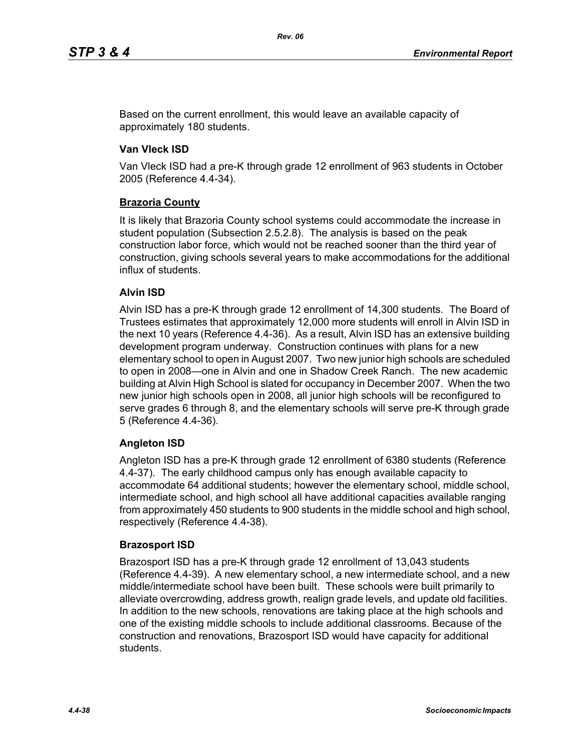Based on the current enrollment, this would leave an available capacity of approximately 180 students.

# **Van Vleck ISD**

Van Vleck ISD had a pre-K through grade 12 enrollment of 963 students in October 2005 (Reference 4.4-34).

# **Brazoria County**

It is likely that Brazoria County school systems could accommodate the increase in student population (Subsection 2.5.2.8). The analysis is based on the peak construction labor force, which would not be reached sooner than the third year of construction, giving schools several years to make accommodations for the additional influx of students.

# **Alvin ISD**

Alvin ISD has a pre-K through grade 12 enrollment of 14,300 students. The Board of Trustees estimates that approximately 12,000 more students will enroll in Alvin ISD in the next 10 years (Reference 4.4-36). As a result, Alvin ISD has an extensive building development program underway. Construction continues with plans for a new elementary school to open in August 2007. Two new junior high schools are scheduled to open in 2008—one in Alvin and one in Shadow Creek Ranch. The new academic building at Alvin High School is slated for occupancy in December 2007. When the two new junior high schools open in 2008, all junior high schools will be reconfigured to serve grades 6 through 8, and the elementary schools will serve pre-K through grade 5 (Reference 4.4-36).

## **Angleton ISD**

Angleton ISD has a pre-K through grade 12 enrollment of 6380 students (Reference 4.4-37). The early childhood campus only has enough available capacity to accommodate 64 additional students; however the elementary school, middle school, intermediate school, and high school all have additional capacities available ranging from approximately 450 students to 900 students in the middle school and high school, respectively (Reference 4.4-38).

## **Brazosport ISD**

Brazosport ISD has a pre-K through grade 12 enrollment of 13,043 students (Reference 4.4-39). A new elementary school, a new intermediate school, and a new middle/intermediate school have been built. These schools were built primarily to alleviate overcrowding, address growth, realign grade levels, and update old facilities. In addition to the new schools, renovations are taking place at the high schools and one of the existing middle schools to include additional classrooms. Because of the construction and renovations, Brazosport ISD would have capacity for additional students.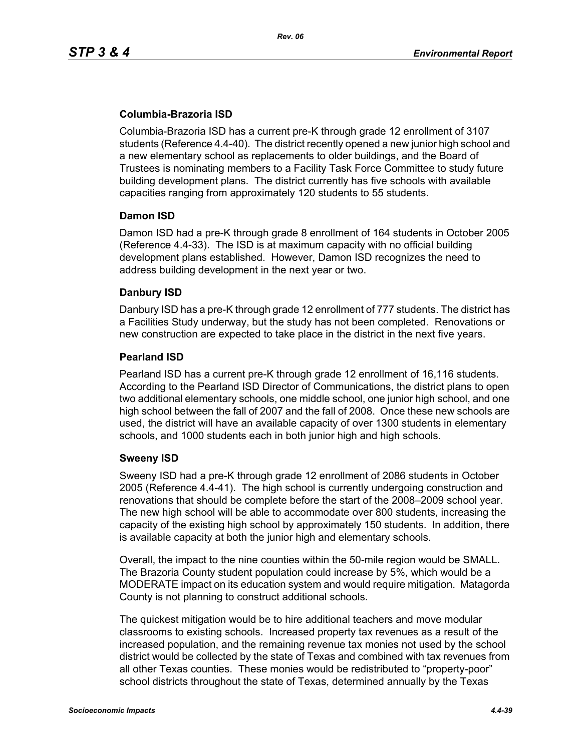# **Columbia-Brazoria ISD**

Columbia-Brazoria ISD has a current pre-K through grade 12 enrollment of 3107 students (Reference 4.4-40). The district recently opened a new junior high school and a new elementary school as replacements to older buildings, and the Board of Trustees is nominating members to a Facility Task Force Committee to study future building development plans. The district currently has five schools with available capacities ranging from approximately 120 students to 55 students.

#### **Damon ISD**

Damon ISD had a pre-K through grade 8 enrollment of 164 students in October 2005 (Reference 4.4-33). The ISD is at maximum capacity with no official building development plans established. However, Damon ISD recognizes the need to address building development in the next year or two.

## **Danbury ISD**

Danbury ISD has a pre-K through grade 12 enrollment of 777 students. The district has a Facilities Study underway, but the study has not been completed. Renovations or new construction are expected to take place in the district in the next five years.

#### **Pearland ISD**

Pearland ISD has a current pre-K through grade 12 enrollment of 16,116 students. According to the Pearland ISD Director of Communications, the district plans to open two additional elementary schools, one middle school, one junior high school, and one high school between the fall of 2007 and the fall of 2008. Once these new schools are used, the district will have an available capacity of over 1300 students in elementary schools, and 1000 students each in both junior high and high schools.

## **Sweeny ISD**

Sweeny ISD had a pre-K through grade 12 enrollment of 2086 students in October 2005 (Reference 4.4-41). The high school is currently undergoing construction and renovations that should be complete before the start of the 2008–2009 school year. The new high school will be able to accommodate over 800 students, increasing the capacity of the existing high school by approximately 150 students. In addition, there is available capacity at both the junior high and elementary schools.

Overall, the impact to the nine counties within the 50-mile region would be SMALL. The Brazoria County student population could increase by 5%, which would be a MODERATE impact on its education system and would require mitigation. Matagorda County is not planning to construct additional schools.

The quickest mitigation would be to hire additional teachers and move modular classrooms to existing schools. Increased property tax revenues as a result of the increased population, and the remaining revenue tax monies not used by the school district would be collected by the state of Texas and combined with tax revenues from all other Texas counties. These monies would be redistributed to "property-poor" school districts throughout the state of Texas, determined annually by the Texas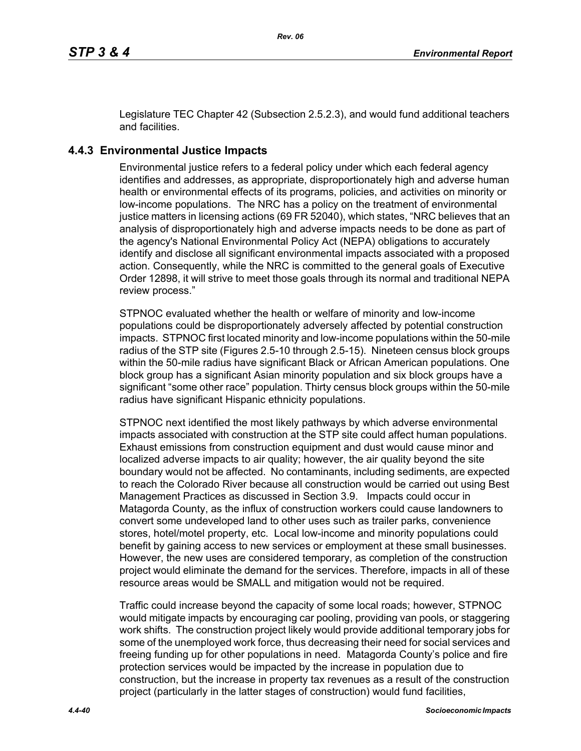Legislature TEC Chapter 42 (Subsection 2.5.2.3), and would fund additional teachers and facilities.

# **4.4.3 Environmental Justice Impacts**

Environmental justice refers to a federal policy under which each federal agency identifies and addresses, as appropriate, disproportionately high and adverse human health or environmental effects of its programs, policies, and activities on minority or low-income populations. The NRC has a policy on the treatment of environmental justice matters in licensing actions (69 FR 52040), which states, "NRC believes that an analysis of disproportionately high and adverse impacts needs to be done as part of the agency's National Environmental Policy Act (NEPA) obligations to accurately identify and disclose all significant environmental impacts associated with a proposed action. Consequently, while the NRC is committed to the general goals of Executive Order 12898, it will strive to meet those goals through its normal and traditional NEPA review process."

STPNOC evaluated whether the health or welfare of minority and low-income populations could be disproportionately adversely affected by potential construction impacts. STPNOC first located minority and low-income populations within the 50-mile radius of the STP site (Figures 2.5-10 through 2.5-15). Nineteen census block groups within the 50-mile radius have significant Black or African American populations. One block group has a significant Asian minority population and six block groups have a significant "some other race" population. Thirty census block groups within the 50-mile radius have significant Hispanic ethnicity populations.

STPNOC next identified the most likely pathways by which adverse environmental impacts associated with construction at the STP site could affect human populations. Exhaust emissions from construction equipment and dust would cause minor and localized adverse impacts to air quality; however, the air quality beyond the site boundary would not be affected. No contaminants, including sediments, are expected to reach the Colorado River because all construction would be carried out using Best Management Practices as discussed in Section 3.9. Impacts could occur in Matagorda County, as the influx of construction workers could cause landowners to convert some undeveloped land to other uses such as trailer parks, convenience stores, hotel/motel property, etc. Local low-income and minority populations could benefit by gaining access to new services or employment at these small businesses. However, the new uses are considered temporary, as completion of the construction project would eliminate the demand for the services. Therefore, impacts in all of these resource areas would be SMALL and mitigation would not be required.

Traffic could increase beyond the capacity of some local roads; however, STPNOC would mitigate impacts by encouraging car pooling, providing van pools, or staggering work shifts. The construction project likely would provide additional temporary jobs for some of the unemployed work force, thus decreasing their need for social services and freeing funding up for other populations in need. Matagorda County's police and fire protection services would be impacted by the increase in population due to construction, but the increase in property tax revenues as a result of the construction project (particularly in the latter stages of construction) would fund facilities,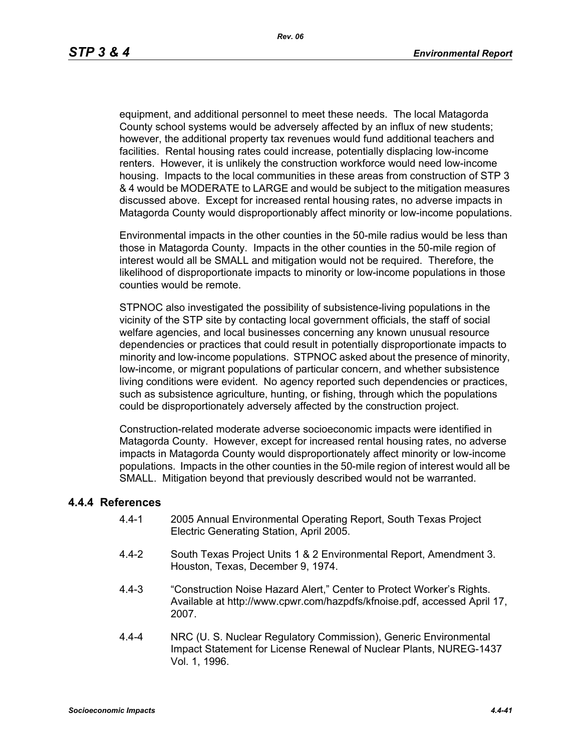equipment, and additional personnel to meet these needs. The local Matagorda County school systems would be adversely affected by an influx of new students; however, the additional property tax revenues would fund additional teachers and facilities. Rental housing rates could increase, potentially displacing low-income renters. However, it is unlikely the construction workforce would need low-income housing. Impacts to the local communities in these areas from construction of STP 3 & 4 would be MODERATE to LARGE and would be subject to the mitigation measures discussed above. Except for increased rental housing rates, no adverse impacts in Matagorda County would disproportionably affect minority or low-income populations.

Environmental impacts in the other counties in the 50-mile radius would be less than those in Matagorda County. Impacts in the other counties in the 50-mile region of interest would all be SMALL and mitigation would not be required. Therefore, the likelihood of disproportionate impacts to minority or low-income populations in those counties would be remote.

STPNOC also investigated the possibility of subsistence-living populations in the vicinity of the STP site by contacting local government officials, the staff of social welfare agencies, and local businesses concerning any known unusual resource dependencies or practices that could result in potentially disproportionate impacts to minority and low-income populations. STPNOC asked about the presence of minority, low-income, or migrant populations of particular concern, and whether subsistence living conditions were evident. No agency reported such dependencies or practices, such as subsistence agriculture, hunting, or fishing, through which the populations could be disproportionately adversely affected by the construction project.

Construction-related moderate adverse socioeconomic impacts were identified in Matagorda County. However, except for increased rental housing rates, no adverse impacts in Matagorda County would disproportionately affect minority or low-income populations. Impacts in the other counties in the 50-mile region of interest would all be SMALL. Mitigation beyond that previously described would not be warranted.

#### **4.4.4 References**

- 4.4-1 2005 Annual Environmental Operating Report, South Texas Project Electric Generating Station, April 2005.
- 4.4-2 South Texas Project Units 1 & 2 Environmental Report, Amendment 3. Houston, Texas, December 9, 1974.
- 4.4-3 "Construction Noise Hazard Alert," Center to Protect Worker's Rights. Available at http://www.cpwr.com/hazpdfs/kfnoise.pdf, accessed April 17, 2007.
- 4.4-4 NRC (U. S. Nuclear Regulatory Commission), Generic Environmental Impact Statement for License Renewal of Nuclear Plants, NUREG-1437 Vol. 1, 1996.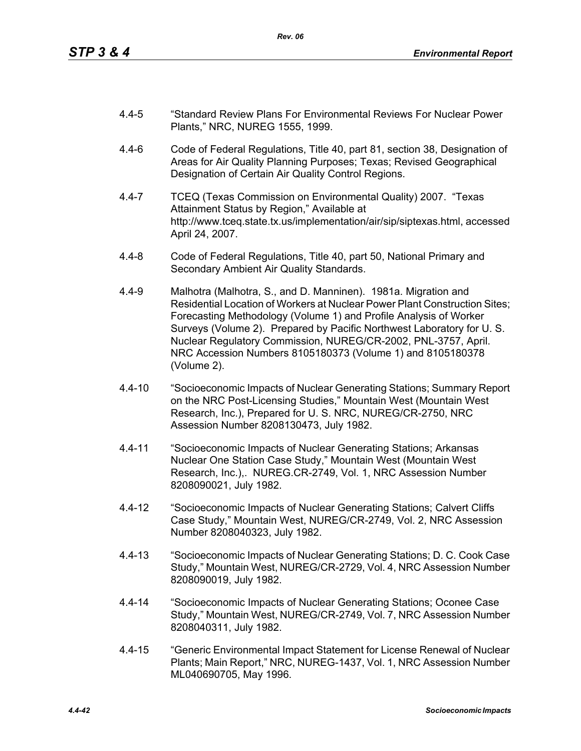- 4.4-5 "Standard Review Plans For Environmental Reviews For Nuclear Power Plants," NRC, NUREG 1555, 1999.
- 4.4-6 Code of Federal Regulations, Title 40, part 81, section 38, Designation of Areas for Air Quality Planning Purposes; Texas; Revised Geographical Designation of Certain Air Quality Control Regions.
- 4.4-7 TCEQ (Texas Commission on Environmental Quality) 2007. "Texas Attainment Status by Region," Available at http://www.tceq.state.tx.us/implementation/air/sip/siptexas.html, accessed April 24, 2007.
- 4.4-8 Code of Federal Regulations, Title 40, part 50, National Primary and Secondary Ambient Air Quality Standards.
- 4.4-9 Malhotra (Malhotra, S., and D. Manninen). 1981a. Migration and Residential Location of Workers at Nuclear Power Plant Construction Sites; Forecasting Methodology (Volume 1) and Profile Analysis of Worker Surveys (Volume 2). Prepared by Pacific Northwest Laboratory for U. S. Nuclear Regulatory Commission, NUREG/CR-2002, PNL-3757, April. NRC Accession Numbers 8105180373 (Volume 1) and 8105180378 (Volume 2).
- 4.4-10 "Socioeconomic Impacts of Nuclear Generating Stations; Summary Report on the NRC Post-Licensing Studies," Mountain West (Mountain West Research, Inc.), Prepared for U. S. NRC, NUREG/CR-2750, NRC Assession Number 8208130473, July 1982.
- 4.4-11 "Socioeconomic Impacts of Nuclear Generating Stations; Arkansas Nuclear One Station Case Study," Mountain West (Mountain West Research, Inc.),. NUREG.CR-2749, Vol. 1, NRC Assession Number 8208090021, July 1982.
- 4.4-12 "Socioeconomic Impacts of Nuclear Generating Stations; Calvert Cliffs Case Study," Mountain West, NUREG/CR-2749, Vol. 2, NRC Assession Number 8208040323, July 1982.
- 4.4-13 "Socioeconomic Impacts of Nuclear Generating Stations; D. C. Cook Case Study," Mountain West, NUREG/CR-2729, Vol. 4, NRC Assession Number 8208090019, July 1982.
- 4.4-14 "Socioeconomic Impacts of Nuclear Generating Stations; Oconee Case Study," Mountain West, NUREG/CR-2749, Vol. 7, NRC Assession Number 8208040311, July 1982.
- 4.4-15 "Generic Environmental Impact Statement for License Renewal of Nuclear Plants; Main Report," NRC, NUREG-1437, Vol. 1, NRC Assession Number ML040690705, May 1996.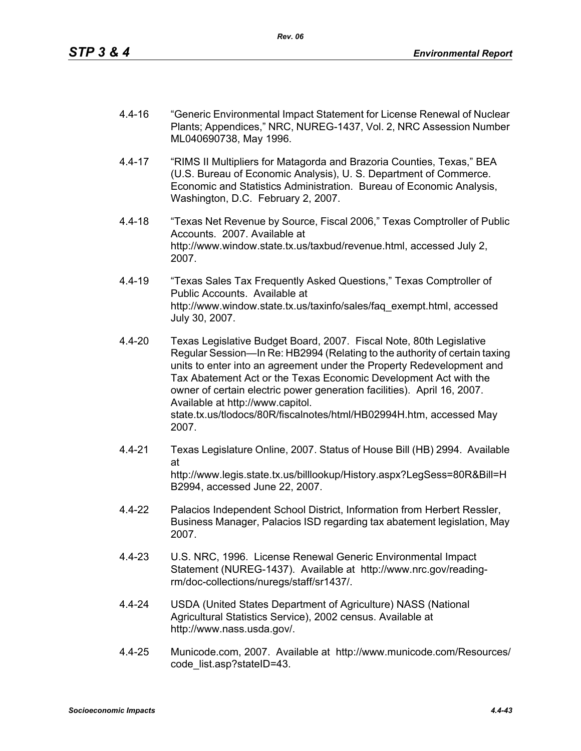- 4.4-16 "Generic Environmental Impact Statement for License Renewal of Nuclear Plants; Appendices," NRC, NUREG-1437, Vol. 2, NRC Assession Number ML040690738, May 1996.
- 4.4-17 "RIMS II Multipliers for Matagorda and Brazoria Counties, Texas," BEA (U.S. Bureau of Economic Analysis), U. S. Department of Commerce. Economic and Statistics Administration. Bureau of Economic Analysis, Washington, D.C. February 2, 2007.
- 4.4-18 "Texas Net Revenue by Source, Fiscal 2006," Texas Comptroller of Public Accounts. 2007. Available at http://www.window.state.tx.us/taxbud/revenue.html, accessed July 2, 2007.
- 4.4-19 "Texas Sales Tax Frequently Asked Questions," Texas Comptroller of Public Accounts. Available at http://www.window.state.tx.us/taxinfo/sales/faq\_exempt.html, accessed July 30, 2007.
- 4.4-20 Texas Legislative Budget Board, 2007. Fiscal Note, 80th Legislative Regular Session—In Re: HB2994 (Relating to the authority of certain taxing units to enter into an agreement under the Property Redevelopment and Tax Abatement Act or the Texas Economic Development Act with the owner of certain electric power generation facilities). April 16, 2007. Available at http://www.capitol. state.tx.us/tlodocs/80R/fiscalnotes/html/HB02994H.htm, accessed May 2007.
- 4.4-21 Texas Legislature Online, 2007. Status of House Bill (HB) 2994. Available at http://www.legis.state.tx.us/billlookup/History.aspx?LegSess=80R&Bill=H B2994, accessed June 22, 2007.
- 4.4-22 Palacios Independent School District, Information from Herbert Ressler, Business Manager, Palacios ISD regarding tax abatement legislation, May 2007.
- 4.4-23 U.S. NRC, 1996. License Renewal Generic Environmental Impact Statement (NUREG-1437). Available at http://www.nrc.gov/readingrm/doc-collections/nuregs/staff/sr1437/.
- 4.4-24 USDA (United States Department of Agriculture) NASS (National Agricultural Statistics Service), 2002 census. Available at http://www.nass.usda.gov/.
- 4.4-25 Municode.com, 2007. Available at http://www.municode.com/Resources/ code\_list.asp?stateID=43.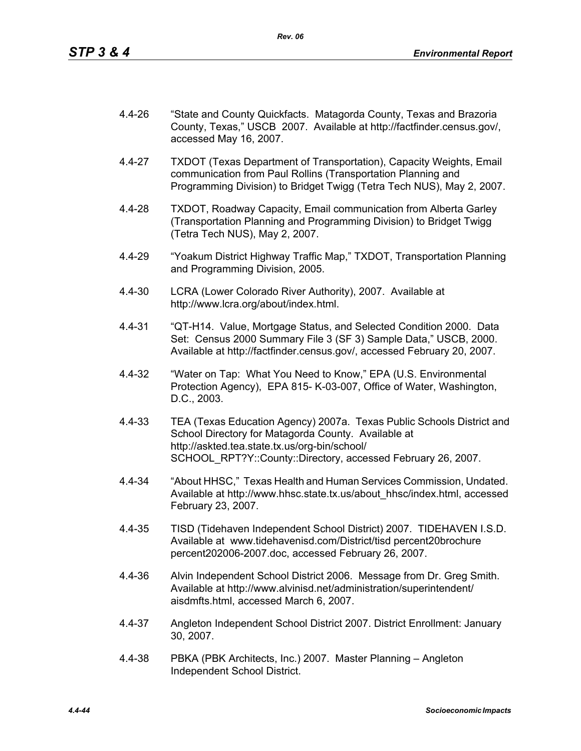- 4.4-26 "State and County Quickfacts. Matagorda County, Texas and Brazoria County, Texas," USCB 2007. Available at http://factfinder.census.gov/, accessed May 16, 2007.
- 4.4-27 TXDOT (Texas Department of Transportation), Capacity Weights, Email communication from Paul Rollins (Transportation Planning and Programming Division) to Bridget Twigg (Tetra Tech NUS), May 2, 2007.
- 4.4-28 TXDOT, Roadway Capacity, Email communication from Alberta Garley (Transportation Planning and Programming Division) to Bridget Twigg (Tetra Tech NUS), May 2, 2007.
- 4.4-29 "Yoakum District Highway Traffic Map," TXDOT, Transportation Planning and Programming Division, 2005.
- 4.4-30 LCRA (Lower Colorado River Authority), 2007. Available at http://www.lcra.org/about/index.html.
- 4.4-31 "QT-H14. Value, Mortgage Status, and Selected Condition 2000. Data Set: Census 2000 Summary File 3 (SF 3) Sample Data," USCB, 2000. Available at http://factfinder.census.gov/, accessed February 20, 2007.
- 4.4-32 "Water on Tap: What You Need to Know," EPA (U.S. Environmental Protection Agency), EPA 815- K-03-007, Office of Water, Washington, D.C., 2003.
- 4.4-33 TEA (Texas Education Agency) 2007a. Texas Public Schools District and School Directory for Matagorda County. Available at http://askted.tea.state.tx.us/org-bin/school/ SCHOOL\_RPT?Y::County::Directory, accessed February 26, 2007.
- 4.4-34 "About HHSC," Texas Health and Human Services Commission, Undated. Available at http://www.hhsc.state.tx.us/about\_hhsc/index.html, accessed February 23, 2007.
- 4.4-35 TISD (Tidehaven Independent School District) 2007. TIDEHAVEN I.S.D. Available at www.tidehavenisd.com/District/tisd percent20brochure percent202006-2007.doc, accessed February 26, 2007.
- 4.4-36 Alvin Independent School District 2006. Message from Dr. Greg Smith. Available at http://www.alvinisd.net/administration/superintendent/ aisdmfts.html, accessed March 6, 2007.
- 4.4-37 Angleton Independent School District 2007. District Enrollment: January 30, 2007.
- 4.4-38 PBKA (PBK Architects, Inc.) 2007. Master Planning Angleton Independent School District.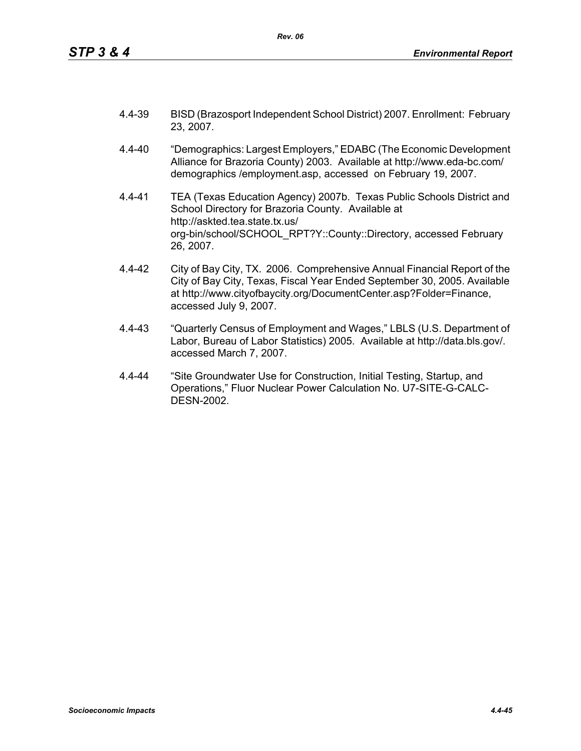- 4.4-39 BISD (Brazosport Independent School District) 2007. Enrollment: February 23, 2007.
- 4.4-40 "Demographics: Largest Employers," EDABC (The Economic Development Alliance for Brazoria County) 2003. Available at http://www.eda-bc.com/ demographics /employment.asp, accessed on February 19, 2007.
- 4.4-41 TEA (Texas Education Agency) 2007b. Texas Public Schools District and School Directory for Brazoria County. Available at http://askted.tea.state.tx.us/ org-bin/school/SCHOOL\_RPT?Y::County::Directory, accessed February 26, 2007.
- 4.4-42 City of Bay City, TX. 2006. Comprehensive Annual Financial Report of the City of Bay City, Texas, Fiscal Year Ended September 30, 2005. Available at http://www.cityofbaycity.org/DocumentCenter.asp?Folder=Finance, accessed July 9, 2007.
- 4.4-43 "Quarterly Census of Employment and Wages," LBLS (U.S. Department of Labor, Bureau of Labor Statistics) 2005. Available at http://data.bls.gov/. accessed March 7, 2007.
- 4.4-44 "Site Groundwater Use for Construction, Initial Testing, Startup, and Operations," Fluor Nuclear Power Calculation No. U7-SITE-G-CALC-DESN-2002.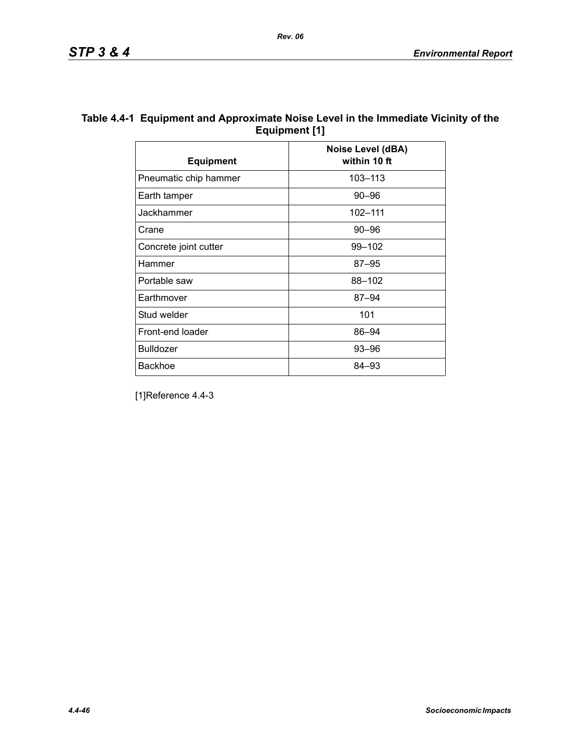| Table 4.4-1 Equipment and Approximate Noise Level in the Immediate Vicinity of the |
|------------------------------------------------------------------------------------|
| Equipment [1]                                                                      |

| <b>Equipment</b>      | <b>Noise Level (dBA)</b><br>within 10 ft |
|-----------------------|------------------------------------------|
| Pneumatic chip hammer | 103-113                                  |
| Earth tamper          | $90 - 96$                                |
| Jackhammer            | 102-111                                  |
| Crane                 | $90 - 96$                                |
| Concrete joint cutter | 99-102                                   |
| Hammer                | $87 - 95$                                |
| Portable saw          | 88-102                                   |
| Earthmover            | 87–94                                    |
| Stud welder           | 101                                      |
| Front-end loader      | 86-94                                    |
| <b>Bulldozer</b>      | $93 - 96$                                |
| <b>Backhoe</b>        | 84–93                                    |

[1]Reference 4.4-3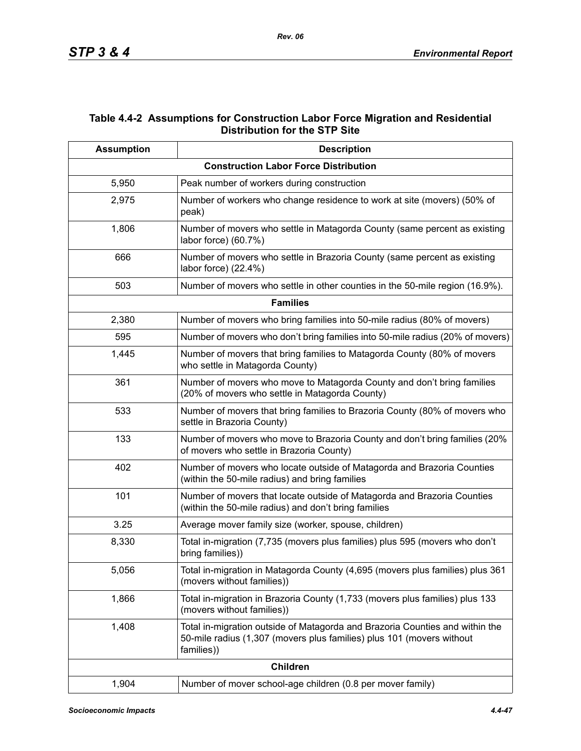# **Table 4.4-2 Assumptions for Construction Labor Force Migration and Residential Distribution for the STP Site**

| <b>Assumption</b> | <b>Description</b>                                                                                                                                                  |
|-------------------|---------------------------------------------------------------------------------------------------------------------------------------------------------------------|
|                   | <b>Construction Labor Force Distribution</b>                                                                                                                        |
| 5,950             | Peak number of workers during construction                                                                                                                          |
| 2,975             | Number of workers who change residence to work at site (movers) (50% of<br>peak)                                                                                    |
| 1,806             | Number of movers who settle in Matagorda County (same percent as existing<br>labor force) (60.7%)                                                                   |
| 666               | Number of movers who settle in Brazoria County (same percent as existing<br>labor force) (22.4%)                                                                    |
| 503               | Number of movers who settle in other counties in the 50-mile region (16.9%).                                                                                        |
|                   | <b>Families</b>                                                                                                                                                     |
| 2,380             | Number of movers who bring families into 50-mile radius (80% of movers)                                                                                             |
| 595               | Number of movers who don't bring families into 50-mile radius (20% of movers)                                                                                       |
| 1,445             | Number of movers that bring families to Matagorda County (80% of movers<br>who settle in Matagorda County)                                                          |
| 361               | Number of movers who move to Matagorda County and don't bring families<br>(20% of movers who settle in Matagorda County)                                            |
| 533               | Number of movers that bring families to Brazoria County (80% of movers who<br>settle in Brazoria County)                                                            |
| 133               | Number of movers who move to Brazoria County and don't bring families (20%<br>of movers who settle in Brazoria County)                                              |
| 402               | Number of movers who locate outside of Matagorda and Brazoria Counties<br>(within the 50-mile radius) and bring families                                            |
| 101               | Number of movers that locate outside of Matagorda and Brazoria Counties<br>(within the 50-mile radius) and don't bring families                                     |
| 3.25              | Average mover family size (worker, spouse, children)                                                                                                                |
| 8,330             | Total in-migration (7,735 (movers plus families) plus 595 (movers who don't<br>bring families))                                                                     |
| 5,056             | Total in-migration in Matagorda County (4,695 (movers plus families) plus 361<br>(movers without families))                                                         |
| 1,866             | Total in-migration in Brazoria County (1,733 (movers plus families) plus 133<br>(movers without families))                                                          |
| 1,408             | Total in-migration outside of Matagorda and Brazoria Counties and within the<br>50-mile radius (1,307 (movers plus families) plus 101 (movers without<br>families)) |
|                   | <b>Children</b>                                                                                                                                                     |
| 1,904             | Number of mover school-age children (0.8 per mover family)                                                                                                          |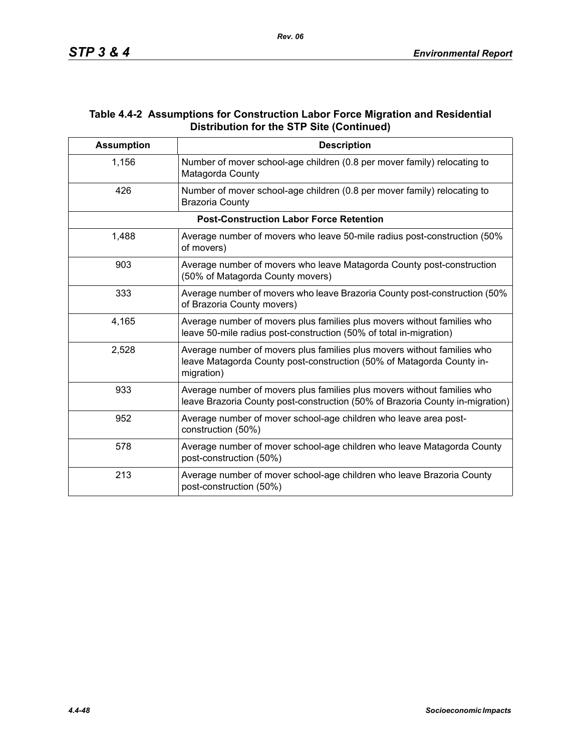## **Table 4.4-2 Assumptions for Construction Labor Force Migration and Residential Distribution for the STP Site (Continued)**

| <b>Assumption</b> | <b>Description</b>                                                                                                                                             |
|-------------------|----------------------------------------------------------------------------------------------------------------------------------------------------------------|
| 1,156             | Number of mover school-age children (0.8 per mover family) relocating to<br>Matagorda County                                                                   |
| 426               | Number of mover school-age children (0.8 per mover family) relocating to<br><b>Brazoria County</b>                                                             |
|                   | <b>Post-Construction Labor Force Retention</b>                                                                                                                 |
| 1,488             | Average number of movers who leave 50-mile radius post-construction (50%<br>of movers)                                                                         |
| 903               | Average number of movers who leave Matagorda County post-construction<br>(50% of Matagorda County movers)                                                      |
| 333               | Average number of movers who leave Brazoria County post-construction (50%)<br>of Brazoria County movers)                                                       |
| 4,165             | Average number of movers plus families plus movers without families who<br>leave 50-mile radius post-construction (50% of total in-migration)                  |
| 2,528             | Average number of movers plus families plus movers without families who<br>leave Matagorda County post-construction (50% of Matagorda County in-<br>migration) |
| 933               | Average number of movers plus families plus movers without families who<br>leave Brazoria County post-construction (50% of Brazoria County in-migration)       |
| 952               | Average number of mover school-age children who leave area post-<br>construction (50%)                                                                         |
| 578               | Average number of mover school-age children who leave Matagorda County<br>post-construction (50%)                                                              |
| 213               | Average number of mover school-age children who leave Brazoria County<br>post-construction (50%)                                                               |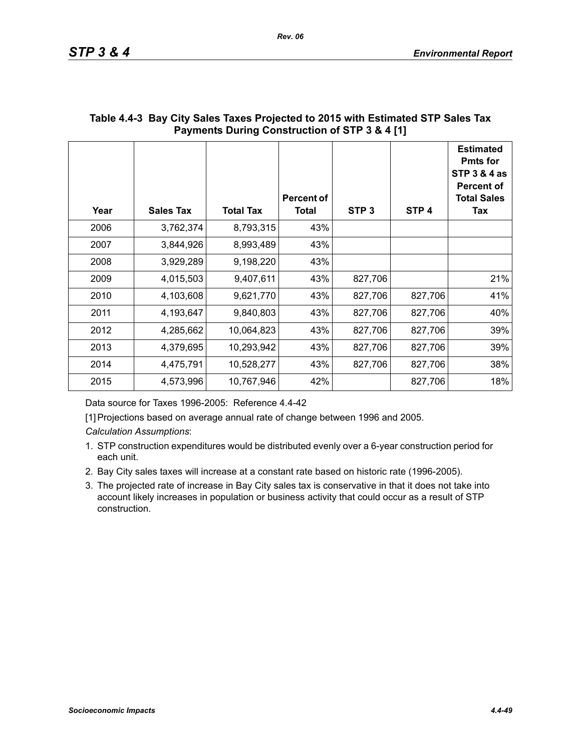| Year | <b>Sales Tax</b> | <b>Total Tax</b> | <b>Percent of</b><br>Total | STP <sub>3</sub> | STP <sub>4</sub> | <b>Estimated</b><br><b>Pmts for</b><br><b>STP 3 &amp; 4 as</b><br><b>Percent of</b><br><b>Total Sales</b><br>Tax |
|------|------------------|------------------|----------------------------|------------------|------------------|------------------------------------------------------------------------------------------------------------------|
| 2006 | 3,762,374        | 8,793,315        | 43%                        |                  |                  |                                                                                                                  |
| 2007 | 3,844,926        | 8,993,489        | 43%                        |                  |                  |                                                                                                                  |
| 2008 | 3,929,289        | 9,198,220        | 43%                        |                  |                  |                                                                                                                  |
| 2009 | 4,015,503        | 9,407,611        | 43%                        | 827,706          |                  | 21%                                                                                                              |
| 2010 | 4,103,608        | 9,621,770        | 43%                        | 827,706          | 827,706          | 41%                                                                                                              |
| 2011 | 4,193,647        | 9,840,803        | 43%                        | 827,706          | 827,706          | 40%                                                                                                              |
| 2012 | 4,285,662        | 10,064,823       | 43%                        | 827,706          | 827,706          | 39%                                                                                                              |
| 2013 | 4,379,695        | 10,293,942       | 43%                        | 827,706          | 827,706          | 39%                                                                                                              |
| 2014 | 4,475,791        | 10,528,277       | 43%                        | 827,706          | 827,706          | 38%                                                                                                              |
| 2015 | 4,573,996        | 10,767,946       | 42%                        |                  | 827,706          | 18%                                                                                                              |

## **Table 4.4-3 Bay City Sales Taxes Projected to 2015 with Estimated STP Sales Tax Payments During Construction of STP 3 & 4 [1]**

Data source for Taxes 1996-2005: Reference 4.4-42

[1] Projections based on average annual rate of change between 1996 and 2005.

*Calculation Assumptions*:

- 1. STP construction expenditures would be distributed evenly over a 6-year construction period for each unit.
- 2. Bay City sales taxes will increase at a constant rate based on historic rate (1996-2005).
- 3. The projected rate of increase in Bay City sales tax is conservative in that it does not take into account likely increases in population or business activity that could occur as a result of STP construction.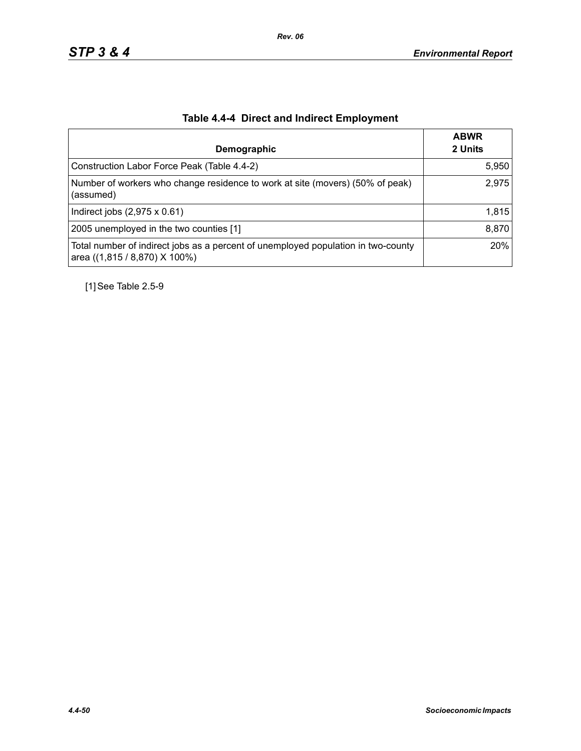| Demographic                                                                                                        | <b>ABWR</b><br>2 Units |
|--------------------------------------------------------------------------------------------------------------------|------------------------|
| Construction Labor Force Peak (Table 4.4-2)                                                                        | 5,950                  |
| Number of workers who change residence to work at site (movers) (50% of peak)<br>(assumed)                         | 2,975                  |
| Indirect jobs $(2,975 \times 0.61)$                                                                                | 1,815                  |
| 2005 unemployed in the two counties [1]                                                                            | 8,870                  |
| Total number of indirect jobs as a percent of unemployed population in two-county<br>area ((1,815 / 8,870) X 100%) | 20%                    |

# **Table 4.4-4 Direct and Indirect Employment**

[1] See Table 2.5-9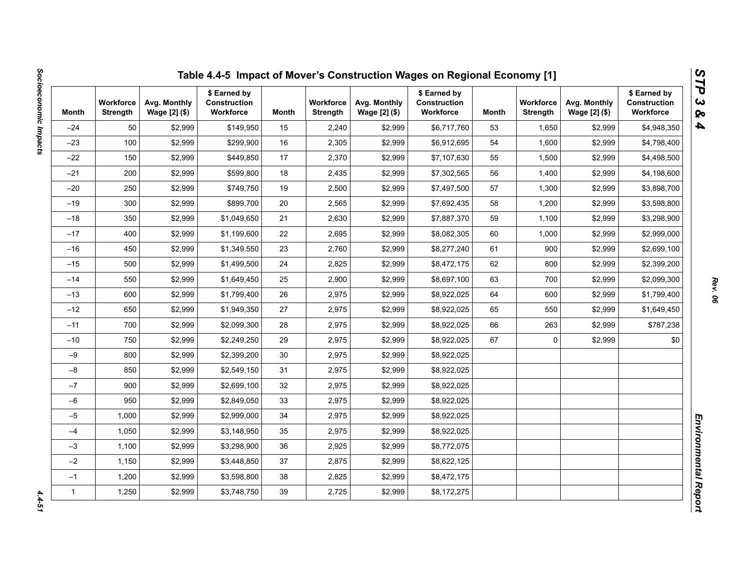| Month        | <b>Workforce</b><br>Strength | Avg. Monthly<br>Wage [2] (\$) | \$ Earned by<br>Construction<br>Workforce | Month | <b>Workforce</b><br><b>Strength</b> | Avg. Monthly<br>Wage [2] (\$) | \$ Earned by<br><b>Construction</b><br>Workforce | Month | <b>Workforce</b><br><b>Strength</b> | Avg. Monthly<br>Wage [2] (\$) | \$ Earned by<br>Construction<br>Workforce |
|--------------|------------------------------|-------------------------------|-------------------------------------------|-------|-------------------------------------|-------------------------------|--------------------------------------------------|-------|-------------------------------------|-------------------------------|-------------------------------------------|
| $-24$        | 50                           | \$2,999                       | \$149,950                                 | 15    | 2,240                               | \$2,999                       | \$6,717,760                                      | 53    | 1,650                               | \$2,999                       | \$4,948,350                               |
| $-23$        | 100                          | \$2,999                       | \$299,900                                 | 16    | 2,305                               | \$2,999                       | \$6,912,695                                      | 54    | 1,600                               | \$2,999                       | \$4,798,400                               |
| $-22$        | 150                          | \$2,999                       | \$449,850                                 | 17    | 2,370                               | \$2,999                       | \$7,107,630                                      | 55    | 1,500                               | \$2,999                       | \$4,498,500                               |
| $-21$        | 200                          | \$2,999                       | \$599,800                                 | 18    | 2,435                               | \$2,999                       | \$7,302,565                                      | 56    | 1,400                               | \$2,999                       | \$4,198,600                               |
| $-20$        | 250                          | \$2,999                       | \$749,750                                 | 19    | 2,500                               | \$2,999                       | \$7,497,500                                      | 57    | 1,300                               | \$2,999                       | \$3,898,700                               |
| $-19$        | 300                          | \$2,999                       | \$899.700                                 | 20    | 2,565                               | \$2,999                       | \$7,692,435                                      | 58    | 1,200                               | \$2,999                       | \$3,598,800                               |
| $-18$        | 350                          | \$2,999                       | \$1,049,650                               | 21    | 2,630                               | \$2,999                       | \$7,887,370                                      | 59    | 1,100                               | \$2,999                       | \$3,298,900                               |
| $-17$        | 400                          | \$2,999                       | \$1,199,600                               | 22    | 2,695                               | \$2,999                       | \$8,082,305                                      | 60    | 1,000                               | \$2,999                       | \$2,999,000                               |
| $-16$        | 450                          | \$2,999                       | \$1,349,550                               | 23    | 2,760                               | \$2,999                       | \$8,277,240                                      | 61    | 900                                 | \$2,999                       | \$2,699,100                               |
| $-15$        | 500                          | \$2,999                       | \$1,499,500                               | 24    | 2,825                               | \$2,999                       | \$8,472,175                                      | 62    | 800                                 | \$2,999                       | \$2,399,200                               |
| $-14$        | 550                          | \$2,999                       | \$1,649,450                               | 25    | 2,900                               | \$2,999                       | \$8,697,100                                      | 63    | 700                                 | \$2,999                       | \$2,099,300                               |
| $-13$        | 600                          | \$2,999                       | \$1,799,400                               | 26    | 2,975                               | \$2,999                       | \$8,922,025                                      | 64    | 600                                 | \$2,999                       | \$1,799,400                               |
| $-12$        | 650                          | \$2,999                       | \$1,949,350                               | 27    | 2,975                               | \$2,999                       | \$8,922,025                                      | 65    | 550                                 | \$2,999                       | \$1,649,450                               |
| $-11$        | 700                          | \$2,999                       | \$2,099,300                               | 28    | 2,975                               | \$2,999                       | \$8,922,025                                      | 66    | 263                                 | \$2,999                       | \$787,238                                 |
| $-10$        | 750                          | \$2,999                       | \$2,249,250                               | 29    | 2,975                               | \$2,999                       | \$8,922,025                                      | 67    | 0                                   | \$2,999                       | \$0                                       |
| $-9$         | 800                          | \$2,999                       | \$2,399,200                               | 30    | 2,975                               | \$2,999                       | \$8,922,025                                      |       |                                     |                               |                                           |
| $-8$         | 850                          | \$2,999                       | \$2,549,150                               | 31    | 2,975                               | \$2,999                       | \$8,922,025                                      |       |                                     |                               |                                           |
| $-7$         | 900                          | \$2,999                       | \$2,699,100                               | 32    | 2,975                               | \$2,999                       | \$8,922,025                                      |       |                                     |                               |                                           |
| $-6$         | 950                          | \$2,999                       | \$2,849,050                               | 33    | 2,975                               | \$2,999                       | \$8,922,025                                      |       |                                     |                               |                                           |
| $-5$         | 1,000                        | \$2,999                       | \$2,999,000                               | 34    | 2,975                               | \$2,999                       | \$8,922,025                                      |       |                                     |                               |                                           |
| $-4$         | 1,050                        | \$2,999                       | \$3,148,950                               | 35    | 2,975                               | \$2,999                       | \$8,922,025                                      |       |                                     |                               |                                           |
| $-3$         | 1,100                        | \$2,999                       | \$3,298,900                               | 36    | 2,925                               | \$2,999                       | \$8,772,075                                      |       |                                     |                               |                                           |
| $-2$         | 1,150                        | \$2,999                       | \$3,448,850                               | 37    | 2,875                               | \$2,999                       | \$8,622,125                                      |       |                                     |                               |                                           |
| $-1$         | 1,200                        | \$2,999                       | \$3,598,800                               | 38    | 2,825                               | \$2,999                       | \$8,472,175                                      |       |                                     |                               |                                           |
| $\mathbf{1}$ | 1,250                        | \$2,999                       | \$3,748,750                               | 39    | 2,725                               | \$2,999                       | \$8,172,275                                      |       |                                     |                               |                                           |

 $4.4 - 51$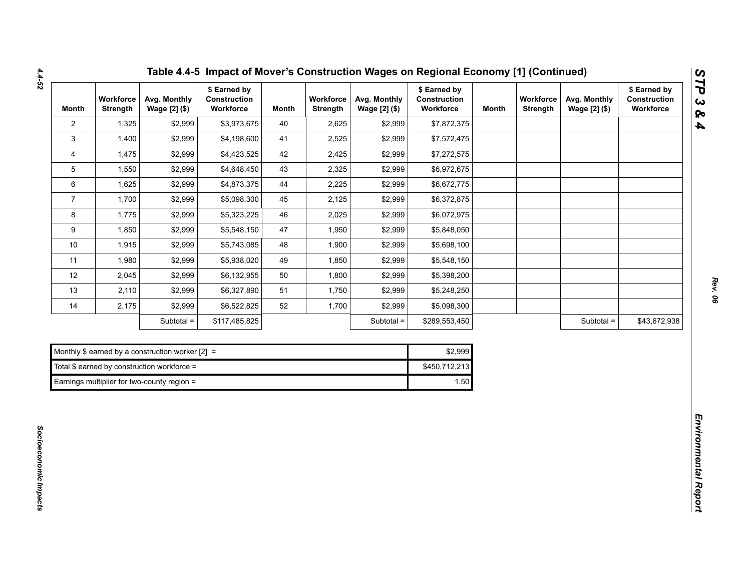| <b>Month</b>    | Workforce<br><b>Strength</b> | Avg. Monthly<br>Wage [2] (\$)                      | \$ Earned by<br>Construction<br>Workforce | <b>Month</b> | Workforce<br><b>Strength</b> | Avg. Monthly<br>Wage [2] (\$) | \$ Earned by<br>Construction<br>Workforce | <b>Month</b> | Workforce<br><b>Strength</b> | Avg. Monthly<br>Wage [2] (\$) | \$ Earned by<br>Construction<br>Workforce |
|-----------------|------------------------------|----------------------------------------------------|-------------------------------------------|--------------|------------------------------|-------------------------------|-------------------------------------------|--------------|------------------------------|-------------------------------|-------------------------------------------|
| $\overline{2}$  | 1,325                        | \$2,999                                            | \$3,973,675                               | 40           | 2,625                        | \$2,999                       | \$7,872,375                               |              |                              |                               |                                           |
| 3               | 1,400                        | \$2,999                                            | \$4,198,600                               | 41           | 2,525                        | \$2,999                       | \$7,572,475                               |              |                              |                               |                                           |
| 4               | 1,475                        | \$2,999                                            | \$4,423,525                               | 42           | 2,425                        | \$2,999                       | \$7,272,575                               |              |                              |                               |                                           |
| $5\overline{)}$ | 1,550                        | \$2,999                                            | \$4,648,450                               | 43           | 2,325                        | \$2,999                       | \$6,972,675                               |              |                              |                               |                                           |
| 6               | 1,625                        | \$2,999                                            | \$4,873,375                               | 44           | 2,225                        | \$2,999                       | \$6,672,775                               |              |                              |                               |                                           |
| $\overline{7}$  | 1,700                        | \$2,999                                            | \$5,098,300                               | 45           | 2,125                        | \$2,999                       | \$6,372,875                               |              |                              |                               |                                           |
| 8               | 1,775                        | \$2,999                                            | \$5,323,225                               | 46           | 2,025                        | \$2,999                       | \$6,072,975                               |              |                              |                               |                                           |
| 9               | 1,850                        | \$2,999                                            | \$5,548,150                               | 47           | 1,950                        | \$2,999                       | \$5,848,050                               |              |                              |                               |                                           |
| $10\,$          | 1,915                        | \$2,999                                            | \$5,743,085                               | 48           | 1,900                        | \$2,999                       | \$5,698,100                               |              |                              |                               |                                           |
| 11              | 1,980                        | \$2,999                                            | \$5,938,020                               | 49           | 1,850                        | \$2,999                       | \$5,548,150                               |              |                              |                               |                                           |
| 12              | 2,045                        | \$2,999                                            | \$6,132,955                               | 50           | 1,800                        | \$2,999                       | \$5,398,200                               |              |                              |                               |                                           |
| 13              | 2,110                        | \$2,999                                            | \$6,327,890                               | 51           | 1,750                        | \$2,999                       | \$5,248,250                               |              |                              |                               |                                           |
| 14              | 2,175                        | \$2,999                                            | \$6,522,825                               | 52           | 1,700                        | \$2,999                       | \$5,098,300                               |              |                              |                               |                                           |
|                 |                              | Subtotal =                                         | \$117,485,825                             |              |                              | Subtotal =                    | \$289,553,450                             |              |                              | Subtotal =                    | \$43,672,938                              |
|                 |                              |                                                    |                                           |              |                              |                               |                                           |              |                              |                               |                                           |
|                 |                              | Monthly \$ earned by a construction worker $[2] =$ |                                           |              |                              |                               | \$2,999                                   |              |                              |                               |                                           |
|                 |                              | Total $$$ earned by construction workforce =       |                                           |              |                              |                               | \$450,712,213                             |              |                              |                               |                                           |
|                 |                              | Earnings multiplier for two-county region =        |                                           |              |                              |                               | 1.50                                      |              |                              |                               |                                           |

| Monthly \$ earned by a construction worker $[2] =$ | \$2.999       |
|----------------------------------------------------|---------------|
| Total \$ earned by construction workforce =        | \$450.712.213 |
| Earnings multiplier for two-county region =        | 1.50          |

*Socioeconomic Impacts* 

Socioeconomic Impacts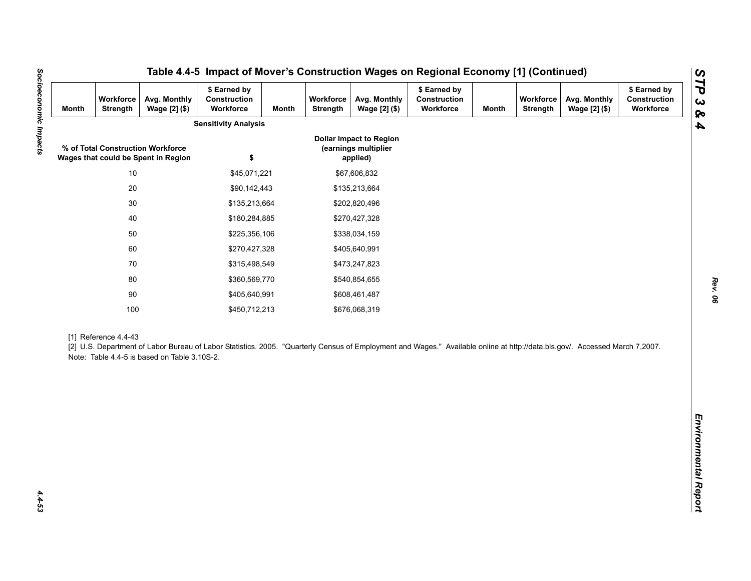| <b>Month</b> | Workforce<br>Strength | Avg. Monthly<br>Wage [2] (\$)                                            | \$ Earned by<br>Construction<br>Workforce                                                                                                                                   | <b>Month</b> | Workforce<br>Strength | Avg. Monthly<br>Wage [2] (\$)                                      | \$ Earned by<br>Construction<br>Workforce | <b>Month</b> | Workforce<br><b>Strength</b> | Avg. Monthly<br>Wage [2] (\$) | \$ Earned by<br>Construction<br>Workforce |
|--------------|-----------------------|--------------------------------------------------------------------------|-----------------------------------------------------------------------------------------------------------------------------------------------------------------------------|--------------|-----------------------|--------------------------------------------------------------------|-------------------------------------------|--------------|------------------------------|-------------------------------|-------------------------------------------|
|              |                       |                                                                          | <b>Sensitivity Analysis</b>                                                                                                                                                 |              |                       |                                                                    |                                           |              |                              |                               |                                           |
|              |                       | % of Total Construction Workforce<br>Wages that could be Spent in Region | \$                                                                                                                                                                          |              |                       | <b>Dollar Impact to Region</b><br>(earnings multiplier<br>applied) |                                           |              |                              |                               |                                           |
|              | $10$                  |                                                                          | \$45,071,221                                                                                                                                                                |              |                       | \$67,606,832                                                       |                                           |              |                              |                               |                                           |
|              | $20\,$                |                                                                          | \$90,142,443                                                                                                                                                                |              |                       | \$135,213,664                                                      |                                           |              |                              |                               |                                           |
|              | $30\,$                |                                                                          | \$135,213,664                                                                                                                                                               |              |                       | \$202,820,496                                                      |                                           |              |                              |                               |                                           |
|              | 40                    |                                                                          | \$180,284,885                                                                                                                                                               |              | \$270,427,328         |                                                                    |                                           |              |                              |                               |                                           |
|              | 50                    |                                                                          | \$225,356,106                                                                                                                                                               |              |                       | \$338,034,159                                                      |                                           |              |                              |                               |                                           |
|              | 60                    |                                                                          | \$270,427,328                                                                                                                                                               |              |                       | \$405,640,991                                                      |                                           |              |                              |                               |                                           |
|              | 70                    |                                                                          | \$315,498,549                                                                                                                                                               |              |                       | \$473,247,823                                                      |                                           |              |                              |                               |                                           |
|              | 80                    |                                                                          | \$360,569,770                                                                                                                                                               |              |                       | \$540,854,655                                                      |                                           |              |                              |                               |                                           |
|              | $90\,$                |                                                                          | \$405,640,991                                                                                                                                                               |              |                       | \$608,461,487                                                      |                                           |              |                              |                               |                                           |
|              | 100                   |                                                                          | \$450,712,213                                                                                                                                                               |              |                       | \$676,068,319                                                      |                                           |              |                              |                               |                                           |
|              | [1] Reference 4.4-43  | Note: Table 4.4-5 is based on Table 3.10S-2.                             | [2] U.S. Department of Labor Bureau of Labor Statistics. 2005. "Quarterly Census of Employment and Wages." Available online at http://data.bls.gov/. Accessed March 7,2007. |              |                       |                                                                    |                                           |              |                              |                               |                                           |
|              |                       |                                                                          |                                                                                                                                                                             |              |                       |                                                                    |                                           |              |                              |                               |                                           |
|              |                       |                                                                          |                                                                                                                                                                             |              |                       |                                                                    |                                           |              |                              |                               |                                           |
|              |                       |                                                                          |                                                                                                                                                                             |              |                       |                                                                    |                                           |              |                              |                               |                                           |
|              |                       |                                                                          |                                                                                                                                                                             |              |                       |                                                                    |                                           |              |                              |                               |                                           |

Socioeconomic Impacts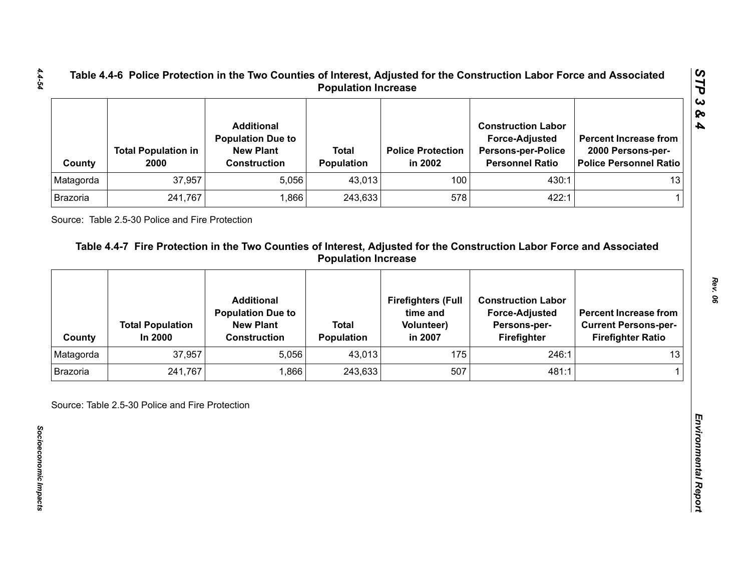| County    | <b>Total Population in</b><br>2000 | <b>Additional</b><br><b>Population Due to</b><br><b>New Plant</b><br><b>Construction</b> | <b>Total</b><br><b>Population</b> | <b>Police Protection</b><br>in 2002 | <b>Construction Labor</b><br><b>Force-Adjusted</b><br><b>Persons-per-Police</b><br><b>Personnel Ratio</b> | <b>Percent Increase from</b><br>2000 Persons-per-<br>Police Personnel Ratio |
|-----------|------------------------------------|------------------------------------------------------------------------------------------|-----------------------------------|-------------------------------------|-----------------------------------------------------------------------------------------------------------|-----------------------------------------------------------------------------|
| Matagorda | 37,957                             | 5,056                                                                                    | 43,013                            | 100                                 | 430:1                                                                                                     | 13                                                                          |
| Brazoria  | 241,767                            | .866                                                                                     | 243,633                           | 578                                 | 422:1                                                                                                     |                                                                             |

| Matagorda       |                                    | <b>Construction</b>                           | Population                        | in 2002                               | <b>Persons-per-Police</b><br><b>Personnel Ratio</b> | 2000 Persons-per-<br><b>Police Personnel Ratio</b>      |
|-----------------|------------------------------------|-----------------------------------------------|-----------------------------------|---------------------------------------|-----------------------------------------------------|---------------------------------------------------------|
|                 | 37,957                             | 5,056                                         | 43,013                            | 100                                   | 430:1                                               | 13                                                      |
| Brazoria        | 241,767                            | 1,866                                         | 243,633                           | 578                                   | 422:1                                               | 1.                                                      |
|                 |                                    | <b>Additional</b><br><b>Population Due to</b> |                                   | <b>Firefighters (Full</b><br>time and | <b>Construction Labor</b><br><b>Force-Adjusted</b>  | <b>Percent Increase from</b>                            |
| County          | <b>Total Population</b><br>In 2000 | <b>New Plant</b><br><b>Construction</b>       | <b>Total</b><br><b>Population</b> | <b>Volunteer)</b><br>in 2007          | Persons-per-<br>Firefighter                         | <b>Current Persons-per-</b><br><b>Firefighter Ratio</b> |
| Matagorda       | 37,957                             | 5,056                                         | 43,013                            | 175                                   | 246:1                                               | 13                                                      |
| <b>Brazoria</b> | 241,767                            | 1,866                                         | 243,633                           | 507                                   | 481:1                                               |                                                         |

*STP 3 & 4*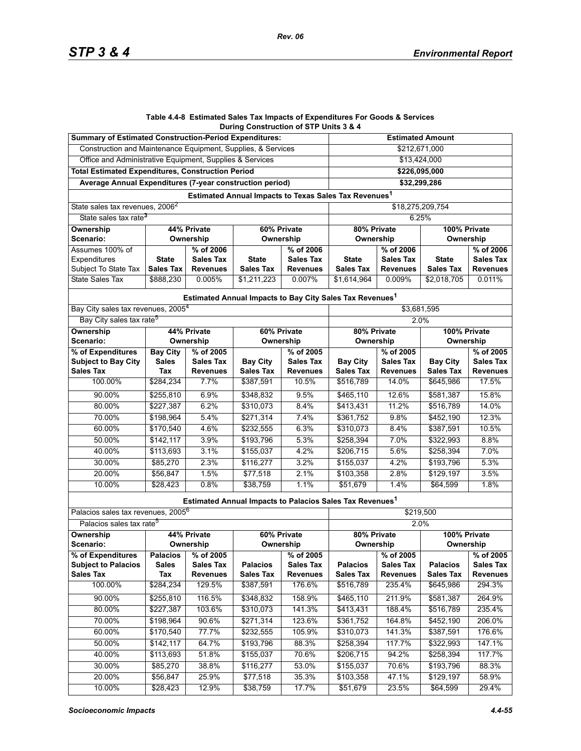#### **Table 4.4-8 Estimated Sales Tax Impacts of Expenditures For Goods & Services During Construction of STP Units 3 & 4**

| <b>Summary of Estimated Construction-Period Expenditures:</b> |                  |                  |                                                                      |                  | <b>Estimated Amount</b>     |                  |                  |                  |  |  |
|---------------------------------------------------------------|------------------|------------------|----------------------------------------------------------------------|------------------|-----------------------------|------------------|------------------|------------------|--|--|
| Construction and Maintenance Equipment, Supplies, & Services  |                  |                  |                                                                      |                  | \$212,671,000               |                  |                  |                  |  |  |
| Office and Administrative Equipment, Supplies & Services      |                  |                  |                                                                      |                  | \$13,424,000                |                  |                  |                  |  |  |
| <b>Total Estimated Expenditures, Construction Period</b>      |                  |                  |                                                                      |                  |                             | \$226,095,000    |                  |                  |  |  |
| Average Annual Expenditures (7-year construction period)      |                  |                  |                                                                      |                  |                             | \$32,299,286     |                  |                  |  |  |
|                                                               |                  |                  | Estimated Annual Impacts to Texas Sales Tax Revenues <sup>1</sup>    |                  |                             |                  |                  |                  |  |  |
| State sales tax revenues, 2006 <sup>2</sup>                   |                  |                  |                                                                      |                  |                             |                  | \$18,275,209,754 |                  |  |  |
| State sales tax rate <sup>3</sup>                             |                  |                  |                                                                      |                  | 6.25%                       |                  |                  |                  |  |  |
| 44% Private<br><b>Ownership</b><br>60% Private                |                  |                  |                                                                      |                  | 80% Private<br>100% Private |                  |                  |                  |  |  |
| Scenario:<br>Ownership                                        |                  | Ownership        |                                                                      | Ownership        |                             | Ownership        |                  |                  |  |  |
| Assumes 100% of                                               | % of 2006        |                  | % of 2006                                                            |                  | % of 2006                   |                  | % of 2006        |                  |  |  |
| Expenditures                                                  | <b>State</b>     | <b>Sales Tax</b> | <b>State</b>                                                         | <b>Sales Tax</b> | <b>State</b>                | <b>Sales Tax</b> | <b>State</b>     | <b>Sales Tax</b> |  |  |
| Subject To State Tax                                          | <b>Sales Tax</b> | <b>Revenues</b>  | <b>Sales Tax</b>                                                     | <b>Revenues</b>  | <b>Sales Tax</b>            | <b>Revenues</b>  | <b>Sales Tax</b> | <b>Revenues</b>  |  |  |
| <b>State Sales Tax</b>                                        | \$888,230        | 0.005%           | \$1,211,223                                                          | 0.007%           | \$1,614,964                 | 0.009%           | \$2,018,705      | 0.011%           |  |  |
|                                                               |                  |                  | Estimated Annual Impacts to Bay City Sales Tax Revenues <sup>1</sup> |                  |                             |                  |                  |                  |  |  |
| Bay City sales tax revenues, 2005 <sup>4</sup>                |                  |                  |                                                                      |                  |                             |                  | \$3,681,595      |                  |  |  |
| Bay City sales tax rate <sup>5</sup>                          |                  |                  |                                                                      |                  | 2.0%                        |                  |                  |                  |  |  |
| Ownership                                                     |                  | 44% Private      | 60% Private                                                          |                  | 80% Private                 | 100% Private     |                  |                  |  |  |
| <b>Scenario:</b>                                              | Ownership        |                  | Ownership                                                            |                  | Ownership                   |                  | Ownership        |                  |  |  |
| % of Expenditures                                             | <b>Bay City</b>  | % of 2005        |                                                                      | % of 2005        |                             | % of 2005        |                  | % of 2005        |  |  |
| <b>Subject to Bay City</b>                                    | <b>Sales</b>     | <b>Sales Tax</b> | <b>Bay City</b>                                                      | <b>Sales Tax</b> | <b>Bay City</b>             | <b>Sales Tax</b> | <b>Bay City</b>  | <b>Sales Tax</b> |  |  |
| <b>Sales Tax</b>                                              | Tax              | <b>Revenues</b>  | <b>Sales Tax</b>                                                     | <b>Revenues</b>  | <b>Sales Tax</b>            | <b>Revenues</b>  | <b>Sales Tax</b> | <b>Revenues</b>  |  |  |
| 100.00%                                                       | \$284,234        | 7.7%             | \$387,591                                                            | 10.5%            | \$516,789                   | 14.0%            | \$645,986        | 17.5%            |  |  |
| 90.00%                                                        | \$255,810        | 6.9%             | \$348.832                                                            | 9.5%             | \$465,110                   | 12.6%            | \$581,387        | 15.8%            |  |  |
| 80.00%                                                        | \$227,387        | 6.2%             | \$310,073                                                            | 8.4%             | \$413,431                   | 11.2%            | \$516,789        | 14.0%            |  |  |
| 70.00%                                                        | \$198,964        | 5.4%             | \$271,314                                                            | 7.4%             | \$361,752                   | 9.8%             | \$452,190        | 12.3%            |  |  |
| 60.00%                                                        | \$170,540        | 4.6%             | \$232,555                                                            | 6.3%             | \$310,073                   | 8.4%             | \$387,591        | 10.5%            |  |  |
| 50.00%                                                        | \$142, 117       | 3.9%             | \$193,796                                                            | 5.3%             | \$258,394                   | 7.0%             | \$322,993        | 8.8%             |  |  |
| 40.00%                                                        | \$113,693        | 3.1%             | \$155,037                                                            | 4.2%             | \$206,715                   | 5.6%             | \$258,394        | 7.0%             |  |  |
| 30.00%                                                        | \$85,270         | 2.3%             | \$116,277                                                            | 3.2%             | \$155,037                   | 4.2%             | \$193,796        | 5.3%             |  |  |
| 20.00%                                                        | \$56,847         | 1.5%             | \$77,518                                                             | 2.1%             | \$103,358                   | 2.8%             | \$129,197        | 3.5%             |  |  |
| 10.00%                                                        | \$28,423         | 0.8%             | \$38,759                                                             | 1.1%             | \$51,679                    | 1.4%             | \$64,599         | 1.8%             |  |  |
|                                                               |                  |                  | Estimated Annual Impacts to Palacios Sales Tax Revenues <sup>1</sup> |                  |                             |                  |                  |                  |  |  |
| Palacios sales tax revenues, 2005 <sup>6</sup>                |                  |                  |                                                                      |                  |                             |                  | \$219,500        |                  |  |  |
| Palacios sales tax rate <sup>5</sup>                          |                  |                  |                                                                      |                  |                             |                  | 2.0%             |                  |  |  |
| Ownership                                                     |                  | 44% Private      |                                                                      | 60% Private      | 80% Private                 |                  | 100% Private     |                  |  |  |
| Scenario:                                                     |                  | Ownership        | Ownership                                                            |                  | Ownership                   |                  | Ownership        |                  |  |  |
| % of Expenditures                                             | <b>Palacios</b>  | % of 2005        |                                                                      | % of 2005        |                             | % of 2005        |                  | % of 2005        |  |  |
| <b>Subject to Palacios</b>                                    | <b>Sales</b>     | <b>Sales Tax</b> | <b>Palacios</b>                                                      | <b>Sales Tax</b> | <b>Palacios</b>             | <b>Sales Tax</b> | <b>Palacios</b>  | <b>Sales Tax</b> |  |  |
| <b>Sales Tax</b>                                              | Tax              | <b>Revenues</b>  | <b>Sales Tax</b>                                                     | <b>Revenues</b>  | <b>Sales Tax</b>            | <b>Revenues</b>  | <b>Sales Tax</b> | <b>Revenues</b>  |  |  |
| 100.00%                                                       | \$284,234        | 129.5%           | \$387,591                                                            | 176.6%           | \$516,789                   | 235.4%           | \$645,986        | 294.3%           |  |  |
| 90.00%                                                        | \$255,810        | 116.5%           | \$348,832                                                            | 158.9%           | \$465,110                   | 211.9%           | \$581,387        | 264.9%           |  |  |
| 80.00%                                                        | \$227,387        | 103.6%           | \$310,073                                                            | 141.3%           | \$413,431                   | 188.4%           | \$516,789        | 235.4%           |  |  |
| 70.00%                                                        | \$198,964        | 90.6%            | \$271,314                                                            | 123.6%           | \$361,752                   | 164.8%           | \$452,190        | 206.0%           |  |  |
| 60.00%                                                        | \$170,540        | 77.7%            | \$232,555                                                            | 105.9%           | \$310,073                   | 141.3%           | \$387,591        | 176.6%           |  |  |
| 50.00%                                                        | \$142,117        | 64.7%            | \$193,796                                                            | 88.3%            | \$258,394                   | 117.7%           | \$322,993        | 147.1%           |  |  |
| 40.00%                                                        | \$113,693        | 51.8%            | \$155,037                                                            | 70.6%            | \$206,715                   | 94.2%            | \$258,394        | 117.7%           |  |  |
| 30.00%                                                        | \$85,270         | 38.8%            | \$116,277                                                            | 53.0%            | \$155,037                   | 70.6%            | \$193,796        | 88.3%            |  |  |
| 20.00%                                                        | \$56,847         | 25.9%            | \$77,518                                                             | 35.3%            | \$103,358                   | 47.1%            | \$129,197        | 58.9%            |  |  |
| 10.00%                                                        | \$28,423         | 12.9%            | \$38,759                                                             | 17.7%            | \$51,679                    | 23.5%            | \$64,599         | 29.4%            |  |  |